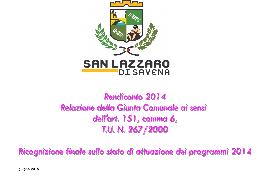

# Rendiconto 2014 Relazione della Giunta Comunale ai sensi dell'art. 151, comma 6, T.U. N. 267/2000

Ricognizione finale sullo stato di attuazione dei programmi 2014

**giugno 2015**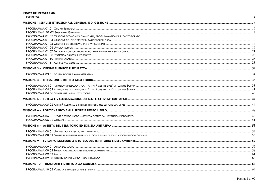#### **INDICE DEI PROGRAMMI**

| <b>DDE</b> |  |
|------------|--|
| וועז-      |  |
| 17 L<br>.  |  |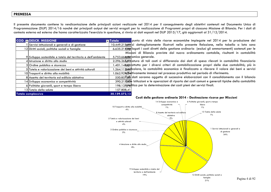# **PREMESSA**

Il presente documento contiene la rendicontazione delle principali azioni realizzate nel 2014 per il conseguimento degli obiettivi contenuti nel Documento Unico di Programmazione (DUP) 2014/16 nonché dei principali output dei servizi erogati per la realizzazione di Programmi propri di ciascuna Missione di Bilancio. Per i dati di contesto esterno ed esterno che hanno caratterizzato l'esercizio in questione, si rinvia ai dati esposti nel DUP 2015/17, già aggiornati al 31/12/2014.

| <b>COD. DESCR. MISSIONE</b>                                    | punto di vista delle risorse economiche impiegate nel 2014 per la produzione dei<br><b>Exercise</b>      |
|----------------------------------------------------------------|----------------------------------------------------------------------------------------------------------|
| I Servizi istituzionali e generali e di gestione               | 10.449.213 advizi dettagliatamente illustrati nella presente Relazione, nella tabella a lato sono        |
| 12 Diritti sociali, politiche sociali e famiglie               | 6.635.215jep logati i costi diretti della gestione ordinaria (esclusi gli ammortamenti) sostenuti per le |
|                                                                | Missioni di Bilancio previste dal nuovo ordinamento contabile, risultanti in contabilità                 |
| 9 Sviluppo sostenibile e tutela del territorio e dell'ambiente | 5.753.6668600 mica generale.                                                                             |
| 4 Istruzione e diritto allo studio                             | 2.296.26\$@8 atura di tali costi si differenzia dai dati di spesa rilevati in contabilità finanziaria    |
| 3 Ordine pubblico e sicurezza                                  | .401.148@prottutto per i diversi criteri di contabilizzazione propri delle due contabilità; più in       |
| 5 Tutela e valorizzazione dei beni e attività culturali        | .264.11 posticolare, la contabilità economica è finalizzata a rilevare il valore dei beni e servizi      |
| 10 Trasporti e diritto alla mobilità                           | .062.92%fattivamente immessi nel processo produttivo nel periodo di riferimento.                         |
| 8 Assetto del territorio ed edilizia abitativa                 | 550.857,50 dati saranno oggetto di successive elaborazioni con il consolidamento con il bilancio         |
| 14 Sviluppo economico e competitività                          | 390.21 della contabilità le operazioni di riparto dei costi comuni e generali tipiche della contabilità  |
| 6 Politiche giovanili, sport e tempo libero                    | 198.137976 litica per la determinazione dei costi pieni dei servizi finali.                              |
| 13 Tutela della salute                                         | 157.808,41                                                                                               |
| Totale complessivo                                             | 30.159.572,13                                                                                            |



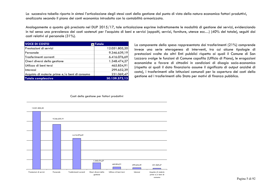La successiva tabella riporta in sintesi l'articolazione degli stessi costi della gestione dal punto di vista della natura economica fattori produttivi,analizzata secondo il piano dei conti economico introdotto con la contabilità armonizzata.

Analogamente a quanto già precisato nel DUP 2015/17, tale articolazione esprime indirettamente le modalità di gestione dei servizi, evidenziando in tal senso una prevalenza dei costi sostenuti per l'acquisto di beni e servizi (appalti, servizi, forniture, utenze ecc…) (40% del totale), seguiti daicosti relativi al personale (31%).

| <b>VOCE DI COSTO</b>                                                       | <b>Totale</b> |
|----------------------------------------------------------------------------|---------------|
| Prestazioni di servizi                                                     | 12.051.805,20 |
| lPersonale                                                                 | 9.346.639,19  |
| lTrasferimenti correnti                                                    | 6.416.076,69  |
| Oneri diversi della gestione                                               | 1.348.474,27  |
| Utilizzo di beni terzi                                                     | 465.854,91    |
| l Interessi                                                                | 299.652,39    |
|                                                                            | 231.069,47    |
|                                                                            | 30.159.572,13 |
| Acquisto di materie prime e/o beni di consumo<br><b>Totale complessivo</b> |               |

La componente della spesa rappresentata dai trasferimenti (21%) comprende invece una serie eterogenea di interventi, tra cui alcune tipologie di prestazioni svolte da altri Enti pubblici rispetto ai quali il Comune di San Lazzaro svolge le funzioni di Comune capofila (Ufficio di Piano), le erogazioni economiche a favore di cittadini in condizioni di disagio socio-economico (rispetto ai quali il dato finanziario assume il significato di output anziché di costo), i trasferimenti alle Istituzioni comunali per la copertura dei costi della gestione ed i trasferimenti allo Stato per motivi di finanza pubblica.

#### Costi della gestione per fattori produttivi

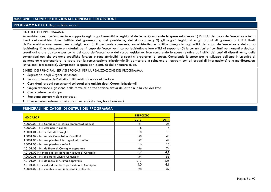## **MISSIONE 1: SERVIZI ISTITUZIONALI, GENERALI E DI GESTIONE**

# **PROGRAMMA 01.01 Organi Istituzionali**

#### FINALITA' DEL PROGRAMMA

Amministrazione, funzionamento e supporto agli organi esecutivi e legislativi dell'ente. Comprende le spese relative a: 1) l'ufficio del capo dell'esecutivo a tutti i livelli dell'amministrazione: l'ufficio del governatore, del presidente, del sindaco, ecc; 2) gli organi legislativi e gli organi di governo a tutti i livelli dell'amministrazione: assemblee, consigli, ecc; 3) il personale consulente, amministrativo e politico assegnato agli uffici del capo dell'esecutivo e del corpo legislativo; 4) le attrezzature materiali per il capo dell'esecutivo, il corpo legislativo e loro uffici di supporto; 5) le commissioni e i comitati permanenti o dedicati creati dal o che agiscono per conto del capo dell'esecutivo o del corpo legislativo. Non comprende le spese relative agli uffici dei capi di dipartimento, delle commissioni ecc. che svolgono specifiche funzioni e sono attribuibili a specifici programmi di spesa. Comprende le spese per lo sviluppo dell'ente in un'ottica di governante e partenariato; le spese per la comunicazione istituzionale (in particolare in relazione ai rapporti con gli organi di informazione) e le manifestazioni istituzionali (cerimoniale). Comprende le spese per le attività del difensore civico.

SINTESI DEI PRINCIPALI SERVIZI EROGATI PER LA REALIZZAZIONE DEL PROGRAMMA

- Segreteria degli Organi Istituzionali
- •Supporto tecnico dell'attività Politico-Istituzionale del Sindaco
- Cura degli aspetti comunicativi collegati alle attività degli Organi istituzionali
- •Organizzazione e gestione delle forme di partecipazione attiva dei cittadini alla vita dell'Ente
- •Cura conferenze stampa
- •Rassegna stampa web e cartacea
- Comunicazioni esterne tramite social network (twitter, face book ecc)

| <b>INDICATORI</b>                                      |      | <b>ESERCIZIO</b> |  |
|--------------------------------------------------------|------|------------------|--|
|                                                        | 2013 | 2014             |  |
| A0002.00 - Nr. Consiglieri in carica (compresoSindaco) | 21   | 25               |  |
| A0002.00 - Nr. Assessori in carica                     | 6    | $\overline{4}$   |  |
| A0001.01 - Nr. sedute di Consiglio                     | 18   | 8                |  |
| A0001.02 - Nr. sedute Commissioni Consiliari           | 58   | 43               |  |
| A0001.05 - Nr. complessivo interrogazioni consiliari   | 52   | 47               |  |
| A0001.06 - Nr. complessivo mozioni                     | 16   | 10 <sup>1</sup>  |  |
| A0101.03 - Nr. delibere di Consiglio approvate         | 66   | 74               |  |
| A0101.00 Nr. medio di delibere per seduta di Consiglio | 3,7  | 4,1              |  |
| A0002.01 - Nr. sedute di Giunta Comunale               | 54   | 55               |  |
| A0101.04 - Nr. delibere di Giunta approvate            | 217  | 226              |  |
| A0101.00 Nr. medio di delibere per seduta di Consiglio | 4,0  | 4,1              |  |
| A0004.09 - Nr. manifestazioni istituzionali realizzate | 28   | 32               |  |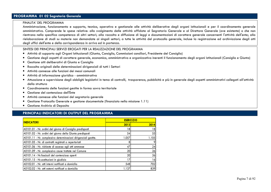# **PROGRAMMA 01 02 Segreteria Generale**

#### FINALITA' DEL PROGRAMMA

 Amministrazione, funzionamento e supporto, tecnico, operativo e gestionale alle attività deliberative degli organi istituzionali e per il coordinamento generale amministrativo. Comprende le spese relative: allo svolgimento delle attività affidate al Segretario Generale e al Direttore Generale (ove esistente) o che non rientrano nella specifica competenza di altri settori; alla raccolta e diffusione di leggi e documentazioni di carattere generale concernenti l'attività dell'ente; alla rielaborazione di studi su materie non demandate ai singoli settori; a tutte le attività del protocollo generale, incluse la registrazione ed archiviazione degli atti degli uffici dell'ente e della corrispondenza in arrivo ed in partenza.

SINTESI DEI PRINCIPALI SERVIZI EROGATI PER LA REALIZZAZIONE DEL PROGRAMMA

- Attività di supporto agli Organi Istituzionali (Giunta, Consiglio, Commissioni consiliari, Presidente del Consiglio)
- •Gestione degli aspetti di carattere generale, economico, amministrativo e organizzativo inerenti il funzionamento degli organi istituzionali (Consiglio e Giunta)
- •Gestione atti deliberativi di Giunta e Consiglio
- •Raccolta originali delle determinazioni dirigenziali di tutti i Settori
- •Attività connesse alle funzioni dei messi comunali
- •Attività di informazione giuridico - amministrativa
- Attuazione e supervisione degli obblighi legislativi in tema di controlli, trasparenza, pubblicità e più in generale degli aspetti amministrativi collegati all'attività •della struttura
- Coordinamento delle funzioni gestite in forma sovra territoriale
- •Gestione del contenzioso dell'Ente
- •Attività connesse alle funzioni del segretario generale
- •Gestione Protocollo Generale e gestione documentale (finanziato nella missione 1.11)
- Gestione Archivio di Deposito

| <b>INDICATORI</b>                                               | <b>ESERCIZIO</b> |       |
|-----------------------------------------------------------------|------------------|-------|
|                                                                 | 2013             | 2014  |
| A0101.01 - Nr. ordini del giorno di Consiglio predisposti       | 18               | 18    |
| A0101.02 - Nr. ordini del giorno della Giunta predisposti       | 54               | 55    |
| A0101.11 - Nr. complessivo determinazioni dirigenziali gestite. | 1.057            | 1.105 |
| A0101.05 - Nr. di contratti registrati o repertoriati           | 8                |       |
| A0101.06 - Nr. richieste di accesso agli atti ammesse           | 47               | 24    |
| A0101.09 - Nr. complessivo cause trattate nel Comune            | 20 <sup>1</sup>  | 26    |
| A0101.14 - Nr.fascicoli del contenzioso aperti                  | 20               | 26    |
| A0101.15 - Nr.costituzioni in giudizio                          | 17               | 16    |
| A0102.01 - Nr. atti interni notificati a domicilio              | 548              | 702   |
| A0102.02 - Nr. atti esterni notificati a domicilio              | 1.137            | 839   |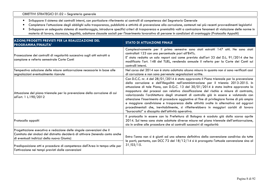## OBIETTIVI STRATEGICI 01.02 – Segreteria generale

- •Sviluppare il sistema dei controlli interni, con particolare riferimento ai controlli di competenza del Segretario Generale
- •Completare l'attuazione degli obblighi sulla trasparenza, pubblicità e attività di prevenzione alla corruzione, contenuti nei più recenti provvedimenti legislativi
- •Sviluppare un adeguato sistema di monitoraggio, introdurre specifici criteri di trasparenza e premialità volti a contrastare fenomeni di violazione delle norme in materia di lavoro, sicurezza, legalità, adottare clausole sociali per l'inserimento lavorativo di persone in condizioni di svantaggio (Protocollo Appalti)

| AZIONI/PROGETTI PREVISTI PER LA REALIZZAZIONE DEL<br>PROGRAMMA/FINALITA'                                                                                                                           | <b>STATO DI ATTUAZIONE FINALE</b>                                                                                                                                                                                                                                                                                                                                                                                                                                                                                                                                                                                                                                                                                                                                                                                                                              |  |
|----------------------------------------------------------------------------------------------------------------------------------------------------------------------------------------------------|----------------------------------------------------------------------------------------------------------------------------------------------------------------------------------------------------------------------------------------------------------------------------------------------------------------------------------------------------------------------------------------------------------------------------------------------------------------------------------------------------------------------------------------------------------------------------------------------------------------------------------------------------------------------------------------------------------------------------------------------------------------------------------------------------------------------------------------------------------------|--|
| Prosecuzione dei controlli di regolarità successiva sugli atti estratti a<br>campione e referto semestrale Corte Conti                                                                             | Complessivamente per il primo semestre sono stati estratti 147 atti. Ne sono stati<br>controllati 123 con una percentuale pari all'84%.<br>E' stato redatto un solo report così come previsto dall'art 33 del D.L. 91/2014 che ha<br>modificato l'art. 148 del TUEL, rendendo annuale il referto per la Corte dei Conti sui<br>controlli interni.                                                                                                                                                                                                                                                                                                                                                                                                                                                                                                              |  |
| Tempestiva adozione delle misure anticorruzione necessarie in base alle                                                                                                                            | Nel corso del 2014 non è stata adottata alcuna misura in quanto non si sono verificati casi                                                                                                                                                                                                                                                                                                                                                                                                                                                                                                                                                                                                                                                                                                                                                                    |  |
| segnalazioni eventualmente ricevute<br>Attuazione del piano triennale per la prevenzione della corruzione di cui<br>all'art. 1 L.190/2012                                                          | di corruzione e non sono pervenute segnalazioni scritte.<br>Con D.C.C. nr. 4 del 28/01/2014 è stato approvato il Piano triennale per la prevenzione<br>della corruzione e dell'illegalità nell'amministrazione per il triennio 2013-2015. In<br>attuazione di tale Piano, con D.G.C. 13 del 30/01/2014 è stata inoltre approvata la<br>mappatura dei processi con relativa classificazione del rischio e misure di contrasto,<br>valorizzando l'architettura degli strumenti di controllo già in essere e valutando con<br>attenzione l'inserimento di procedure aggiuntive al fine di privilegiare forme di più ampia<br>e maggiore condivisione e trasparenza delle attività svolte in alternativa ad aggravi<br>procedimentali che, inevitabilmente, si rifletterebbero in maggiori carichi di lavoro<br>"burocratici" a discapito dell'attività operativa. |  |
| Protocollo appalti                                                                                                                                                                                 | Il protocollo in essere con la Prefettura di Bologna è scaduto già dallo scorso aprile<br>2014. Sul tema sono state adottate diverse misure nel piano triennale dell'anticorruzione,<br>sia in ordine alle procedure che ai controlli successivi di regolarità                                                                                                                                                                                                                                                                                                                                                                                                                                                                                                                                                                                                 |  |
| Progettazione esecutiva e redazione delle singole convenzioni che il<br>Comitato dei sindaci del distretto deciderà di attivare (tenendo conto anche<br>di eventuali indirizzi della nuova Giunta) | Entro l'anno non si è giunti ad uno schema definitivo della convenzione condiviso da tutte<br>le parti; pertanto, con DCC 72 del 18/12/14 si è prorogata l'attuale convenzione sino al                                                                                                                                                                                                                                                                                                                                                                                                                                                                                                                                                                                                                                                                         |  |
| Predisposizione atti e procedure di competenza dell'Area in tempo utile per<br>l'attivazione nei tempi previsti dalle convenzioni                                                                  | $31/03/15$ .                                                                                                                                                                                                                                                                                                                                                                                                                                                                                                                                                                                                                                                                                                                                                                                                                                                   |  |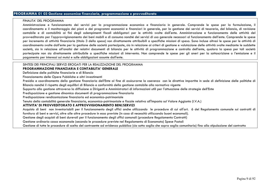#### FINALITA' DEL PROGRAMMA

Amministrazione e funzionamento dei servizi per la programmazione economica e finanziaria in generale. Comprende le spese per la formulazione, il coordinamento e il monitoraggio dei piani e dei programmi economici e finanziari in generale, per la gestione dei servizi di tesoreria, del bilancio, di revisione contabile e di contabilità ai fini degli adempimenti fiscali obbligatori per le attività svolte dall'ente. Amministrazione e funzionamento delle attività del provveditorato per l'approvvigionamento dei beni mobili e di consumo nonché dei servizi di uso generale necessari al funzionamento dell'ente. Comprende le spese per incremento di attività finanziarie (titolo 3 della spesa) non direttamente attribuibili a specifiche missioni di spesa. Sono incluse altresì le spese per le attività di coordinamento svolte dall'ente per la gestione delle società partecipate, sia in relazione ai criteri di gestione e valutazione delle attività svolte mediante le suddette società, sia in relazione all'analisi dei relativi documenti di bilancio per le attività di programmazione e controllo dell'ente, qualora la spesa per tali società partecipate non sia direttamente attribuibile a specifiche missioni di intervento. Non comprende le spese per gli oneri per la sottoscrizione o l'emissione e il pagamento per interessi sui mutui e sulle obbligazioni assunte dall'ente.

SINTESI DEI PRINCIPALI SERVIZI EROGATI PER LA REALIZZAZIONE DEL PROGRAMMA

#### **PROGRAMMAZIONE FINANZIARIA E CONTABILITA' GENERALE**

Definizione delle politiche finanziarie e di Bilancio

Finanziamento delle Opere Pubbliche e altri investimenti

 Presidio e coordinamento della gestione finanziaria dell'Ente al fine di assicurarne la coerenza con le direttive impartite in sede di definizione delle politiche di Bilancio nonché il rispetto degli equilibri di Bilancio e conformità della gestione contabile alla normativa vigente

Supporto alla gestione attraverso la diffusione a Dirigenti e Amministratori di informazioni utili per l'attuazione delle strategie dell'Ente

Predisposizione e gestione dinamica documenti di programmazione finanziaria

Predisposizione rendicontazione finanziaria ed economico-patrimoniale

Tenuta della contabilità generale finanziaria, economico-patrimoniale e fiscale relativa all'Imposta sul Valore Aggiunto (I.V.A.)

## **ATTIVITA' DI PROVVEDITORATO E APPROVVIGIONAMENTO BENI/SERVIZI**

 Acquisto di beni non inventariabili per il funzionamento degli uffici anche utilizzando le procedure di cui all'art. 6 del Regolamento comunale sui contratti di fornitura di beni e servizi, oltre alle altre procedure in esso previste (in caso di necessità utilizzando buoni economali).

Gestione degli acquisti di beni durevoli per il funzionamento degli uffici comunali (procedure Regolamento Contratti)

Gestione ordinaria cassa economale (secondo le procedure previste nel Regolamento di Economato) Spese Postali

Gestione di tutte le procedure di scelta del contraente ad evidenza pubblica (sia sotto soglia che sopra soglia comunitaria) fino alla stipulazione del contratto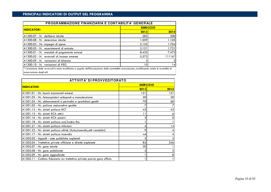| <b>PROGRAMMAZIONE FINANZIARIA E CONTABILITA' GENERALE</b>                                                                                                              |                   |        |
|------------------------------------------------------------------------------------------------------------------------------------------------------------------------|-------------------|--------|
| <b>INDICATORI</b>                                                                                                                                                      | <b>ESER CIZIO</b> |        |
|                                                                                                                                                                        | 2013              | 2014   |
| IA1300.07 - N. delibere istruite                                                                                                                                       | 283               | 300    |
| A1300.08 - N. determine istruite                                                                                                                                       | 1.059             | 1.105  |
| A1300.03 - Nr. impegni di spesa                                                                                                                                        | 2.155             | 1.704  |
| A1300.05 - N. accertamenti di entrata                                                                                                                                  | 2.121             | 1.731  |
| A1300.01 - N. mandati di pagamento emessi                                                                                                                              | 8.435             | 7.472  |
| A1300.02 - N. reversali di incasso emesse                                                                                                                              | 5.572             | 11116* |
| A1300.09 - N. variazioni di bilancio                                                                                                                                   |                   | 31     |
| A1300.10 - N. variazioni di PEG                                                                                                                                        | 10                | 4      |
| * L'emissione delle reversali è stata modificata a seguito dell'introduzione della contabilità armonizzata, modificando anche le modalità di<br>numerazione degli atti |                   |        |

| <b>ATTIVITA' DI PROVVEDITORATO</b>                                        |      |      |
|---------------------------------------------------------------------------|------|------|
| <b>ESER CIZIO</b><br><b>INDICATORI</b>                                    |      |      |
|                                                                           | 2013 | 2014 |
| A1501.01 - Nr. buoni economali emessi                                     | 121  | 151  |
| A1501.03 - Nr. fotocopiatori sottoposti a manutenzione                    | 20   | 20   |
| A1501.04 - Nr. abbonamenti a periodici e quotidiani gestiti               | 70   | 60   |
| A1501.05 - Nr. polizze assicurative gestite                               |      |      |
| A1501.13 - Nr. sinistri polizza RCT                                       | 42   | 43   |
| A1501.15 - Nr. sinistri RCA attivi                                        | 11   |      |
| A1501.16 - Nr. sinistri RCA passivi                                       |      |      |
| A1501.18 - Nr. sinistri polizza ard/kasko Km.                             |      |      |
| A1501.21 - Nr. sinistri polizza infortuni                                 |      | 14   |
| A1501.23 - Nr. sinistri polizza allrisk (furto, incendio, atti vandalici) | 9    |      |
| A1501.17 - Nr. sinistri polizza incendio                                  | nd   |      |
| A1503.02 - Appalti - aste pubbliche espletati                             |      |      |
| A1503.04 - Trattative private ufficiose e dirette espletate               | 82   | 246  |
| A1503.07 - Nr. gare istruite                                              | 30   |      |
| A1503.08 - Nr. gare pubblicate                                            |      |      |
| A1503.09 - Nr. gare aggiudicate                                           |      |      |
| A1503.11 - Cottimo fiduciario ex trattativa privata previa gara ufficio   |      |      |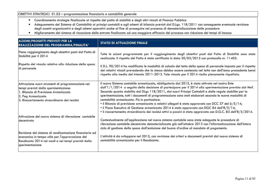## OBIETTIVI STRATEGICI 01.03 – programmazione finanziaria e contabilità generale

- Coordinamento strategie finalizzate al rispetto del patto di stabilità e degli altri vincoli di Finanza Pubblica
- Adeguamento del Sistema di Contabilità ai principi contabili e agli schemi di bilancio previsti dal D.Lgs. 118/2011 con conseguente eventuale revisione degli assetti organizzativi e degli schemi operativi anche al fine di proseguire nel processo di dematerializzazione delle procedure
- Miglioramento del sistema di riscossione delle entrate finalizzato ad una maggiore efficacia del processo con riduzione dei tempi di incasso

| <b>AZIONI/PROGETTI PREVISTI PER LA</b><br><b>REALIZZAZIONE DEL PROGRAMMA/FINALITA'</b>                                                                                                                   | <b>STATO DI ATTUAZIONE FINALE</b>                                                                                                                                                                                                                                                                                                                                                                                                                                                                                                                                                                                                                                                                                                                                                                             |
|----------------------------------------------------------------------------------------------------------------------------------------------------------------------------------------------------------|---------------------------------------------------------------------------------------------------------------------------------------------------------------------------------------------------------------------------------------------------------------------------------------------------------------------------------------------------------------------------------------------------------------------------------------------------------------------------------------------------------------------------------------------------------------------------------------------------------------------------------------------------------------------------------------------------------------------------------------------------------------------------------------------------------------|
| Pieno raggiungimento degli obiettivi posti dal Patto di<br>Stabilità per il 2014                                                                                                                         | Tutte le azioni programmate per il raggiungimento degli obiettivi posti dal Patto di Stabilità sono state<br>realizzate. Il rispetto del Patto è stato certificato in data 30/03/2015 con protocollo nr. 11405.                                                                                                                                                                                                                                                                                                                                                                                                                                                                                                                                                                                               |
| Rispetto del vincolo relativo alla riduzione della spesa<br>di personale                                                                                                                                 | Il D.L. 90/2014 ha modificato le modalità di calcolo del tetto della spesa di personale imposto per il rispetto<br>dei relativi vincoli prevedendo che la stessa debba essere contenuta nel tetto non dell'anno precedente bensì<br>rispetto alla media del triennio 2011-2013. Tale vincolo per il 2014 risulta pienamente rispettato.                                                                                                                                                                                                                                                                                                                                                                                                                                                                       |
| Attivazione nuovi strumenti di programmazione nei<br>tempi previsti dalla sperimentazione:<br>1. Bilancio di Previsione Armonizzato<br>2. Peg Armonizzato<br>3. Riaccertamento straordinario dei residui | Il nuovo Sistema contabile armonizzato, obbligatorio dal 2015, è stato attivato nel nostro Ente<br>dall'1/1/2014 a seguito della decisione di partecipare per il 2014 alla sperimentazione prevista dal Mef.<br>Secondo quanto stabilito dal DLgs 118/2011, dai nuovi Principi Contabili e dalle regole stabilite per la<br>sperimentazione, tutti i documenti di programmazione sono stati elaborati secondo le nuove modalità di<br>contabilità armonizzata. Più in particolare:<br>• il Bilancio di previsione armonizzato e relativi allegati è stato approvato con DCC 37 del $6/5/14$ ;<br>• il Piano Esecutivo di Gestione armonizzato 2014 è stato approvato con DGC 84 dell'8/5/14;<br>• il riaccertamento straordinario dei residui attivi e passivi è stato approvato con D.G.C. 83 dell'8/5/2014. |
| Attivazione del nuovo sistema di rilevazione contabile<br>ldecentrato                                                                                                                                    | Contestualmente all'applicazione nel nuovo sistema contabile sono state adeguate le procedure di<br>rilevazione contabile decentrate dematerializzate già nell'ottobre 2013 con l'informatizzazione dell'intero<br>ciclo di gestione della spesa dall'emissione del buono d'ordine al mandato di pagamento.                                                                                                                                                                                                                                                                                                                                                                                                                                                                                                   |
| Revisione del sistema di rendicontazione finanziaria ed<br>economica in tempo utile per l'approvazione del<br>Rendiconto 2014 nei modi e nei tempi previsti dalla<br>sperimentazione                     | L'attività è da sviluppare nel 2015, con revisione dei criteri e documenti previsti dal nuovo sistema di<br>contabilità armonizzata per il Rendiconto.                                                                                                                                                                                                                                                                                                                                                                                                                                                                                                                                                                                                                                                        |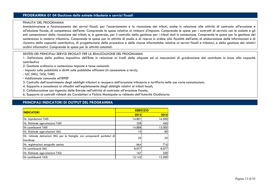# **PROGRAMMA 01 04 Gestione delle entrate tributarie e servizi fiscali**

#### FINALITA' DEL PROGRAMMA

 Amministrazione e funzionamento dei servizi fiscali, per l'accertamento e la riscossione dei tributi, anche in relazione alle attività di contrasto all'evasione e all'elusione fiscale, di competenza dell'ente. Comprende le spese relative ai rimborsi d'imposta. Comprende le spese per i contratti di servizio con le società e gli enti concessionari della riscossione dei tributi, e, in generale, per il controllo della gestione per i tributi dati in concessione. Comprende le spese per la gestione del contenzioso in materia tributaria. Comprende le spese per le attività di studio e di ricerca in ordine alla fiscalità dell'ente, di elaborazione delle informazioni e di riscontro della capacità contributiva, di progettazione delle procedure e delle risorse informatiche relative ai servizi fiscali e tributari, e della gestione dei relativi archivi informativi. Comprende le spese per le attività catastali.

#### SINTESI DEI PRINCIPALI SERVIZI EROGATI PER LA REALIZZAZIONE DEL PROGRAMMA

1. Definizione della politica impositiva dell'Ente in relazione ai livelli delle aliquote ed ai meccanismi di graduazione del contributo in base alla capacità contributiva

- 2. Gestione ordinaria e contenzioso imposte e tasse comunali:
- Imposta sulla pubblicità e diritti sulle pubbliche affissioni (in concessione a terzi);
- IUC (IMU, TASI, TARI)
- Addizionale comunale all'IRPEF
- 3. Controllo dell'assolvimento degli obblighi tributari e recupero dell'evasione tributaria e tariffaria nelle sue varie connotazioni;
- 4. Supporto e consulenza ai cittadini nell'espletamento degli obblighi relativi ai tributi locali;
- 5. Collaborazione con Agenzia delle Entrate nell'attività di contrasto all'evasione fiscale;
- 6. Supporto ai controlli richiesti da Carabinieri e Polizia Municipale su richiesta dell'Autorità Giudiziaria.

| <b>INDICATORI</b>                                                                    | <b>ESERCIZIO</b> |        |
|--------------------------------------------------------------------------------------|------------------|--------|
|                                                                                      | 2013             | 2014   |
| Nr. liquidazioni TARI                                                                | 14.801           | 16.500 |
| Nr. Richieste agevolazioni TARI                                                      | 358              | 460    |
| Nr contribuenti TARI                                                                 | 14.888           | 15.000 |
| Nr. Richieste agevolazioni IMU                                                       | 10               | 80     |
| Nr. richieste detrazioni IMU per le famiglie con componenti portatori di<br>handicap | 25               | 25     |
| Nr. registrazioni anagrafe canina                                                    | 664              | 716    |
| Nr contribuenti IMU                                                                  | 8.077            | 8.077  |
| Nr. Richieste agevolazioni TASI                                                      | 167              | 250    |
| Nr contribuenti TASI                                                                 | 13.143           | 13.200 |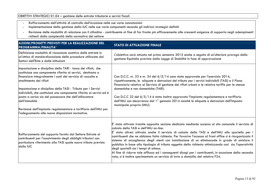# OBIETTIVI STRATEGICI 01.04 – gestione delle entrate tributarie e servizi fiscali -

- Rafforzamento dell'attività di controllo dell'evasione nelle sue varie connotazioni -
- Implementazione della gestione della IUC nelle sue varie componenti secondo gli indirizzi strategici definiti<br>- Revisione delle modalità di relazione con il cittadino contribuente al fine di far fronte più efficacement
- Revisione delle modalità di relazione con il cittadino contribuente al fine di far fronte più efficacemente alle crescenti esigenze di supporto negli adempimenti richiesti dalla complessità della normativa del settore

| AZIONI/PROGETTI PREVISTI PER LA REALIZZAZIONE DEL<br><b>PROGRAMMA/FINALITA'</b>                                                                                                                                                                                                                                                                                                                                                                                                                                                                                    | <b>STATO DI ATTUAZIONE FINALE</b>                                                                                                                                                                                                                                                                                                                                                                                                                                                                                                                                                                                                                                                                                                                                                                                     |
|--------------------------------------------------------------------------------------------------------------------------------------------------------------------------------------------------------------------------------------------------------------------------------------------------------------------------------------------------------------------------------------------------------------------------------------------------------------------------------------------------------------------------------------------------------------------|-----------------------------------------------------------------------------------------------------------------------------------------------------------------------------------------------------------------------------------------------------------------------------------------------------------------------------------------------------------------------------------------------------------------------------------------------------------------------------------------------------------------------------------------------------------------------------------------------------------------------------------------------------------------------------------------------------------------------------------------------------------------------------------------------------------------------|
| Definizione modalità di riscossione coattiva delle entrate in<br>un'ottica di standardizzazione delle procedure utilizzate dai<br>Settori dell'Ente e dalle Istituzioni                                                                                                                                                                                                                                                                                                                                                                                            | L'obiettivo sarà attuato nel primo semestre 2015 anche a seguito di un'ulteriore proroga della<br>gestione Equitalia prevista dalla Legge di Stabilità in fase di approvazione                                                                                                                                                                                                                                                                                                                                                                                                                                                                                                                                                                                                                                        |
| Impostazione e disciplina della TARI - tassa dei rifiuti, che<br>costituisce una componente riferita ai servizi, destinata a<br>finanziare integralmente i costi del servizio di raccolta e<br>smaltimento dei rifiuti<br>Impostazione e disciplina della TASI - Tributo per i Servizi<br>Indivisibili, che costituisce una componente riferita ai servizi ed è<br>posta a carico sia del possessore che dell'utilizzatore<br>dell'immobile<br>Revisione dell'impianto regolamentare e tariffario dell'IMU per<br>l'adeguamento alle nuove disposizioni normative. | Con D.C.C. nr. 33 e nr. 34 del 6/5/14 sono state approvate per l'esercizio 2014,<br>rispettivamente, le aliquote e detrazioni del tributo per i servizi indivisibili (TASI) e il Piano<br>Finanziario relativo al Servizio di gestione dei rifiuti urbani e le relative tariffe per le utenze<br>domestiche e non domestiche (TARI).<br>Con D.C.C 32 del 6/5/14 è stato inoltre approvato l'impianto regolamentare e tariffario<br>dell'IMU con decorrenza dal 1° gennaio 2014 nonché le aliquote e detrazioni dell'Imposta<br>municipale propria (IMU).                                                                                                                                                                                                                                                              |
| Rafforzamento del supporto fornito dal Settore Entrate ai<br>contribuenti per l'assolvimento degli obblighi tributari con<br>particolare riferimento alla TASI quale nuovo tributo previsto<br>dalla IUC                                                                                                                                                                                                                                                                                                                                                           | E' stato attivato tramite apposita sezione dedicata mediante accesso al sito comunale il servizio di<br>calcolo della TASI e dell'IMU on-line.<br>stato altresì attivato anche il servizio di calcolo della TASI e dell'IMU allo sportello per i<br>contribuenti che ne abbiano fatto richiesta. Per favorire l'accesso al front office si è riorganizzato il<br>sistema di accoglienza degli utenti con installazione di un eliminacode in grado di smistare il<br>pubblico in base alla tipologia di tributo oggetto della richiesta ottimizzando così sia l'operatività<br>degli sportelli sia i tempi di attesa.<br>Al fine di ridurre tale afflusso ed i conseguenti disagi per i contribuenti, in occasione della seconda<br>rata, si è inoltre sperimentato un servizio di invio a domicilio del relativo F24. |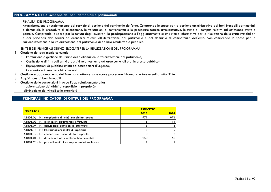# **PROGRAMMA 01 05 Gestione dei beni demaniali e patrimoniali**

#### FINALITA' DEL PROGRAMMA

 Amministrazione e funzionamento del servizio di gestione del patrimonio dell'ente. Comprende le spese per la gestione amministrativa dei beni immobili patrimoniali e demaniali, le procedure di alienazione, le valutazioni di convenienza e le procedure tecnico-amministrative, le stime e i computi relativi ad affittanze attive e passive. Comprende le spese per la tenuta degli inventari, la predisposizione e l'aggiornamento di un sistema informativo per la rilevazione delle unità immobiliari e dei principali dati tecnici ed economici relativi all'utilizzazione del patrimonio e del demanio di competenza dell'ente. Non comprende le spese per larazionalizzazione e la valorizzazione del patrimonio di edilizia residenziale pubblica.

## SINTESI DEI PRINCIPALI SERVIZI EROGATI PER LA REALIZZAZIONE DEL PROGRAMMA

- 1. Gestione del patrimonio comunale:
	- Formazione e gestione del Piano delle alienazioni e valorizzazioni del patrimonio; -
	- -Costituzione diritti reali attivi e passivi relativamente ad aree comunali o di interesse pubblico;
	- -Espropriazioni di pubblica utilità ed occupazioni d'urgenza;
	- Concessione in uso immobili comunali
- 2.Gestione e aggiornamento dell'inventario attraverso le nuove procedure informatiche trasversali a tutto l'Ente.
- 3.Acquisizione di beni immobili
- Gestione delle convenzioni in Aree Peep relativamente alla: 4.
	- trasformazione dei diritti di superficie in proprietà;
	- eliminazione dei vincoli sulle proprietà

| <b>INDICATORI</b>                                          | <b>ESER CIZIO</b> |                   |  |
|------------------------------------------------------------|-------------------|-------------------|--|
|                                                            | 2013              | 2014              |  |
| A1801.06 - Nr. complessivo di unità immobiliari gestite    | 971               | 9711              |  |
| A1801.03 - N. alienazioni patrimoniali effettuate          |                   | 11                |  |
| A1801.04 - N. acquisizioni patrimoniali effettuate         |                   | 5 <sup>1</sup>    |  |
| A1801.18 - Nr. trasformazioni diritto di superficie        |                   | 9                 |  |
| A1801.19 - Nr. eliminazioni vincoli della proprietà        |                   | $\lvert 3 \rvert$ |  |
| A1801.01 - N. di iscrizioni ad inventario beni immobili    | 250               | 60                |  |
| A1801.23 - Nr. procedimenti di esproprio avviati nell'anno |                   |                   |  |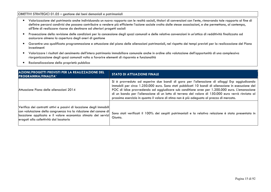#### OBIETTIVI STRATEGICI 01.05 – gestione dei beni demaniali e patrimoniali

- Valorizzazione del patrimonio anche individuando un nuovo rapporto con le realtà sociali, titolari di convenzioni con l'ente, rinnovando tale rapporto al fine di definire percorsi condivisi che possano contribuire a rendere più efficiente l'azione sociale svolta dalle stesse associazioni, e che permettano, al contempo, all'Ente di realizzare risorse da destinare ad ulteriori progetti sociali
- Prosecuzione della revisione delle condizioni per la concessione degli spazi comunali e delle relative convenzioni in un'ottica di redditività finalizzata ad assicurare almeno la copertura degli oneri di gestione
- $\bullet$  Garantire una qualificata programmazione e attuazione del piano delle alienazioni patrimoniali, nel rispetto dei tempi previsti per la realizzazione del Piano investimenti
- Valorizzare i risultati del censimento dell'intero patrimonio immobiliare comunale anche in ordine alla valutazione dell'opportunità di una complessiva riorganizzazione degli spazi comunali volta a favorire elementi di risparmio e funzionalità
- $\bullet$ Razionalizzazione della proprietà pubblica

| AZIONI/PROGETTI PREVISTI PER LA REALIZZAZIONE DEL<br><b>PROGRAMMA/FINALITA'</b>                                                                                                                                                                    | <b>STATO DI ATTUAZIONE FINALE</b>                                                                                                                                                                                                                                                                                                                                                                                                                                                                  |
|----------------------------------------------------------------------------------------------------------------------------------------------------------------------------------------------------------------------------------------------------|----------------------------------------------------------------------------------------------------------------------------------------------------------------------------------------------------------------------------------------------------------------------------------------------------------------------------------------------------------------------------------------------------------------------------------------------------------------------------------------------------|
| Attuazione Piano delle alienazioni 2014                                                                                                                                                                                                            | Si è provveduto ad esperire due bandi di gara per l'alienazione di alloggi Erp aggiudicando<br>immobili per circa 1.250.000 euro. Sono stati pubblicati 10 bandi di alienazione in esecuzione del<br>POC di Idice provvedendo ad aggiudicare sub conditione aree per 1.200.000 euro. L'emanazione<br>di un bando per l'alienazione di un lotto di terreno del valore di 150.000 euro verrà rinviata al<br>prossimo esercizio in quanto il valore di stima non è più adeguato al prezzo di mercato. |
| Verifica dei contratti attivi e passivi di locazione degli immobili<br>con valutazione della congruenza tra la riduzione del canone di<br>locazione applicata e il valore economico stimato dei servizi<br>erogati alla collettività dal locatario | Sono stati verificati il 100% dei cespiti patrimoniali e la relativa relazione è stata presentata in<br>Giunta.                                                                                                                                                                                                                                                                                                                                                                                    |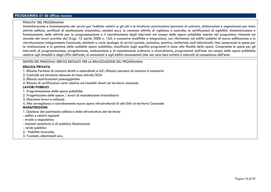# **PROGRAMMA 01 06 Ufficio tecnico**

#### FINALITA' DEL PROGRAMMA

Amministrazione e funzionamento dei servizi per l'edilizia relativi a: gli atti e le istruttorie autorizzative (permessi di costruire, dichiarazioni e segnalazioni per inizio attività edilizia, certificati di destinazione urbanistica, condoni ecc.); le connesse attività di vigilanza e controllo; le certificazioni di agibilità. Amministrazione e funzionamento delle attività per la programmazione e il coordinamento degli interventi nel campo delle opere pubbliche inserite nel programma triennale ed annuale dei lavori previsto dal D.Lgs. 12 aprile 2006 n. 163, e successive modifiche e integrazioni, con riferimento ad edifici pubblici di nuova edificazione o in ristrutturazione/adeguamento funzionale, destinati a varie tipologie di servizi (sociale, scolastico, sportivo, cimiteriale, sedi istituzionali). Non comprende le spese per la realizzazione e la gestione delle suddette opere pubbliche, classificate negli specifici programmi in base alla finalità della spesa. Comprende le spese per gli interventi, di programmazione, progettazione, realizzazione e di manutenzione ordinaria e straordinaria, programmati dall'ente nel campo delle opere pubbliche relative agli immobili e degli uffici dell'ente, ai monumenti e agli edifici monumentali (che non sono beni artistici e culturali) di competenza dell'ente.

#### SINTESI DEI PRINCIPALI SERVIZI EROGATI PER LA REALIZZAZIONE DEL PROGRAMMA

#### **EDILIZIA PRIVATA**

- 1. Rilascio Permessi di costruire diretti o subordinati a IUC; Rilascio permessi di costruire in sanatoria
- 2. Controllo ed istruttoria denunce di inizio attività/SCIA
- 3. Rilascio autorizzazioni paesaggistiche
- 4. Rilascio di certificazioni varie relative ad immobili situati nel territorio comunale

#### **LAVORI PUBBLICI**

- 1. Programmazione delle opere pubbliche
- 2. Progettazione delle opere / lavori di manutenzione straordinaria
- 3. Direzione lavori e collaudo
- 4. Alta sorveglianza e coordinamento nuove opere infrastrutturali di altri Enti sul territorio Comunale

#### **MANUTENZIONI**

- 1. Gestione del patrimonio edilizio e delle infrastrutture del territorio
- edifici e relativi impianti
- strade e segnaletica
- impianti semaforici e di pubblica illuminazione
- verde pubblico
- 2. Viabilità invernale;
- 3. Traslochi, allestimenti ecc.;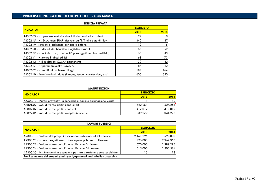| <b>EDILIZIA PRIVATA</b>                                                     |                   |      |  |  |
|-----------------------------------------------------------------------------|-------------------|------|--|--|
| <b>INDICATORI</b>                                                           | <b>ESER CIZIO</b> |      |  |  |
|                                                                             | 2013              | 2014 |  |  |
| A4302.03 - Nr. permessi costruire rilasciati - incl.varianti ed.privata     | 24                | 10   |  |  |
| $A4302.15$ - Nr. D.I.A. (non SUAP) ricevute dall' $1/1$ alla data di rilev. | 440               | 87   |  |  |
| A4302.19 - sanzioni e ordinanze per opere difformi                          | 12 <sub>1</sub>   |      |  |  |
| A4302.20 - N. decreti di abitabilita e agibilita rilasciati                 | 65                | 52   |  |  |
| A4302.37 - Nr. autorizzazz / conformità paesaggistiche rilasc (edilizia)    | 65                | 43   |  |  |
| A4302.41 - Nr.controlli abusi edilizi                                       | 63                | 73   |  |  |
| A4302.42 - Nr.liquidazioni COSAP permanente                                 | 30                | 32   |  |  |
| A4302.17 - Nr pareri preventivi C.Q.A.P.                                    | 87                | 22   |  |  |
| A4002.02 - Nr.certificati capienza alloggi                                  | 187               | 164  |  |  |
| A4302.10 - Autorizzazioni ridotte (insegne, tende, manutenzioni, ecc.)      | 600               | 320  |  |  |

| <b>MANUTENZIONI</b>                                                     |                   |           |  |  |
|-------------------------------------------------------------------------|-------------------|-----------|--|--|
| <b>INDICATORI</b>                                                       | <b>ESER CIZIO</b> |           |  |  |
|                                                                         | 2013              | 2014      |  |  |
| A4500.10 - Pareri preventivi su concessioni edilizie sistemazione verde |                   | 40        |  |  |
| A3801.02 - Mq. di verde gestiti zona ovest                              | 622.267           | 624.266   |  |  |
| A3802.02 - Mq. di verde gestiti zona est                                | 417.012           | 417.012   |  |  |
| A3899.06 - Mg. di verde gestiti complessivamente                        | 1.039.279         | 1.041.278 |  |  |
|                                                                         |                   |           |  |  |

| <b>LAVORI PUBBLICI</b>                                                      |                   |           |  |  |  |
|-----------------------------------------------------------------------------|-------------------|-----------|--|--|--|
| <b>INDICATORI</b>                                                           | <b>ESER CIZIO</b> |           |  |  |  |
|                                                                             | 2013              | 2014      |  |  |  |
| A2300.18 - Valore dei progetti esec.opere pub.realiz.all'int.Comune         | 2.161.295         | 597.000   |  |  |  |
| A2300.20 - valore progetti esecuzione opere pub.realiz.all'esterno          | 726.000           | 2.962.350 |  |  |  |
| A2300.22 - Valore opere pubbliche realizz.con DL. interna                   | 670.000           | 1.989.295 |  |  |  |
| A2300.24 - Valore opere pubbliche realizz.con D.L. esterna                  | 515.000           | 1.300.584 |  |  |  |
| A2300.25 - Nr. interventi in economia per realizzazione opere pubbliche     | $\mathcal{L}$     | 131       |  |  |  |
| Per il contenuto dei progetti predisposti/approvati vedi tabella successiva |                   |           |  |  |  |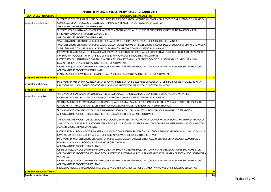| PROGETTI PRELIMINARI, DEFINITIVI/ESECUTIVI ANNO 2014 |                                                                                                                          |              |  |
|------------------------------------------------------|--------------------------------------------------------------------------------------------------------------------------|--------------|--|
| <b>STATO DEL PROGETTO</b>                            | <b>OGGETTO DEL PROGETTO</b>                                                                                              |              |  |
|                                                      | "INTERVENTI STRUTTURALI DI RIDUZIONE DEL RISCHIO SISMICO E ADEGUAMENTO ALLE NORME DI PREVENZIONE INCENDI DEL PALAZZO     |              |  |
| progetto preliminare                                 | COMUNALE DI SAN LAZZARO DI SAVENA SITO IN PIAZZA BRACCI, 1 A SAN LAZZARO DI SAVENA":                                     |              |  |
|                                                      | APPROVAZIONE PROGETTO PRELIMINARE                                                                                        | 1            |  |
|                                                      | "INTERVENTO DI RISANAMENTO CONSERVATIVO ED ADEGUAMENTO ALLE NORME DI PREVENZIONE INCENDI DELLA SCUOLA PER                |              |  |
|                                                      | L'INFANZIA CANOVA IN VIA F.LLI CANOVA 49":                                                                               |              |  |
|                                                      | APPROVAZIONE PROGETTO PRELIMINARE                                                                                        | 1            |  |
|                                                      | "MANUTENZIONE STRAORDINARIA COPERTURA PALESTRA KENNEDY": APPROVAZIONE PROGETTO PRELIMINARE.                              | $\mathbf{1}$ |  |
|                                                      | "manutenzione straordinaria per l'adeguamento alle norme di prevenzione incendi  della scuola per l'infanzia  maria      |              |  |
|                                                      | TREBBI SITA NEL COMUNE DI SAN LAZZARO DI SAVENA": APPROVAZIONE PROGETTO PRELIMINARE.                                     | $\mathbf{1}$ |  |
|                                                      | INTERVENTI DI ADEGUAMENTO IN MATERIA DI PREVENZINE INCENDI RELATIVO ALLA SCUOLA ELEMENTARE DONINI DI SAN LAZZARO DI      |              |  |
|                                                      | SAVENA, VIA POGGI, 5 - ATTIVITA' 65/C DPR 151: APPROVAZIONE PROGETTO PRELIMINARE                                         | $\mathbf{1}$ |  |
|                                                      | INTERVENTO DI RISTRUTTURAZIONE EDILIZIA DELLA SCUOLA SECONDARIA DI PRIMO GRADO C. JUSSI IN VIA KENNEDY 57 A SAN          |              |  |
|                                                      | LAZZARO DI SAVENA: APPROVAZIONE PROGETTO PRELIMINARE.                                                                    | $\mathbf{1}$ |  |
|                                                      | OPERE DI RIQUALIFICAZIONE URBANA LUNGO LA VIA EMILIA FRAZIONE IDICE, TRATTO DA VIA ANDREOLI AL PONTE SUL FIUME IDICE:    |              |  |
|                                                      | APPROVAZIONE PROGETTO PRELIMINARE                                                                                        | $\mathbf{1}$ |  |
|                                                      | REALIZZAZIONE NUOVA OASI FELINA IN LOCALITÀ CICOGNA: APPROVAZIONE PROGETTO PRELIMINARE                                   | $\mathbf{1}$ |  |
| progetto preliminare Totale                          |                                                                                                                          | 8            |  |
|                                                      | INTERVENTI DI MESSA IN SICUREZZA DELLA EX CAVA "PRETE SANTO" E DELLE AREE CIRCOSTANTI: "ULTERIORI OPERE FINALIZZATE ALLA |              |  |
| progetto definitivo                                  | RIDUZIONE DEL RISCHIO GEOLOGICO":APPROVAZIONE PROGETTO DEFINITIVO - 2º LOTTO DEI LAVORI.                                 | $\mathbf{1}$ |  |
| progetto definitivo Totale                           |                                                                                                                          | $\mathbf{1}$ |  |
|                                                      | "INTERVENTO RISANAMENTO CONSERVATIVO ED ADEGUAMENTO NORMATIVO DELLA PALESTRA POLIVALENTE PALAYURI:                       |              |  |
| progetto esecutivo                                   | RIQUALIFICAZIONE DELLA CENTRALE TERMICA". APPROVAZIONE PROGETTO DEFINITIVO-ESECUTIVO.                                    | 1            |  |
|                                                      | "REALIZZAZIONE DI ATTRAVERSAMENTO TRAMITE GUADO DA REALIZZARSI PRESSO L'ACCESSO SULLA VIA MONTEBELLO NEI PRESSI DEL      |              |  |
|                                                      | CIVICO N. 11 - FRAZIONE CASTEL DEI BRITTI": APPROVAZIONE PROGETTO ESECUTIVO IN LINEA TECNICA.                            | $\mathbf{1}$ |  |
|                                                      | "RISANAMENTO CONSERVATIVO ED ADEGUAMENTO NORMATIVO DELLA PALESTRA POLIVALENTE PALAYURI - 1^ STRALCIO":                   |              |  |
|                                                      | APPROVAZIONE PROGETTO ESECUTIVO CON INTEGRAZIONE DEL QUADRO ECONOMICO                                                    |              |  |
|                                                      |                                                                                                                          | $\mathbf{1}$ |  |
|                                                      | APPROVAZIONE PROGETTO ESECUTIVO E PROTOCOLLO DI INTESA TRA I COMUNI DI LOIANO, MONGHIDORO, MONZUNO, PIANORO,             |              |  |
|                                                      | SAN LAZZARO DI SAVENA E LA COOPERATIVA SOCIALE LO SCOIATTOLO PER LA REALIZZAZIONE DEGLI INTERVENTI DI ADEGUAMENTO E      |              |  |
|                                                      | MANUTENZIONE STRAORDINARIA DE                                                                                            | $\mathbf{1}$ |  |
|                                                      | INTERVENTI DI ADEGUAMENTO IN MATERIA DI PREVENZIONE INCENDI RELATIVO ALLA SCUOLA ELEMENTARE DONINI DI SAN LAZZARO DI     |              |  |
|                                                      | SAVENA, VIA POGGI, 5 - ATTIVITA' 65/C DPR 151: APPROVAZIONE PROGETTO ESECUTIVO.                                          | 1            |  |
|                                                      | INTERVENTI DI MANUTENZIONE STRAORDINARIA PER L'ADEGUAMENTO DEGLI UFFICI AMMINISTRATIVI DELLA SCUOLA ELEMENTARE L.        |              |  |
|                                                      | DONINI SITA IN VIA P. POGGI, 5 A SAN LAZZARO DI SAVENA:                                                                  |              |  |
|                                                      | APPROVAZIONE PROGETTO ESECUTIVO.                                                                                         | 1            |  |
|                                                      | OPERE DI RIQUALIFICAZIONE URBANA LUNGO LA VIA EMILIA FRAZIONE IDICE, TRATTO DA VIA ANDREOLI AL PONTE SUL FIUME IDICE:    |              |  |
|                                                      | APPROVAZIONE PROGETTO ESECUTIVO DEGLI INTERVENTI INTEGRATIVI PER LA REALIZZAZIONE DI UN'AREA DI SOSTA LATO NORD DELLA    |              |  |
|                                                      | <b>VIA EMILIA</b>                                                                                                        | $\mathbf{1}$ |  |
|                                                      | OPERE DI RIQUALIFICAZIONE URBANA LUNGO LA VIA EMILIA FRAZIONE IDICE, TRATTO DA VIA ANDREOLI AL PONTE SUL FIUME IDICE:    |              |  |
|                                                      | APPROVAZIONE PROGETTO ESECUTIVO.                                                                                         | 1            |  |
|                                                      | PROGETTO PILOTA DI RICONOSCIBILITA' DEL SERVIZIO FERROVIARIO METROPOLITANO: APPROVAZIONE PROGETTO ESECUTIVO              | $\mathbf{1}$ |  |
| progetto esecutivo Totale                            |                                                                                                                          | 9            |  |
| Totale complessivo                                   |                                                                                                                          | 18           |  |
|                                                      |                                                                                                                          |              |  |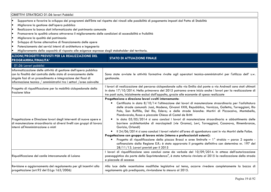| OBIETTIVI STRATEGICI 01.06 lavori Pubblici                                                                                                                                                                                                                                                                                                                                                                                                                                                                                                            |                                                                                                                                                                                                                                                                                                                                                                                                                                                                                                                                                                                                                                                                                                                                                                                                                                                                                                                                                                                                                                                                                                                                             |  |  |  |
|-------------------------------------------------------------------------------------------------------------------------------------------------------------------------------------------------------------------------------------------------------------------------------------------------------------------------------------------------------------------------------------------------------------------------------------------------------------------------------------------------------------------------------------------------------|---------------------------------------------------------------------------------------------------------------------------------------------------------------------------------------------------------------------------------------------------------------------------------------------------------------------------------------------------------------------------------------------------------------------------------------------------------------------------------------------------------------------------------------------------------------------------------------------------------------------------------------------------------------------------------------------------------------------------------------------------------------------------------------------------------------------------------------------------------------------------------------------------------------------------------------------------------------------------------------------------------------------------------------------------------------------------------------------------------------------------------------------|--|--|--|
| lo<br>Migliorare la gestione dell'opera pubblica<br>lo<br>Realizzare la banca dati informatizzata del patrimonio comunale<br>lo<br>Promuovere la qualità urbana attraverso il miglioramento delle condizioni di accessibilità e fruibilità<br>l.<br>Migliorare la qualità del patrimonio<br>lo<br>Sviluppo di forme alternative di finanziamento delle opere<br>lo<br>Potenziamento dei servizi interni di architettura e ingegneria<br>le<br>Miglioramento della capacità di risposta alle esigenze espresse dagli stakeholder del territorio.<br>lo | Supportare e favorire lo sviluppo dei programmi dell'Ente nel rispetto dei vincoli alle possibilità di pagamento imposti dal Patto di Stabilità                                                                                                                                                                                                                                                                                                                                                                                                                                                                                                                                                                                                                                                                                                                                                                                                                                                                                                                                                                                             |  |  |  |
| <b>AZIONI/PROGETTI PREVISTI PER LA REALIZZAZIONE DEL</b><br><b>STATO DI ATTUAZIONE FINALE</b><br><b>PROGRAMMA/FINALITA'</b>                                                                                                                                                                                                                                                                                                                                                                                                                           |                                                                                                                                                                                                                                                                                                                                                                                                                                                                                                                                                                                                                                                                                                                                                                                                                                                                                                                                                                                                                                                                                                                                             |  |  |  |
| 01.06 Lavori pubblici                                                                                                                                                                                                                                                                                                                                                                                                                                                                                                                                 |                                                                                                                                                                                                                                                                                                                                                                                                                                                                                                                                                                                                                                                                                                                                                                                                                                                                                                                                                                                                                                                                                                                                             |  |  |  |
| Informatizzazione delle attività di gestione dell'opera pubblica<br>con la finalità del controllo dello stato di avanzamento delle<br>singole fasi di un procedimento e integrazione dei flussi di<br>informazione tecnico / amministrativi tra i settori / aree coinvolte                                                                                                                                                                                                                                                                            | Sono state avviate le attività formative rivolte agli operatori tecnico-amministrativi per l'utilizzo dell' s.w.<br>gestionale.                                                                                                                                                                                                                                                                                                                                                                                                                                                                                                                                                                                                                                                                                                                                                                                                                                                                                                                                                                                                             |  |  |  |
| Progetto di riqualificazione per la mobilità ciclopedonale della<br>frazione Idice                                                                                                                                                                                                                                                                                                                                                                                                                                                                    | I lavori di realizzazione del percorso ciclopedonale sulla via Emilia dal ponte a via Andreoli sono stati ultimati<br>in data 17/10/2014. Nella primavera del 2015 potranno avere inizio anche i lavori per la realizzazione di<br>tre posti auto, inizialmente esclusi dall'appalto, grazie alle economie di spesa realizzate                                                                                                                                                                                                                                                                                                                                                                                                                                                                                                                                                                                                                                                                                                                                                                                                              |  |  |  |
| Progettazione e Direzione lavori degli interventi di nuove opere e<br>di manutenzione straordinaria ai diversi livelli con gruppi di lavoro<br>interni all'Amministrazione o misti                                                                                                                                                                                                                                                                                                                                                                    | Progettazione e direzione lavori svolti internamente:<br>Certificata in data 8/10/14 l'ultimazione dei lavori di manutenzione straordinaria per l'asfaltatura<br>$\bullet$<br>delle strade comunali: Jussi, Modena, Givanni XXIII, Repubblica, Vernizza, Galletta, Torreggiani, Rio<br>Polo, San Ruffillo, Del Rio, Edera; e delle strade bianche: Martiri di Pizzocalvo, Montebello,<br>Piombvarola, Russo e piazzale Chiesa di Castel de Britti<br>In data 05/05/2014 si sono conclusi i lavori di manutenzione straordinaria e abbattimento delle<br>barriere architettoniche di marciapiedi (vie Gramsci, Levi, Torreggiani, Casanova, Rimembranze,<br>Gorizia, Orlandi)<br>Il 24/06/2014 si sono conclusi i lavori relativi all'area di sgambatura cani in via Martiri delle Foibe.<br>$\bullet$<br>Progettazione con gruppo di lavoro misto (interno e professionisti esterni):<br>Progetto di riqualificazione della piazza Bracci e aree limitrofe - 1° stralcio - parco 2 agosto -<br>cofinanziato dalla Regione E.R.: è stato approvato il progetto definitivo con determina nr. 197 del<br>28/11/13. Lavori previsti per il 2015 |  |  |  |
| Riqualificazione del canile intercomunale di Loiano                                                                                                                                                                                                                                                                                                                                                                                                                                                                                                   | I lavori di riqualificazione sono conclusi come da verbale del 10/09/2014. In attesa dell'autorizzazione<br>paesaggistica da parte della Soprintendenza", è stata tuttavia rinviata al 2015 la realizzazione della strada<br>e piazzale di accesso                                                                                                                                                                                                                                                                                                                                                                                                                                                                                                                                                                                                                                                                                                                                                                                                                                                                                          |  |  |  |
| Revisione e aggiornamento del regolamento per gli incentivi alla<br>progettazione (art.92 del D.Lgs 163/2006)                                                                                                                                                                                                                                                                                                                                                                                                                                         | Alla luce delle recentissime modifiche legislative sul tema, occorre rivedere completamente la bozza di<br>regolamento già predisposta, rinviandone la stesura al 2015.                                                                                                                                                                                                                                                                                                                                                                                                                                                                                                                                                                                                                                                                                                                                                                                                                                                                                                                                                                     |  |  |  |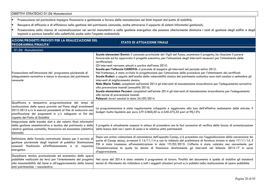OBIETTIVI STRATEGICI 01.06 Manutenzioni

•Prosecuzione nel particolare impegno finanziario e gestionale a favore delle manutenzioni nei limiti imposti dal patto di stabilità;

•Recupero di efficacia e di efficienza nella gestione del patrimonio comunale, anche attraverso il supporto di sistemi informatici gestionali;

•Prosecuzione nella ricerca di razionalizzazioni nei servizi manutentivi e nella gestione energetica che possano ulteriormente diminuire i costi di gestione degli edifici e degli impianti e portare benefici alla collettività anche sotto l'aspetto ambientale

| AZIONI/PROGETTI PREVISTI PER LA REALIZZAZIONE DEL<br>PROGRAMMA/FINALITA'                                                                                                                                                                                                                 |                                                                                                                                                                                                                                                                                                                                                                                                                                                                                                                                                                                                                                                                                                                                                                                                                                                                                                                                                                                                                                                                                                                          | <b>STATO DI ATTUAZIONE FINALE</b>                                                                                                                                                                                                                                                                                                                                                                                                                                                    |
|------------------------------------------------------------------------------------------------------------------------------------------------------------------------------------------------------------------------------------------------------------------------------------------|--------------------------------------------------------------------------------------------------------------------------------------------------------------------------------------------------------------------------------------------------------------------------------------------------------------------------------------------------------------------------------------------------------------------------------------------------------------------------------------------------------------------------------------------------------------------------------------------------------------------------------------------------------------------------------------------------------------------------------------------------------------------------------------------------------------------------------------------------------------------------------------------------------------------------------------------------------------------------------------------------------------------------------------------------------------------------------------------------------------------------|--------------------------------------------------------------------------------------------------------------------------------------------------------------------------------------------------------------------------------------------------------------------------------------------------------------------------------------------------------------------------------------------------------------------------------------------------------------------------------------|
| 01.06 Manutenzioni                                                                                                                                                                                                                                                                       |                                                                                                                                                                                                                                                                                                                                                                                                                                                                                                                                                                                                                                                                                                                                                                                                                                                                                                                                                                                                                                                                                                                          |                                                                                                                                                                                                                                                                                                                                                                                                                                                                                      |
| Prosecuzione nell'attuazione del programma pluriennale di<br>adeguamento normativo e messa in sicurezza del patrimonio<br>comunale                                                                                                                                                       | Scuole elementari Donini: il comando provinciale dei Vigili del Fuoco, esaminato il progetto, ha rilasciato il parere<br>favorevole ed ha approvato il progetto esecutivo, per l'attuazione degli interventi necessari per l'ottenimento delle<br>certificazioni.<br>Gli interventi verranno attuati a partire dall'anno 2015.<br>Scuola per l'infanzia CANOVA: si prevede di eseguire gli interventi nel periodo estivo 2015.<br>Nel frattempo, è stata avviata la progettazione per l'attuazione delle procedure per l'ottenimento dei certificati.<br>Scuole Rodari: a seguito dell'analisi della vulnerabilità sismica del patrimonio scolastico sono stati conclusi a settembre gli<br>interventi di miglioramento sismico.<br>Nido Maria Trebbi: completati nell'estate 2014 gli interventi di manutenzione straordinaria per l'adeguamento normativo<br>alla prevenzione incendi (annualità 2014).<br>Scuola elementare Pezzani: completati nell'estate 2014 gli interventi di manutenzione straordinaria per l'adeguamento<br>alle norme di prevenzione incendi.<br>Palayuri: lavori conclusi in data 24/09/2014 |                                                                                                                                                                                                                                                                                                                                                                                                                                                                                      |
| Qualificata e tempestiva programmazione dei tempi di<br>realizzazione delle opere previste nel Piano degli investimenti<br>2013-2015 e/o in esercizi precedenti al fine di assicurare una<br>pianificazione dei pagamenti in c/c adeguata ai fini del<br>rispetto del Patto di Stabilità |                                                                                                                                                                                                                                                                                                                                                                                                                                                                                                                                                                                                                                                                                                                                                                                                                                                                                                                                                                                                                                                                                                                          | La programmazione è stata regolarmente sviluppata e aggiornata alla luce dell'effettivo andamento delle entrate. Il<br>budget risulta liquidato per euro 3.912.860,20 su 4.340.475,35 pari al 90,15%                                                                                                                                                                                                                                                                                 |
| Integrazione delle banche dati e dei relativi flussi informativi<br>della gestione amministrativa e tecnica del patrimonio e della<br>relativa gestione contabile, finanziaria ed economica (obiettivo<br>biennale)                                                                      |                                                                                                                                                                                                                                                                                                                                                                                                                                                                                                                                                                                                                                                                                                                                                                                                                                                                                                                                                                                                                                                                                                                          | Il progetto è attualmente sospeso in attesa di procedere con le fasi successive di verifica della bozza di armonizzazione<br>della banca dati con i centri di costo e le relative unità patrimoniali                                                                                                                                                                                                                                                                                 |
| Definizione della formula contrattuale idonea per il servizio di<br>gestione pluriennale degli impianti di pubblica illuminazione<br>comunali finalizzata all'efficientamento e al risparmio<br>energetico                                                                               | d'approvazione.                                                                                                                                                                                                                                                                                                                                                                                                                                                                                                                                                                                                                                                                                                                                                                                                                                                                                                                                                                                                                                                                                                          | Dopo una prima valutazione di convenienza dell'appalto Consip, si è proceduto con l'aggiudicazione della convenzione da<br>parte di Consip stessa, avvenuta il 14/11/14 e con la richiesta del preliminare di fornitura inviata in data 17/11/14. Il<br>PDI è stato trasmesso all'amministrazione in data 19/02/2015. L'offerta è stata valutata non conveniente per<br>l'Amministrazione la quale ha deciso di finanziare direttamente gli interventi nel bilancio 2015-17 in corso |
| Disciplinare tecnico prestazionale ed economico delle opere<br>pubbliche realizzate da terzi per l'orientamento del progetto<br>alla manutenibilità del bene e all'aggiornamento della banca<br>dati patrimoniale - manutentiva                                                          |                                                                                                                                                                                                                                                                                                                                                                                                                                                                                                                                                                                                                                                                                                                                                                                                                                                                                                                                                                                                                                                                                                                          | Nel corso del 2014 è stato redatto il programma di lavoro. Finalità del documento è quella di stabilire gli standard<br>tecnici di riferimento da richiedere a tutti i soggetti attuatori privati e/o pubblici nella realizzazione di opere pubbliche.                                                                                                                                                                                                                               |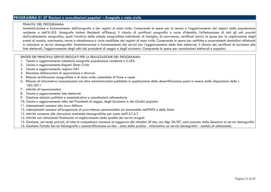# **PROGRAMMA 01 07 Elezioni e consultazioni popolari – Anagrafe e stato civile**

#### FINALITA' DEL PROGRAMMA

 Amministrazione e funzionamento dell'anagrafe e dei registri di stato civile. Comprende le spese per la tenuta e l'aggiornamento dei registri della popolazione residente e dell'A.I.R.E. (Anagrafe Italiani Residenti all'Estero), il rilascio di certificati anagrafici e carte d'identità, l'effettuazione di tutti gli atti previsti dall'ordinamento anagrafico, quali l'archivio delle schede anagrafiche individuali, di famiglia, di convivenza, certificati storici; le spese per la registrazione degli eventi di nascita, matrimonio, morte e cittadinanza e varie modifiche dei registri di stato civile. Comprende le spese per notifiche e accertamenti domiciliari effettuati in relazione ai servizi demografici. Amministrazione e funzionamento dei servizi per l'aggiornamento delle liste elettorali, il rilascio dei certificati di iscrizione alle $\vert$ liste elettorali, l'aggiornamento degli albi dei presidenti di seggio e degli scrutatori. Comprende le spese per consultazioni elettorali e popolari.

#### SINTESI DEI PRINCIPALI SERVIZI EROGATI PER LA REALIZZAZIONE DEL PROGRAMMA

- 1. Tenuta e aggiornamento schedario anagrafe popolazione residente e A.I.R.E.
- 2. Tenuta e aggiornamento Registri Stato Civile
- 3. Tenuta e aggiornamento registro DAT
- 4. Ricezione dichiarazioni di separazione e divorzio
- 5. Rilascio certificazioni anagrafiche e di stato civile; autentiche di firme e copie
- 6. Rilascio di informative/comunicazioni ad altre amministrazioni pubbliche in applicazione della decertificazione posta in essere dalle disposizioni della L. 183/2011
- 7. Attività di toponomastica
- 8. Tenuta e aggiornamento liste elettorali
- 9. Gestione elezioni politiche e amministrative e consultazioni referendarie
- 10. Tenuta e aggiornamento albo dei Presidenti di seggio, degli Scrutatori e dei Giudici popolari
- 11. Adempimenti connessi alla Leva Militare
- 12. Adempimenti connessi all'erogazione di provvidenze pensionistiche ed economiche dell'INPS e dello Stato
- 13. Attività connesse alle rilevazioni statistiche demografiche per conto dell'I.S.T.A.T.
- 14. Attività non istituzionali finalizzate al miglioramento della qualità dei servizi erogati
- 15. Gestione, nei tempi previsti, di tutte le competenze connesse al soggiorno dei cittadini UE che, con dlgs 30/07, sono passate dalle Questure ai servizi demografici
- 16. Gestione Portale Servizi Demografici ( autocertificazione on-line stato della pratica informative sui servizi demografici cambio di abitazione)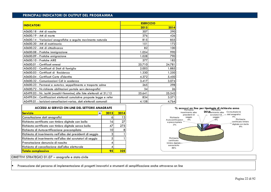# **PRINCIPALI INDICATORI DI OUTPUT DEL PROGRAMMA**

| <b>INDICATORI</b>                                                       | <b>ESER CIZIO</b> |        |  |
|-------------------------------------------------------------------------|-------------------|--------|--|
|                                                                         | 2013              | 2014   |  |
| A0600.18 - Atti di nascita                                              | 307               | 290    |  |
| A0600.19 - Atti di morte                                                | 376               | 426    |  |
| A0600.14 - Variazioni anagrafiche a seguito movimento naturale          | 815               | 855    |  |
| A0600.20 - Atti di matrimonio                                           | 151               | 172    |  |
| A0600.22 - Atti di cittadinanza                                         | 82                | 100    |  |
| A0600.08 - Pratiche immigrazione                                        | 1.054             | 990    |  |
| A0600.09 - Pratiche emigrazione                                         | 1.028             | 790    |  |
| A0600.10 - Pratiche AIRE                                                | 377               | 182    |  |
| A0600.01 - Certificati emessi                                           | 25.710            | 24.781 |  |
| A0600.02 - Certificati di Stati di famiglia                             | 2.003             | 1.885  |  |
| A0600.03 - Certificati di Residenza                                     | 1.330             | 1.250  |  |
| A0600.04 - Certificati Carte d'Identita                                 | 4.372             | 5.450  |  |
| A0600.32 - Comunicazioni Cdl in scadenza                                | 3.417             | 3.074  |  |
| A0600.23 - Permessi e autorizz. seppellimento e trasporto salme         | 265               | 298    |  |
| A0600.72 - Nr.richieste abilitazioni portale serv.demografici           | 34                | 26     |  |
| A0499.03 - Nr. iscritti (maschi+femmine) alle liste elettorali al 31/12 | 25.641            | 25.542 |  |
| A0499.04 - Certificazioni elettorali cumulative proposte legge e refer  | 834               | 3.571  |  |
| A0499.01 - Iscrizioni-cancellazioni-variaz. dati elettorali comunali    | 4.158             | 4.764  |  |

| <b>ACCESSI AI SERVIZI ON LINE DEL SETTORE ANAGRAFE</b>      |         |      | % accessi on line per tipologia di richiesta anno                        |
|-------------------------------------------------------------|---------|------|--------------------------------------------------------------------------|
| <b>Servizio</b>                                             | 2013    | 2014 | 201 Serimento albo<br>Consultazion<br>inserimento albo<br>dati anagrafic |
| Consultazione dati anagrafici                               |         |      | presidenti di<br>scrutatori di<br>seggio<br>seggio<br>Richiesta          |
| Richiesta certificato con timbro digitale con bollo         | $\circ$ | 27   | $0\%$<br>Autocertificazion<br>e precompilata                             |
| Richiesta certificato con timbro digitale senza bollo       | 47      | 275  | 2%                                                                       |
| Richiesta di Autocertificazione precompilata                | l Ol    |      |                                                                          |
| Richiesta di inserimento nell'albo dei presidenti di seggio |         |      |                                                                          |
| Richiesta di inserimento nell'albo dei scrutatori di seggio |         |      | Richiesta                                                                |
| Prenotazione denuncia di nascita                            |         |      | certificato<br>timbro digitale-                                          |
| Richiesta di cancellazione dall'albo elettorale             |         |      | senza bollo<br>86%                                                       |
| <mark>'Totale complessivo'</mark>                           | 95      | 325  |                                                                          |



OBIETTIVI STRATEGICI 01.07 – anagrafe e stato civile

•Prosecuzione del percorso di implementazione di progetti innovativi e strumenti di semplificazione anche attraverso on line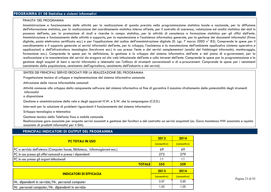#### FINALITA' DEL PROGRAMMA

Amministrazione e funzionamento delle attività per la realizzazione di quanto previsto nella programmazione statistica locale e nazionale, per la diffusione dell'informazione statistica, per la realizzazione del coordinamento statistico interno all'ente, per il controllo di coerenza, valutazione ed analisi statistica dei dati in possesso dell'ente, per la promozione di studi e ricerche in campo statistico, per le attività di consulenza e formazione statistica per gli uffici dell'ente. Amministrazione e funzionamento delle attività a supporto, per la manutenzione e l'assistenza informatica generale, per la gestione dei documenti informatici (firma digitale, posta elettronica certificata ecc.) e per l'applicazione del codice dell'amministrazione digitale (D. Lgs. 7 marzo 2005 n° 82). Comprende le spese per il coordinamento e il supporto generale ai servizi informatici dell'ente, per lo sviluppo, l'assistenza e la manutenzione dell'ambiente applicativo (sistema operativo e applicazioni) e dell'infrastruttura tecnologica (hardware ecc.) in uso presso l'ente e dei servizi complementari (analisi dei fabbisogni informatici, monitoraggio, formazione ecc.). Comprende le spese per la definizione, la gestione e lo sviluppo del sistema informativo dell'ente e del piano di e-government, per la realizzazione e la manutenzione dei servizi da erogare sul sito web istituzionale dell'ente e sulla intranet dell'ente. Comprende le spese per la programmazione e la gestione degli acquisti di beni e servizi informatici e telematici con l'utilizzo di strumenti convenzionali e di e-procurement. Comprende le spese per i censimenti (censimento della popolazione, censimento dell'agricoltura, censimento dell'industria e dei servizi).

#### SINTESI DEI PRINCIPALI SERVIZI EROGATI PER LA REALIZZAZIONE DEL PROGRAMMA

Progettazione tecnica di sviluppo e implementazione del sistema informativo comunale

Attivazione delle risorse informatiche comunali

 Attività connesse allo sviluppo della componente software del sistema informativo al fine di garantire il massimo sfruttamento delle potenzialità degli strumenti informatici

a disposizione

Gestione e amministrazione della rete e degli apparati H.W. e S.W. che la compongono (C.E.D.)

Interventi per la soluzione di problemi riguardanti il funzionamento del sistema informativo

Sviluppo tecnologico e telematica

Gestione tecnica della Telefonia fissa e mobile comunale

 Realizzazione gare associate per acquisto servizi associati e gestione dei fornitori e del contratto sui servizi acquistati (es. Gara Assistenza HW associata e cquisto associato di prodotti informatici per il SIA).

# **PRINCIPALI INDICATORI DI OUTPUT DEL PROGRAMMA**

| <b>PC TOTALI IN USO</b>                                                     |      | 2014         |
|-----------------------------------------------------------------------------|------|--------------|
|                                                                             |      | (consuntivo) |
| PC a servizio dell'utenza (Computer house, Biblioteca, Informagiovani ecc.) | 69   | 69           |
| PC in uso presso gli uffici comunali e presso i dipendenti                  | 275  | 279          |
| PC in uso presso gli organi istituzionali                                   | ا ا  | 11           |
| <b>TOTALE</b>                                                               | 355  | 359          |
| <b>INDICATORI DI EFFICACIA</b>                                              |      | 2014         |
|                                                                             |      | (consuntivo) |
| Nr. dipendenti in servizio/Nr. personal computer                            | 0,97 | 0,95         |
| Nr. personal computer/Nr. dipendenti in servizio                            | 1,03 | 1,05         |

Pagina 23 di 92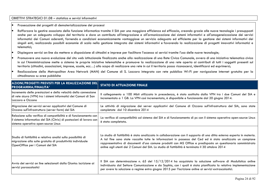#### OBIETTIVI STRATEGICI 01.08 – statistica e servizi informativi

•Prosecuzione dei progetti di dematerializzazione dei processi

•Rafforzare la gestire associata della funzione informatica tramite il SIA per una maggiore efficienza ed efficacia, creando grazie alle nuove tecnologie i presupposti anche per un adeguato sviluppo del territorio e dare un contributo all'integrazione e all'armonizzazione dei sistemi informativi e all'omogeneizzazione dei servizi informatici dei Comuni aderenti, fornendo a condizioni economicamente vantaggiose un servizio adeguato ed efficiente per la gestione dei sistemi informativi dei singoli enti, realizzando possibili economie di scala nella gestione integrata dei sistemi informativi e favorendo la realizzazione di progetti innovativi informatici e telematici;

- •Dispiegare servizi on-line da mettere a disposizione di cittadini e imprese per facilitare l'accesso ai servizi tramite l'uso delle nuove tecnologie;
- • Promuovere una nuova evoluzione del sito web istituzionale finalizzato anche alla realizzazione di una Rete Civica Comunale, ovvero di una iniziativa telematica civica in cui l'Amministrazione mette a sistema le proprie iniziative telematiche e promuove la realizzazione di una rete aperta ai contributi di tutti i soggetti presenti sul territorio (cittadini, associazioni, imprese, scuole, ecc…) allo scopo di realizzare una rete in cui il territorio possa riconoscersi, identificarsi ed esprimersi;
- • Realizzazione della Metropolitan Area Network (MAN) del Comune di S. Lazzaro integrata con rete pubblica Wi-Fi per navigazione internet gratuita per la cittadinanza su aree pubbliche

| <b>AZIONI/PROGETTI PREVISTI PER LA REALIZZAZIONE DEL</b><br><b>PROGRAMMA/FINALITA'</b>                                                                                         | <b>STATO DI ATTUAZIONE FINALE</b>                                                                                                                                                                                                                                                                                                                                                                                                                        |
|--------------------------------------------------------------------------------------------------------------------------------------------------------------------------------|----------------------------------------------------------------------------------------------------------------------------------------------------------------------------------------------------------------------------------------------------------------------------------------------------------------------------------------------------------------------------------------------------------------------------------------------------------|
| Incremento delle prestazioni e della velocità della connessione<br>di rete sicura (VPN) tra i sistemi informatici dei Comuni di San<br>llazzaro e Ozzano                       | Il collegamento a 100 Mbit utilizzato in precedenza, è stato sostituito dalla VPN tra i due Comuni del SIA e<br>incrementato a 1 GB. La VPN così incrementata, è disponibile e funzionante dal 20 giugno 2014.                                                                                                                                                                                                                                           |
| Migrazione dei servizi server applicativi del Comune di<br>Ozzano sull'infrastruttura (server farm) del SIA                                                                    | Le attività di migrazione dei server applicativi del Comune di Ozzano sull'infrastruttura del SIA, sono state<br>completate dal 10 dicembre 2014                                                                                                                                                                                                                                                                                                         |
| Relazione sulla verifica di compatibilità e di funzionamento con<br>il sistema informatico del SIA (Citrix) di postazioni di lavoro con<br>sistema operativo open-source Linux | La verifica di compatibilità col sistema del SIA e di funzionamento di pc con il sistema operativo open-source Linux<br>è stata completata.                                                                                                                                                                                                                                                                                                              |
| Studio di fattibilità e relativa analisi sulla possibilità di<br>migrazione alla suite gratuita di produttività individuale<br>OpenOffice per i Comuni del SIA                 | Lo studio di fattibilità è stato analizzato in collaborazione con il supporto di una ditta esterna esperta in materia.<br>A tal fine sono state raccolte tutte le informazioni in possesso del Ced ed è stato analizzato un campione<br>rappresentativo di documenti d'uso comune prodotti con MS Office e predisposto un questionario somministrato<br>online agli utenti dei 2 Comuni del SIA. Lo studio di fattibilità è terminato il 30 ottobre 2014 |
| Avvio dei servizi on line selezionati dalla Giunta: iscrizione ai<br>servizi parascolastici                                                                                    | Il SIA con determinazione n. 65 del $15/12/2014$ ha acquistato la soluzione software di Modulistica online<br>individuata dal Settore Comunicazione e da Sophia, con i quali è stata pianificata la relativa implementazione<br>per avere la soluzione a regime entro giugno 2015 per l'iscrizione online ai servizi extrascolastici.                                                                                                                    |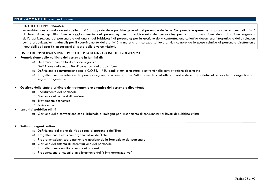# **PROGRAMMA 01 10 Risorse Umane**

#### FINALITA' DEL PROGRAMMA

 Amministrazione e funzionamento delle attività a supporto delle politiche generali del personale dell'ente. Comprende le spese: per la programmazione dell'attività di formazione, qualificazione e aggiornamento del personale; per il reclutamento del personale; per la programmazione della dotazione organica, dell'organizzazione del personale e dell'analisi dei fabbisogni di personale; per la gestione della contrattazione collettiva decentrata integrativa e delle relazioni con le organizzazioni sindacali; per il coordinamento delle attività in materia di sicurezza sul lavoro. Non comprende le spese relative al personale direttamente imputabili agli specifici programmi di spesa delle diverse missioni.

#### SINTESI DEI PRINCIPALI SERVIZI EROGATI PER LA REALIZZAZIONE DEL PROGRAMMA

#### •**Formulazione delle politiche del personale in termini di:**

- ⇒ Determinazione della dotazione organica<br>→ Definizione delle modalità di conertura de
- ⇒ Definizione delle modalità di copertura della dotazione<br>→ Definizione e contrattazione con le OO SS PSL degli i:
- ⇒ Definizione e contrattazione con le OO.SS. RSU degli istituti contrattuali rientranti nella contrattazione decentrata<br>→ Progottazione dei sistemi e dei percersi esamizzativi necessari per l'attuazione dei contratti pa
- ⇒ Progettazione dei sistemi e dei percorsi organizzativi necessari per l'attuazione dei contratti nazionali e decentrati relativi al personale, ai dirigenti e al<br>segretario generale segretario generale

#### •**Gestione dello stato giuridico e del trattamento economico del personale dipendente**

- ⇒ Reclutamento del personale<br>→ Cestione dei persorsi di cari
- ⇒ Gestione dei percorsi di carriera<br>→ Trattamente economico
- ⇒ Trattamento economico
- ⇒ Quiescenza<br>Li nubblica utilit

#### •**Lavori di pubblica utilità**

⇒ Gestione della convenzione con il Tribunale di Bologna per l'inserimento di condannati nei lavori di pubblica utilità

#### •**Sviluppo organizzativo**

- ⇒ Definizione del piano dei fabbisogni di personale dell'Ente<br>→ Progottazione e revisione erganizzativa dell'Ente
- ⇒ Progettazione e revisione organizzativa dell'Ente
- ⇒ Programmazione, coordinamento e gestione della formazione del personale<br>→ Costione del sistema di incentivazione del personale
- ⇒ Gestione del sistema di incentivazione del personale<br>→ Progettazione e miglioramento dei processi
- ⇒ Progettazione e miglioramento dei processi
- $\Rightarrow$  Progettazione di azioni di miglioramento del "clima organizzativo"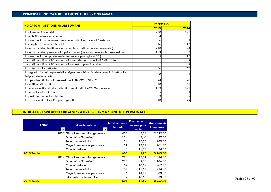# **PRINCIPALI INDICATORI DI OUTPUT DEL PROGRAMMA**

| <b>INDICATORI - GESTIONE RISORSE UMANE</b>                                                                       | <b>ESERCIZIO</b> |      |
|------------------------------------------------------------------------------------------------------------------|------------------|------|
|                                                                                                                  | 2013             | 2014 |
| Nr. dipendenti in servizio                                                                                       | 250              | 245  |
| Nr. mobilità interne effettuate                                                                                  |                  |      |
| Nr. assunzioni con concorso o selezione pubblica o mobilità esterna                                              | O                |      |
| Nr. complessivo concorsi banditi                                                                                 | 16               |      |
| Numero candidati iscritti (numero complessivo di domande pervenute)                                              | 218              | 94   |
| Numero candidati presenti alla prima prova (compresa eventuale preselezione)                                     | 149              | 45   |
| Nr. assunzioni a tempo determinato (escluse proroghe e CFL)                                                      |                  | 15   |
| Lavori di pubblica utilità: numero di istruttorie per disponibilità rilasciate                                   |                  |      |
| Lavori di pubblica utilità: numero di lavoratori presi in carico                                                 |                  |      |
| Nr. visite fiscali effettuate                                                                                    | <b>76</b>        | 67   |
| Nr. segnalazioni ai responsabili -dirigenti realtivi ad inadempimenti rispetto alle<br>disciplina della malattia |                  |      |
| Nr dipendenti titolari di permessi per L104/92 al 31/12                                                          | 24               | 26   |
| Nr.certificati rilasciati                                                                                        | 48               | 51   |
| Nr. accertamenti sanitari effettuati ai sensi della L.626/94 (persone)                                           | 103              | 141  |
| Nr.accordi sindacali firmati                                                                                     |                  |      |
| Nr. pratiche pensioni espletate                                                                                  |                  |      |
| Nr. Trattamenti di Fine Rapporto gestiti                                                                         | 18               | 29   |

# **INDICATORI SVILUPPO ORGANIZZATIVO – FORMAZIONE DEL PERSONALE**

| <b>ANNO</b> | <b>Aree tematiche</b><br>$\overline{\phantom{a}}$ | Nr. dipendenti<br>formati | Ore medie di<br>lezione pro-<br>capite | Ore Uomo di<br>Frequenza |
|-------------|---------------------------------------------------|---------------------------|----------------------------------------|--------------------------|
|             | 2013 Giuridico-normativa generale                 | 426                       | 5,38                                   | 2.092,00                 |
|             | Economica Finanziaria                             | 134                       | 3,63                                   | 487,00                   |
|             | Tecnico-specialistica                             | 24                        | 15,50                                  | 289,00                   |
|             | Organizzazione e personale                        | 21                        | 13,29                                  | 261,00                   |
|             | Comunicazione                                     | 3                         | 11,33                                  | 34,00                    |
| 2013 Totale |                                                   | 608                       | 5,70                                   | 3.163,00                 |
|             | 2014 Giuridico-normativa generale                 | 298                       | 13,31                                  | 1.844,00                 |
|             | Economica Finanziaria                             | 210                       | 9,38                                   | 1.106,00                 |
|             | Comunicazione                                     | 52                        | 10,54                                  | 467,00                   |
|             | Tecnico-specialistica                             | 37                        | 11,57                                  | 424,00                   |
|             | Organizzazione e personale                        | 6                         | 14,17                                  | 83,00                    |
|             | Informatica e telematica                          | $\mathbf{2}$              | 16,50                                  | 33,00                    |
| 2014 Totale |                                                   | 605                       | 11,62                                  | 3.957,00                 |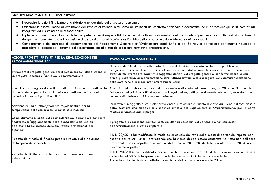- •Proseguire le azioni finalizzate alla riduzione tendenziale della spesa di personale
- • Orientare le risorse umane all'evoluzione dell'Ente valorizzando in tal senso gli strumenti del contratto nazionale e decentrato, ed in particolare gli istituti contrattuali integrativi ed il sistema delle responsabilità
- Implementazione di una banca delle competenze tecnico-specialistiche e relazionali-comportamentali del personale dipendente, da utilizzarsi sia in fase di •riorganizzazione interna che in occasione di percorsi di riqualificazione nell'ambito della programmazione triennale dei fabbisogni
- • Completamento del percorso di aggiornamento del Regolamento Generale sull'Ordinamento degli Uffici e dei Servizi, in particolare per quanto riguarda le procedure di accesso ed il sistema delle incompatibilità alla luce della recente normativa anticorruzione.

| AZIONI/PROGETTI PREVISTI PER LA REALIZZAZIONE DEL<br>PROGRAMMA/FINALITA'                                                                                                                                     | <b>STATO DI ATTUAZIONE FINALE</b>                                                                                                                                                                                                                                                                                                                                                                                                                                                                    |
|--------------------------------------------------------------------------------------------------------------------------------------------------------------------------------------------------------------|------------------------------------------------------------------------------------------------------------------------------------------------------------------------------------------------------------------------------------------------------------------------------------------------------------------------------------------------------------------------------------------------------------------------------------------------------------------------------------------------------|
| Sviluppare il progetto generale per il Telelavoro con elaborazione di<br>un progetto specifico e l'avvio della sperimentazione                                                                               | Nel corso del 2014 è stata effettuata da parte delle RSU, in accordo con la Parte pubblica, una<br>ricognizione dei possibili interessati al telelavoro. Le candidature raccolte sono state valutate secondo i<br>criteri di telelavorabilità oggettivi e soggettivi definiti dal progetto generale, con formulazione di una<br>prima graduatoria. La sperimentazione sarà tuttavia attivabile solo a seguito della dematerializzazione<br>delle determine e di alcuni interventi tecnici su Citrix. |
| Presa in carico degli avviamenti disposti dal Tribunale, rapporti con la<br>struttura interna per la loro collocazione e gestione giuridica del<br>periodo di lavoro di pubblica utilità                     | A seguito della pubblicizzazione della convenzione stipulata nel mese di maggio 2014 con il Tribunale di<br>Bologna e dei primi contatti intrapresi con i legali dei soggetti potenzialmente interessati, sono stati attuati<br>nel mese di ottobre 2014 i primi due avviamenti.                                                                                                                                                                                                                     |
| Adozione di una direttiva/modifica regolamentare per la<br>composizione delle commissioni di concorso e mobilità                                                                                             | La direttiva in oggetto è stata elaborata anche in relazione a quanto disposto dal Piano Anticorruzione e<br>potrà costituire una modifica allo specifico articolo del Regolamento di Organizzazione, per la parte<br>relativa all'accesso agli impieghi                                                                                                                                                                                                                                             |
| Completamento bilancio delle competenze del personale dipendente<br>finalizzato all'aggiornamento della banca dati e ad una più<br>approfondita conoscenza delle aspirazioni professionali dei<br>dipendenti | Il progetto di ricognizione dei titoli di studio ulteriori posseduti dal personale e non comunicati<br>all'amministrazione, è stato completato                                                                                                                                                                                                                                                                                                                                                       |
| Rispetto del vincolo di finanza pubblica relativo alla riduzione<br>della spesa di personale                                                                                                                 | Il D.L. 90/2014 ha modificato le modalità di calcolo del tetto della spesa di personale imposto per il<br>rispetto dei relativi vincoli prevedendo che la stessa debba essere contenuta nel tetto non dell'anno<br>precedente bensì rispetto alla media del triennio 2011-2013. Tale vincolo per il 2014 risulta<br>pienamente rispettato.                                                                                                                                                           |
| Rispetto del limite posto alle assunzioni a termine e a tempo<br>lindeterminato                                                                                                                              | Il D.L. 90/2014 ha modificato anche i limiti al turnover: dal 2014 le assunzioni devono essere<br>contenute nel 60% della spesa corrispondente alle cessazioni dell'anno precedente.<br>Anche tale vincolo risulta rispettato, come risulta dal piano occupazionale 2014                                                                                                                                                                                                                             |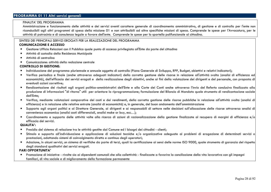# **PROGRAMMA 01 11 Altri servizi generali**

#### FINALITA' DEL PROGRAMMA

Amministrazione e funzionamento delle attività e dei servizi aventi carattere generale di coordinamento amministrativo, di gestione e di controllo per l'ente non riconducibili agli altri programmi di spesa della missione 01 e non attribuibili ad altre specifiche missioni di spesa. Comprende le spese per l'Avvocatura, per le attività di patrocinio e di consulenza legale a favore dell'ente. Comprende le spese per lo sportello polifunzionale al cittadino.

#### SINTESI DEI PRINCIPALI SERVIZI EROGATI PER LA REALIZZAZIONE DEL PROGRAMMA

#### **COMUNICAZIONE E ACCESSO**

- •Gestione Ufficio Relazioni con il Pubblico quale punto di accesso privilegiato all'Ente da parte del cittadino
- •Attività di custodia della Residenza Municipale
- •Attività di centralino
- •Comunicazione: attività della redazione centrale

#### **CONTROLLO DI GESTIONE:**

- •Individuazione del programma pluriennale e annuale oggetto di controllo (Piano Generale di Sviluppo, RPP, Budget, obiettivi e relativi indicatori);
- • Verifica periodica e finale (anche attraverso adeguati indicatori) della corretta gestione delle risorse in relazione all'attività svolta (analisi di efficienza ed economicità), dell'efficacia dei servizi erogati e della realizzazione degli obiettivi, anche ai fini della valutazione dei dirigenti e del personale, con proposta di eventuali azioni correttive;
- • Rendicontazione dei risultati agli organi politico-amministrativi dell'Ente e alla Corte dei Conti anche attraverso l'invio del Referto conclusivo finalizzato alla produzione di informazioni "di ritorno" utili per orientare la riprogrammazione; formulazione del Bilancio di Mandato quale strumento di rendicontazione sociale dell'Ente;
- • Verifica, mediante valutazioni comparative dei costi e dei rendimenti, della corretta gestione delle risorse pubbliche in relazione all'attività svolta (analisi di efficienza) e in relazione alle relative entrate (analisi di economicità) e, in generale, del buon andamento dell'amministrazione
- •Supporto agli organi politici e al Direttore Generale, ai dirigenti e ai responsabili di settore nelle decisioni sull'allocazione delle risorse attraverso analisi di convenienza economica (analisi costi differenziali, analisi make or buy, ecc…);
- • Coordinamento e supporto delle attività volte alla ricerca di azioni di razionalizzazione della gestione finalizzate al recupero di margini di efficienza e/o efficacia dei servizi.

#### **QUALITA':**

- •Presidio del sistema di relazione tra le attività gestite dal Comune ed i bisogni dei cittadini - clienti;
- • Stimolo e supporto all'individuazione e applicazione di soluzioni tecniche e/o organizzative adeguate ai problemi di erogazione di determinati servizi o prestazioni, adottando sistemi di coinvolgimento diretto e continuo degli operatori;
- $\bullet$  Adozione, in alcuni servizi, un sistema di verifiche da parte di terzi, quali la certificazione ai sensi delle norme ISO 9000, quale strumento di garanzia del rispetto $\big|$ •degli standard qualitativi dei servizi erogati.

#### **PARI OPPORTUNITA'**

• Promozione di iniziative - rivolte sia ai dipendenti comunali che alla collettività - finalizzate a favorire la conciliazione della vita lavorativa con gli impegni familiari, di vita sociale e di miglioramento della formazione permanente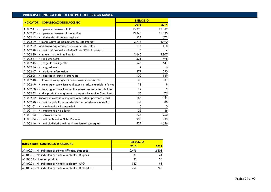| <b>INDICATORI - COMUNICAZIONE E ACCESSO</b>                            | <b>ESER CIZIO</b> |        |
|------------------------------------------------------------------------|-------------------|--------|
|                                                                        | 2013              | 2014   |
| A1002.41 - Nr. persone ricevute all'URP                                | 15.890            | 18.082 |
| A1002.42 - Nr. persone ricevute alla reception                         | 13.843            | 21.320 |
| A1002.12 - Nr. domande di accesso agli atti                            | 412               | 672    |
| A1002.19 - Nr.complessivo aggiornamenti del sito Internet              | 3.713             | 6.790  |
| A1002.22 - Modulistica aggiornata e inserita nel db Notes              | 115               | 118    |
| A1002.28 - Nr. notiziari prodotti e distribuiti con "Città S.Lazzaro"  | 5                 |        |
| A1002.30 - Nr.totale iscrizioni mailing list                           | 2.640             | 2.807  |
| A1002.44 - Nr. reclami gestiti                                         | 531               | 498    |
| A1002.45 - Nr. segnalazionii gestite                                   | 547               | 641    |
| A1002.46 - Nr. suggerimenti                                            | 9                 | 6      |
| A1002.47 - Nr. richieste informazioni                                  | 277               | 290    |
| A1002.08 - Nr. ricerche in archivio effettuate                         | 100               | 149    |
| A1002.48 - Nr.totale di campagne di comunicazione realizzate           | 30                | 31     |
| A1002.49 - Nr.campagne comunicaz realizz.con produz.materiale info hoc | 18                | 19     |
| A1002.50 - Nr.campagne comunicaz realizz.senza produz.materiale info   | 12                | 12     |
| A1002.52 - Nr.doc.prodotti e aggiornati x progetto Immagine Coordinata | 55                | 75     |
| A1002.62 - Risposte di cortesia a segnalazioni/reclami perven.via mail | 267               | 434    |
| A1002.20 - Nr. notizie pubblicate su televideo e tabellone elettronico | 67                | 58     |
| A1001.01 - Nr. matrimoni civili presenziati                            | 6                 | 10     |
| A1001.14 - Nr. matrimoni civili allestiti                              | 26                | 46     |
| A1001.03 - Nr. missioni esterne                                        | 245               | 260    |
| A1001.04 - Nr. atti pubblicati all'Albo Pretorio                       | 937               | 933    |
| A1002.16 - Nr. atti giudiziari e atti messi notificatori consegnati    | 539               | 1.656  |

| <b>ESERCIZIO</b> |       |  |
|------------------|-------|--|
| 2013             | 2014  |  |
| 2.495            | 2.503 |  |
| 31               | 44    |  |
| 35               | 35    |  |
| 1321             | 93    |  |
| 750              | 765   |  |
|                  |       |  |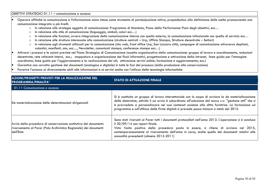#### OBIETTIVI STRATEGICI 01.11 – comunicazione e accesso

- • Operare affinché la comunicazione e l'informazione siano intese come strumento di partecipazione attiva, propedeutica alla definizione delle scelte promuovendo una comunicazione integrata a più livelli:
	- o In relazione alle strategie oggetto di comunicazione: Programma di Mandato, Piano della Performance Piani degli obiettivi, ecc…
	- o In relazione allo stile di comunicazione (linguaggio, simboli, colori ecc…)
	- oIn relazione alle funzioni, ovvero integrazione della comunicazione interna con quella esterna, la comunicazione istituzionale con quella di servizio ecc…
	- oIn relazione alle strutture interessate alla comunicazione (strutture centrali – Urp, Ufficio Stampa, Strutture decentrate – Settori)
	- o In relazione agli strumenti utilizzati per la comunicazione (sito web, front office Urp, San Lazzaro città, campagne di comunicazione attraverso depliant, volantini, manifesti, sms, ecc…, Newsletter, comunicati stampa, conferenze stampa ecc…)
- • Attivare i processi e le azioni previste nel Piano Strategico di Comunicazione (assetto organizzativo della comunicazione: gruppo di lavoro e coordinamento, redazioni decentrate, rete referenti interni, ecc.; mappatura e organizzazione dei flussi informativi, progettazione e attivazione della intranet, linee guida per l'immagine coordinata; linee guida per l'aggiornamento e la realizzazione dei siti; attivazione servizi online; formazione e aggiornamento; ecc.)
- •Garantire una corretta gestione dei documenti (analogica e digitale) in tutte le fasi del processo (dalla produzione alla conservazione)
- •Favorire l'accesso ai diversamente abili alle informazioni e ai servizi anche con l'utilizzo delle tecnologie informatiche

| <b>AZIONI/PROGETTI PREVISTI PER LA REALIZZAZIONE DEL</b><br><b>PROGRAMMA/FINALITA'</b>                                                              | <b>STATO DI ATTUAZIONE FINALE</b>                                                                                                                                                                                                                                                                                                                                                                                |
|-----------------------------------------------------------------------------------------------------------------------------------------------------|------------------------------------------------------------------------------------------------------------------------------------------------------------------------------------------------------------------------------------------------------------------------------------------------------------------------------------------------------------------------------------------------------------------|
| 01.11 Comunicazione e accesso                                                                                                                       |                                                                                                                                                                                                                                                                                                                                                                                                                  |
| De materializzazione delle determinazioni dirigenziali                                                                                              | Si è costituito un gruppo di lavoro intersettoriale con lo scopo di avviare la de materializzazione<br>delle determine; attività il cui avvio è subordinato all'adozione del nuovo s.w. "gestione atti" che si<br>è provveduto a personalizzare nei suoi contenuti assieme alla ditta fornitrice. La formazione sul<br>programma e sull'utilizzo delle firme digitali si prevede possa iniziare a metà del 2015. |
| Avvio della procedura di conservazione sostitutiva dei documenti:<br>riversamento al Parer (Polo Archivistico Regionale) dei documenti<br>dell'Ente | Sono stati riversati al Parer tutti i documenti protocollati nell'anno 2013. L'operazione si è conclusa<br>il $30/09/14$ con report finale.<br>Visto l'esito positivo della procedura posta in essere, si ritiene di avviare nel 2015,<br>contemporaneamente al riversamento dell'anno in corso, anche quello dei documenti relativi alle<br>annualità precedenti (almeno 2012-2011)                             |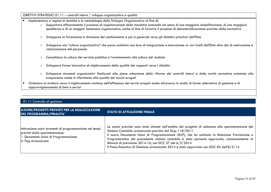OBIETTIVI STRATEGICI 01.11 – controlli interni / sviluppo organizzativo e qualità

- • Implementare a regime le tecniche e le metodologie dello Sviluppo Organizzativo al fine di:
	- o Supportare efficacemente il processo di organizzazione della macchina comunale nel senso di una maggiore semplificazione, di una maggiore speditezza e di un maggior benessere organizzativo, anche al fine di favorire il processo di dematerializzazione previsto dalla normativa
	- o Sviluppare la formazione in direzione del cambiamento e più in generale verso gli obiettivi prioritari dell'Ente
	- o Sviluppare una "cultura organizzativa" che possa costituire una leva di integrazione e innovazione ai vari livelli dell'Ente oltre che di motivazione e valorizzazione del personale
	- oConsolidare la cultura del servizio pubblico e l'orientamento alla cultura del risultato
	- o Sviluppare forme innovative di miglioramento della qualità dei rapporti verso i cittadini
	- o Sviluppare strumenti organizzativi finalizzati alla piena attuazione della riforma dei controlli interni e delle novità normative orientate alla trasparenza anche in riferimento alla qualità dei servizi erogati
- • Orientare la struttura verso il miglioramento continuo dell'efficienza dei servizi erogati anche attraverso lo studio di forme alternative di gestione e di approvvigionamento di beni e servizi

## 01.11 Controllo di gestione

| <b>AZIONI/PROGETTI PREVISTI PER LA REALIZZAZIONE</b><br><b>DEL PROGRAMMA/FINALITA'</b>                                                                   | <b>STATO DI ATTUAZIONE FINALE</b>                                                                                                                                                                                                                                                                                                                                                                                                                                                                                           |
|----------------------------------------------------------------------------------------------------------------------------------------------------------|-----------------------------------------------------------------------------------------------------------------------------------------------------------------------------------------------------------------------------------------------------------------------------------------------------------------------------------------------------------------------------------------------------------------------------------------------------------------------------------------------------------------------------|
| Attivazione nuovi strumenti di programmazione nei tempi<br>previsti dalla sperimentazione:<br>1. Documento Unico di Programmazione<br>2. Peg Armonizzato | Le azioni previste sono state attuate nell'ambito del progetto di adesione alla sperimentazione del<br>Sistema Contabile armonizzato previsto dal DLgs 118/2011.<br>Il nuovo Documento Unico di Programmazione (DUP), che ha sostituito la Relazione Previsionale e<br>Programmatica del precedente sistema contabile è stato pertanto approvato, contestualmente al<br>Bilancio di previsione 2014-16, con DCC 37 del 6/5/2014<br>Il Piano Esecutivo di Gestione armonizzato 2014 è stato approvato con DGC 84 dell'8/5/14 |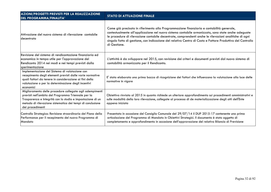| AZIONI/PROGETTI PREVISTI PER LA REALIZZAZIONE<br>DEL PROGRAMMA/FINALITA'                                                                                                                                                                                        | <b>STATO DI ATTUAZIONE FINALE</b>                                                                                                                                                                                                                                                                                                                                                                                                        |
|-----------------------------------------------------------------------------------------------------------------------------------------------------------------------------------------------------------------------------------------------------------------|------------------------------------------------------------------------------------------------------------------------------------------------------------------------------------------------------------------------------------------------------------------------------------------------------------------------------------------------------------------------------------------------------------------------------------------|
| Attivazione del nuovo sistema di rilevazione contabile<br>ldecentrato                                                                                                                                                                                           | Come già precisato in riferimento alla Programmazione finanziaria e contabilità generale,<br>contestualmente all'applicazione nel nuovo sistema contabile armonizzato, sono state anche adeguate<br>le procedure di rilevazione contabile decentrate, comprendenti anche le rilevazioni analitiche di ogni<br>singolo fatto di gestione, con indicazione del relativo Centro di Costo e Fattore Produttivo del Controllo<br>di Gestione. |
| Revisione del sistema di rendicontazione finanziaria ed<br>economica in tempo utile per l'approvazione del<br>Rendiconto 2014 nei modi e nei tempi previsti dalla<br>sperimentazione                                                                            | L'attività è da sviluppare nel 2015, con revisione dei criteri e documenti previsti dal nuovo sistema di<br>contabilità armonizzata per il Rendiconto.                                                                                                                                                                                                                                                                                   |
| Implementazione del Sistema di valutazione con<br>recepimento degli elementi previsti dalle varie normative<br>quali fattori da tenere in considerazione ai fini della<br>valutazione o per la determinazione degli incentivi<br>economici                      | E' stata elaborata una prima bozza di ricognizione dei fattori che influenzano la valutazione alla luce delle<br>normative in vigore                                                                                                                                                                                                                                                                                                     |
| Miglioramento delle procedure collegate agli adempimenti<br>previsti nell'ambito del Programma Triennale per la<br>Trasparenza e Integrità con lo studio e impostazione di un<br>metodo di rilevazione sistematica dei tempi di conclusione<br>dei procedimenti | Obiettivo rinviato al 2015 in quanto richiede un ulteriore approfondimento sui procedimenti amministrativi e<br>sulle modalità della loro rilevazione, collegate al processo di de materializzazione degli atti dell'Ente<br>appena iniziata                                                                                                                                                                                             |
| Controllo Strategico: Revisione straordinaria del Piano della<br>Performance per il recepimento del nuovo Programma di<br>Mandato                                                                                                                               | Presentato in occasione del Consiglio Comunale del 29/07/14 il DUP 2015-17 contenente una prima<br>articolazione del Programma di Mandato in Obiettivi Strategici. Il documento è stato oggetto di<br>completamento e approfondimento in occasione dell'approvazione del relativo Bilancio di Previsione                                                                                                                                 |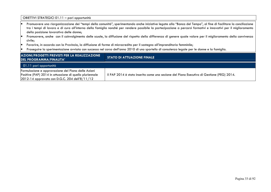OBIETTIVI STRATEGICI 01.11 – pari opportunità • Promuovere una riorganizzazione dei "tempi della comunità", sperimentando anche iniziative legate alla "Banca del Tempo", al fine di facilitare la conciliazione tra i tempi di lavoro e di cura all'interno della famiglia nonché per rendere possibile la partecipazione a percorsi formativi e innovativi per il miglioramento della posizione lavorativa delle donne; Promuovere, anche con il coinvolgimento delle scuole, la diffusione del rispetto della differenza di genere quale valore per il miglioramento della convivenza •civile; Favorire, in accordo con la Provincia, la diffusione di forme di microcredito per il sostegno all'imprenditoria femminile; •• Proseguire la sperimentazione avviata con successo nel corso dell'anno 2010 di uno sportello di consulenza legale per le donne e la famiglia. **AZIONI/PROGETTI PREVISTI PER LA REALIZZAZIONE DEL PROGRAMMA/FINALITA' STATO DI ATTUAZIONE FINALE**  01.11 pari opportunità Formulazione e approvazione del Piano delle Azioni Positive (PAP) 2014 in attuazione di quello pluriennale 2012-14 approvato con D.G.C. 204 dell'8/11/12 Il PAP 2014 è stato inserito come una sezione del Piano Esecutivo di Gestione (PEG) 2014.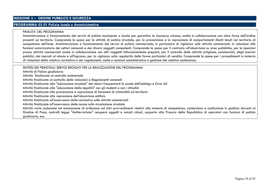# **MISSIONE 3 – ORDINE PUBBLICO E SICUREZZA**

## **PROGRAMMA 03 01 Polizia locale e Amministrativa**

#### FINALITA' DEL PROGRAMMA

 Amministrazione e funzionamento dei servizi di polizia municipale e locale per garantire la sicurezza urbana, anche in collaborazione con altre forze dell'ordine presenti sul territorio. Comprende le spese per le attività di polizia stradale, per la prevenzione e la repressione di comportamenti illeciti tenuti nel territorio di competenza dell'ente. Amministrazione e funzionamento dei servizi di polizia commerciale, in particolare di vigilanza sulle attività commerciali, in relazione alle funzioni autorizzatorie dei settori comunali e dei diversi soggetti competenti. Comprende le spese per il contrasto all'abusivismo su aree pubbliche, per le ispezioni presso attività commerciali anche in collaborazione con altri soggetti istituzionalmente preposti, per il controllo delle attività artigiane, commerciali, degli esercizi pubblici, dei mercati al minuto e all'ingrosso, per la vigilanza sulla regolarità delle forme particolari di vendita. Comprende le spese per i procedimenti in materia di violazioni della relativa normativa e dei regolamenti, multe e sanzioni amministrative e gestione del relativo contenzioso.

SINTESI DEI PRINCIPALI SERVIZI EROGATI PER LA REALIZZAZIONE DEL PROGRAMMA

Attività di Polizia giudiziaria

Attività finalizzate al controllo ambientale

Attività finalizzate al controllo delle violazioni a Regolamenti comunali

Attività finalizzate alla "educazione stradale" dei minori frequentanti le scuole dell'obbligo e Over 65

Attività finalizzate alla "educazione della legalità" con gli studenti e con i cittadini

Attività finalizzate alla prevenzione e repressione di fenomeni di criminalità sul territorio

Attività finalizzate alla repressione dell'abusivismo edilizio

Attività finalizzate all'osservanza della normativa sulle attività commerciali

Attività finalizzate all'osservanza delle norme sulla circolazione stradale

 Attività varie (adozione ed emanazione di ordinanze ed altri provvedimenti relativi alle materie di competenza, contenzioso e costituzione in giudizio davanti al Giudice di Pace, controlli legge "Antiterrorismo" recupero oggetti e veicoli rubati, supporto alla Procura della Repubblica di operatori con funzioni di polizia giudiziaria, ecc.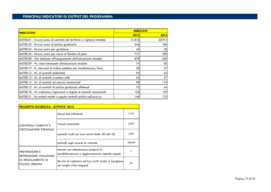| <b>INDICATORI</b>                                                       | <b>ESER CIZIO</b> |        |
|-------------------------------------------------------------------------|-------------------|--------|
|                                                                         | 2013              | 2014   |
| A6700.01 - Nr.ore/uomo di controllo del territorio e vigilanza stradale | 31.816            | 20.912 |
| A6700.33 - Nr.ore/uomo di polizia giudiziaria                           | 246               | 186    |
| A6700.34 - Nr.ore/uomo per gonfalone                                    | 42                | 28     |
| A6700.35 - Nr.ore/uomo per ricorsi al Giudice di pace                   | 731               | 390    |
| A6700.08 - Ore dedicate all'insegnamento dell'educazione stradale       | 678               | 630    |
| A6700.09 - Nr. classi interessate all'educazione stradale               | 74                | 85     |
| A6700.19 - N. interventi di ordine pubblico per manifestazioni, fiere   | 30                | 27     |
| A6700.12 - Nr. di controlli ambientali                                  | 94                | 63     |
| A6700.13 - Nr. di controlli a cantieri edili                            | 54                | 47     |
| A6700.14 - Nr. di controlli ad esercizi commerciali                     | 98                | 110    |
| A6700.15 - Nr. di controlli di polizia giudiziaria effettuati           | 75                | 64     |
| A6700.18 - Nr. ordinanze/ingiunzioni a seguito di controlli commerciali | 126               | 139    |
| A6700.21 - Nr.verbali redatti a seguito controlli polizia edil.ecol.rur | 148               | 175    |

| <b>PROGETTO SICUREZZA - ATTIVITA' 2014</b>                                            |                                                                                            |        |
|---------------------------------------------------------------------------------------|--------------------------------------------------------------------------------------------|--------|
| <b>CONTROLLI VIABILITA' E</b><br><b>CIRCOLAZIONE STRADALE</b>                         | Alcool test effettuati                                                                     | 2.161  |
|                                                                                       | Veicoli controllati                                                                        | 2.607  |
|                                                                                       | controlli svolti nei turni serali dalle 20 alle 02                                         | 4.821  |
|                                                                                       | controlli sugli eccessi di velocità                                                        | 20.658 |
| <b>PREVENZIONE E</b><br>REPRESSIONE VIOLAZIONI<br>AL REGOLAMENTO DI<br>POLIZIA URBANA | Incontri con cittadinanza/studenti di<br>sensibilizzazione e aggiornamento rispetto regole | 7      |
|                                                                                       | Servizi di vigilanza ad hoc svolti anche in borghese<br>nei luoghi critici mappati         | 34     |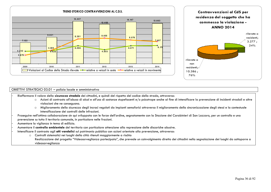



## OBIETTIVI STRATEGICI 03.01 – polizia locale e amministrativa

- Riaffermare il valore della **sicurezza stradale** dei cittadini, e quindi del rispetto del codice della strada, attraverso:

- o Azioni di contrasto all'abuso di alcol e all'uso di sostanze stupefacenti e/o psicotrope anche al fine di intensificare la prevenzione di incidenti stradali e altre violazioni che ne conseguono.
- o Miglioramento della sicurezza degli incroci regolati da impianti semaforici attraverso il miglioramento della sincronizzazione degli stessi e la contestuale intensificazione dei controlli delle infrazioni.
- Proseguire nell'ottima collaborazione sin qui sviluppata con le forze dell'ordine, segnatamente con la Stazione dei Carabinieri di San Lazzaro, per un controllo e una prevenzione su tutto il territorio comunale, in particolare nelle frazioni.

- Aumentare la vigilanza in tema di edilizia.

- Aumentare il **controllo ambientale** del territorio con particolare attenzione alla repressione delle discariche abusive.

- Intensificare il contrasto agli **atti vandalici** sul patrimonio pubblico con azioni orientate alla prevenzione, attraverso:
	- oControlli sistematici nei luoghi della città ritenuti maggiormente a rischio
	- Realizzazione del progetto "Videosorveglianza partecipata", che prevede un coinvolgimento diretto dei cittadini nella segnalazione dei luoghi da sottoporre a videosorveglianza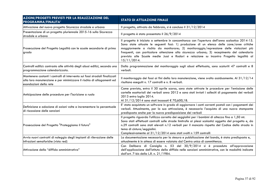| <b>AZIONI/PROGETTI PREVISTI PER LA REALIZZAZIONE DEL</b><br>PROGRAMMA/FINALITA'                                                                                                | <b>STATO DI ATTUAZIONE FINALE</b>                                                                                                                                                                                                                                                                                                                                                                                                                                                            |
|--------------------------------------------------------------------------------------------------------------------------------------------------------------------------------|----------------------------------------------------------------------------------------------------------------------------------------------------------------------------------------------------------------------------------------------------------------------------------------------------------------------------------------------------------------------------------------------------------------------------------------------------------------------------------------------|
| Attivazione del nuovo progetto Sicurezza stradale e urbana                                                                                                                     | Il progetto, attivato da febbraio, si è concluso il 31/12/2014                                                                                                                                                                                                                                                                                                                                                                                                                               |
| Presentazione di un progetto pluriennale 2015-16 sulla Sicurezza<br>stradale e urbana                                                                                          | Il progetto è stato presentato il 26/9/2014                                                                                                                                                                                                                                                                                                                                                                                                                                                  |
| Prosecuzione del Progetto Legalità con le scuole secondarie di primo<br>grado                                                                                                  | Il progetto è iniziato a settembre in concomitanza con l'apertura dell'anno scolastico 2014-15.<br>Sono state attuate le seguenti fasi: 1) produzione di un elenco delle zone/aree critiche<br>maggiormente a rischio da monitorare; 2) monitoraggio/repressione delle violazioni più<br>frequenti, con particolare attenzione alla sicurezza urbana; 3) recepimento del calendario<br>previsto alle Scuole medie Jussi e Rodari e relazione su incontro Progetto legalità al<br>15/11/2014. |
| Controlli edilizi: contrasto alle attività degli abusi edilizi, secondo una<br>programmazione calendarizzata.                                                                  | Dalla programmazione del monitoraggio sugli abusi effettuata, sono scaturiti 47 controlli e 8<br>verbali.                                                                                                                                                                                                                                                                                                                                                                                    |
| Mantenere costanti i controlli di intervento sui fossi stradali finalizzati<br>alla loro manutenzione e per minimizzare il rischio di allagamenti ed<br>esondazioni della rete | Il monitoraggio dei fossi ai fini della loro manutenzione, viene svolto assiduamente. Al $31/12/14$<br>risultano eseguiti n. 17 controlli e n. 8 verbali.                                                                                                                                                                                                                                                                                                                                    |
| Anticipazione delle procedure per l'iscrizione a ruolo                                                                                                                         | Come previsto, entro il 30 aprile scorso, sono state attivate le procedure per l'emissione delle<br>cartelle esattoriali dei verbali anno 2012 e sono stati inviati i solleciti di pagamento dei verbali<br>2013 entro luglio 2014.<br>Al 31/12/2014 sono stati incassati € 70,600,18.                                                                                                                                                                                                       |
| Definizione e adozione di azioni volte a incrementare la percentuale<br>di riscossione delle sanzioni                                                                          | E' stato acquistato un software in grado di aggiornare i conti correnti postali con i pagamenti dei<br>verbali. Attualmente, per la sua attivazione, è necessario l'acquisto di una nuova stampante<br>predisposta anche per la nuova predisposizione dei verbali                                                                                                                                                                                                                            |
| Prosecuzione del Progetto "Proteggiamo il futuro"                                                                                                                              | Il progetto riguarda l'utilizzo corretto dei seggiolini per i bambini di altezza fino a 1,50 mt.<br>Sono stati effettuati controlli sulle strade limitrofe ai plessi scolastici oggetto del progetto e, da<br>n.29 controlli sono stati elevati n.12 verbali per il mancato rispetto del Codice della strada in<br>tema di cinture/seggiolini.<br>Complessivamente al 31/12/2014 sono stati svolti n 159 controlli                                                                           |
| Avvio nuovi contratti di noleggio degli impianti di rilevazione delle                                                                                                          | La documentazione necessaria per la stesura e pubblicazione del bando, è stata predisposta e,                                                                                                                                                                                                                                                                                                                                                                                                |
| infrazioni semaforiche (vista red)                                                                                                                                             | attualmente è in attesa di essere valutata dal Centro unico di committenza.                                                                                                                                                                                                                                                                                                                                                                                                                  |
| Attivazione della "diffida amministrativa"                                                                                                                                     | Con Delibera di Consiglio n. 53 del 30/9/2014 si è proceduto all'approvazione<br>dell'applicazione dell'istituto della diffida nelle sanzioni amministrative, con le modalità indicate<br>dall'art. 7-bis della L.R. n. 21/1984.                                                                                                                                                                                                                                                             |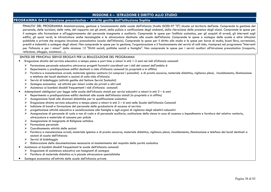## **MISSIONE 4 – ISTRUZIONE E DIRITTO ALLO STUDIO**

### **PROGRAMMA 04 01 Istruzione prescolastica - Attività gestite dall'Istituzione Sophia**

FINALITA' DEL PROGRAMMA Amministrazione, gestione e funzionamento delle scuole dell'infanzia (livello ISCED-97 "0") situate sul territorio dell'ente. Comprende la gestione del personale, delle iscrizioni, delle rette, del rapporto con gli utenti, della pulizia e sanificazione degli arievazione delle presenze degli alunni. Comprende le spese per il sostegno alla formazione e all'aggiornamento del personale insegnante e ausiliario. Comprende le spese per l'edilizia scolastica, per gli acquisti di arredi, gli interventi sugli edifici, gli spazi verdi, le infrastrutture anche tecnologiche e le attrezzature destinate alle scuole dell'infanzia. Comprende le spese a sostegno delle scuole e altre istituzioni pubbliche e private che erogano istruzione prescolastica (scuola dell'infanzia). Comprende le spese per il diritto allo studio e le spese per borse di studio, buoni libro, sovvenzioni, prestiti e indennità a sostegno degli alunni. Non comprende le spese per la gestione, l'organizzazione e il funzionamento dei servizi di asili nido, ricompresi nel programma "Interventi per l'infanzia e per i minori" della missione 12 "Diritti sociali, politiche sociali e famiglia". Non comprende le spese per i servizi ausiliari all'istruzione prescolastica (trasporto, refezione, alloggio, assistenza ...).

### SINTESI DEI PRINCIPALI SERVIZI EROGATI PER LA REALIZZAZIONE DEL PROGRAMMA

- • Erogazione diretta del servizio educativo a tempo pieno e part time a minori in età 1-3 anni nei nidi d'infanzia comunali
	- Formazione personale educativo attraverso progetti formativi coordinati con i nidi dei comuni dell'ambito 6
	- $\blacktriangleright$ Reperimento o predisposizione edifici destinati a nido d'infanzia comunali (in proprietà o in affitto)
	- $\blacktriangleright$  Fornitura e manutenzione arredi, materiale igienico sanitario (ivi compresi i pannolini) e di pronto soccorso, materiale didattico, vigilanza plessi, riscaldamento, illuminazione e telefono dei locali destinati a sezioni di asilo nido d'infanzia
	- $\triangleright$  Servizi di bidellaggio (attività gestite dal Settore Servizi Scolastici)<br>Settema esperantia und attività per mineri sulla de primati e plui a
	- $\blacktriangleright$ Sostegno economico ad attività per minori svolte da privati o altri enti
	- $\triangleright$  Assistenza ai bambini disabili frequentanti i nidi d'infanzia comunali
- • Adempimenti obbligatori per legge nelle scuole dell'infanzia statali per servizi educativi a minori in età 3 – 6 anni
	- ➤ Reperimento o predisposizione edifici destinati alle scuole dell'infanzia statali (in proprietà o in affitto)
	- ➤ Assegnazione fondi alle direzioni didattiche per la qualificazione scolastica
	- ⋗ Erogazione diretta servizio educativo a tempo pieno a minori in età 3 – 6 anni nelle Scuole dell'infanzia Comunali
	- $\blacktriangleright$ Indizione di bandi e formazione del personale delle graduatorie di accesso al servizio
	- ↘ progettazione attività educativa e socializzazione alle famiglie e agli organi di vigilanza degli obiettivi educativi
	- $\blacktriangleright$  Assegnazione di personale di ruolo e non di ruolo e di personale ausiliario; sostituzione dello stesso in caso di assenza o impedimento e fornitura del relativo vestiario, attrezzature e materiale di consumo per pulizie
	- $\triangleright$  Assegnazione di insegnante di Religione cattolica
	- ➤ Formazione personale
	- ➤ Coordinamento attività delle sezioni
	- Fornitura e manutenzione arredi, materiale igienico e di pronto soccorso, materiale didattico, vigilanza plessi, riscaldamento, illuminazione e telefono dei locali destinati a sezioni di scuola dell'infanzia
	- $\triangleright$  Servizi di bidellaggio
	- Elaborazione della documentazione necessaria al mantenimento del requisito della parità scolastica
- Assistenza ai bambini disabili frequentanti le scuole dell'infanzia comunali
	- $\blacktriangleright$ Erogazione di assistenza educativa con insegnanti di sostegno
	- $\triangleright$  Fornitura di materiale didattico e/o piccole attrezzature specialistiche
- •Sostegno economico all'attività delle scuole dell'infanzia private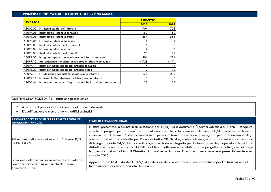| <b>INDICATORI</b>                                                       | <b>ESER CIZIO</b> |                 |
|-------------------------------------------------------------------------|-------------------|-----------------|
|                                                                         | 2013              | 2014            |
| A8000.00 - Nr. iscritti scuole dell'infanzia                            | 704               | 703             |
| A8097.01 - Iscritti scuole infanzia comunali                            | 150               | 150l            |
| A8098.01 - Iscritti scuole infanzia statali                             | 554               | 553             |
| A8097.04 - Nr. scuole infanzia comunali                                 |                   |                 |
| A8097.03 - Sezioni scuole infanzia comunali                             | 6                 |                 |
| A8098.04 - Nr. scuole infanzia statali                                  |                   |                 |
| A8098.03 - Sezioni scuole infanzia statali                              | 23                | 24              |
| A8097.05 - Nr. giorni apertura annuale scuole infanzia comunali         | 206               | 211             |
| A8097.19 - ore assistenza handicap annue scuole infanzia comunali       | 4.728             | 4.174           |
| A8097.17 - Iscritti con handicap scuola infanzia comunali               | 4                 |                 |
| A8098.23 - Iscritti con handicap scuole infanzia statali                | 2                 | 10 <sup>1</sup> |
| A8099.13 - Nr. domande soddisfatte scuole scuole infanzia               | 274               | 272             |
| A8099.16 - Nr utenti in lista d'attesa (residenti) scuole infanzia      | 0                 |                 |
| A9003.66 - Nr. alunni che hanno freq. corso alfabetizzazione prescolast | 28                | 28              |

## OBIETTIVI STRATEGICI 04.01 – istruzione prescolastica

- •Assicurare il pieno soddisfacimento della domanda reale
- •Riqualificazione e messa a norma edifici scolastici

| AZIONI/PROGETTI PREVISTI PER LA REALIZZAZIONE DEL<br><b>PROGRAMMA/FINALITA'</b>                                              | <b>STATO DI ATTUAZIONE FINALE</b>                                                                                                                                                                                                                                                                                                                                                                                                                                                                                                                                                                                                                                                                                                                                                                                                                                               |
|------------------------------------------------------------------------------------------------------------------------------|---------------------------------------------------------------------------------------------------------------------------------------------------------------------------------------------------------------------------------------------------------------------------------------------------------------------------------------------------------------------------------------------------------------------------------------------------------------------------------------------------------------------------------------------------------------------------------------------------------------------------------------------------------------------------------------------------------------------------------------------------------------------------------------------------------------------------------------------------------------------------------|
| Attivazione della rete dei servizi all'infanzia 0/3<br>dell'Ambito 6                                                         | E' stato presentato in Giunta (comunicazione del $10/4/14$ ) il documento "I servizi educativi 0-3 anni - conquiste,<br>criticità e progetti per il futuro" relativo all'analisi svolta sulla situazione dei servizi 0/3 e sulle nuove linee di<br>indirizzo per il futuro. E' stato completato il percorso formativo unitario e integrato per la formazione degli<br>operatori dei nidi del distretto per l'anno scolastico 2013-14 e, contestualmente, è stato presentato alla Provincia<br>di Bologna in data 24/7/14 anche il progetto unitario e integrato per la formazione degli operatori dei nidi del<br>distretto per l'anno scolastico 2014/2015 al fine di ottenere un contributo. Tale progetto formativo, che coinvolge<br>le operatrici dei nidi di tutto il Distretto, è attualmente in corso di realizzazione e terminerà presumibilmente entro<br>maggio 2015 |
| Istituzione della nuova commissione distrettuale per<br>l'autorizzazione al funzionamento dei servizi<br>leducativi 0-3 anni | Approvata con DGC 145 del 18/09/14 l'istituzione della nuova commissione distrettuale per l'autorizzazione al<br>funzionamento dei servizi educativi 0-3 anni.                                                                                                                                                                                                                                                                                                                                                                                                                                                                                                                                                                                                                                                                                                                  |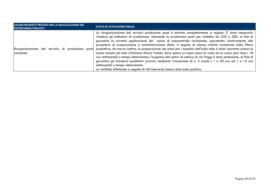| AZIONI/PROGETTI PREVISTI PER LA REALIZZAZIONE DEL<br><b>PROGRAMMA/FINALITA'</b> | <b>STATO DI ATTUAZIONE FINALE</b>                                                                                                                                                                                                                                                                                                                                                                                                                                                                                                                                                                                                                                                                                                                                                                                                                                                                                                                                                                                                                          |
|---------------------------------------------------------------------------------|------------------------------------------------------------------------------------------------------------------------------------------------------------------------------------------------------------------------------------------------------------------------------------------------------------------------------------------------------------------------------------------------------------------------------------------------------------------------------------------------------------------------------------------------------------------------------------------------------------------------------------------------------------------------------------------------------------------------------------------------------------------------------------------------------------------------------------------------------------------------------------------------------------------------------------------------------------------------------------------------------------------------------------------------------------|
| Riorganizzazione del servizio di produzione<br>comunale                         | La riorganizzazione del servizio produzione pasti è entrata completamente a regime. E' stato necessario<br>rivedere gli indicatori di produzione, riducendo la produzione pasti per addetto da 230 a 200, al fine di<br>garantire la corretta applicazione del piano di autocontrollo revisionato, soprattutto relativamente alle<br>procedure di preparazione e somministrazione diete. A seguito di alcune criticità riscontrate nella filiera<br>pasti produttiva, da marzo inoltre, la preparazione dei pasti per i bambini dell'asilo nido è stata riportata presso la<br>cucina situata nel nido d'infanzia Maria Trebbi, dove opera un capo cuoco di ruolo ed un cuoco part time (18<br>ore settimanali) a tempo determinato; l'organico del centro di cottura di via Poggi è stato potenziato, al fine di<br>garantire gli standard qualitativi previsti, mediante l'assunzione di n. 2 cuochi ( 1 a 20 ore ed 1 a 15 ore<br>settimanali) a tempo determinato.<br>Le verifiche effettuate a seguito di tali interventi, hanno dato esito positivo. |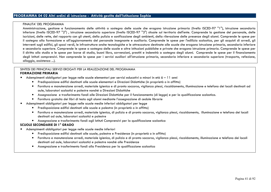### FINALITA' DEL PROGRAMMA

 Amministrazione, gestione e funzionamento delle attività a sostegno delle scuole che erogano istruzione primaria (livello ISCED-97 "1"), istruzione secondaria inferiore (livello ISCED-97 "2") , istruzione secondaria superiore (livello ISCED-97 "3") situate sul territorio dell'ente. Comprende la gestione del personale, delle iscrizioni, delle rette, del rapporto con gli utenti, della pulizia e sanificazione degli ambienti, della rilevazione delle presenze degli alunni. Comprende le spese per il sostegno alla formazione e all'aggiornamento del personale insegnante e ausiliario. Comprende le spese per l'edilizia scolastica, per gli acquisti di arredi, gli interventi sugli edifici, gli spazi verdi, le infrastrutture anche tecnologiche e le attrezzature destinate alle scuole che erogano istruzione primaria, secondaria inferiore e secondaria superiore. Comprende le spese a sostegno delle scuole e altre istituzioni pubbliche e private che erogano istruzione primaria. Comprende le spese per il diritto allo studio e le spese per borse di studio, buoni libro, sovvenzioni, prestiti e indennità a sostegno degli alunni. Comprende le spese per il finanziamento degli Istituti comprensivi. Non comprende le spese per i servizi ausiliari all'istruzione primaria, secondaria inferiore e secondaria superiore (trasporto, refezione, alloggio, assistenza ...).

#### SINTESI DEI PRINCIPALI SERVIZI EROGATI PER LA REALIZZAZIONE DEL PROGRAMMA  **FORMAZIONE PRIMARIA**

- • Adempimenti obbligatori per legge nelle scuole elementari per servizi educativi a minori in età 6 – 11 anni
	- Predisposizione edifici destinati alle scuole elementari e Direzioni Didattiche (in proprietà o in affitto)
	- Fornitura e manutenzione arredi, materiale igienico e di pronto soccorso, vigilanza plessi, riscaldamento, illuminazione e telefono dei locali destinati ad aule, laboratori scolastici e palestre nonché a Direzioni Didattiche
	- Assegnazione e trasferimento fondi alle Direzioni Didattiche per il funzionamento (di legge) e per la qualificazione scolastica.
	- Fornitura gratuita dei libri di testo agli alunni mediante l'assegnazione di cedole librarie
- • Adempimenti obbligatori per legge nelle scuole medie inferiori obbligatori per legge
	- Predisposizione edifici destinati alle scuole e palestre (in proprietà o in affitto)
	- Fornitura e manutenzione arredi, materiale igienico, di pulizia e di pronto soccorso, vigilanza plessi, riscaldamento, illuminazione e telefono dei locali destinati ad aule, laboratori scolastici e palestre
	- Assegnazione e trasferimento fondi agli Istituti Comprensivi per la qualificazione scolastica

### **SCUOLE SECONDARIE DI 1° GRADO**

- • Adempimenti obbligatori per legge nelle scuole medie inferiori
	- Predisposizione edifici destinati alle scuole, palestre e Presidenze (in proprietà o in affitto)
	- Fornitura e manutenzione arredi, materiale igienico, di pulizia e di pronto soccorso, vigilanza plessi, riscaldamento, illuminazione e telefono dei locali destinati ad aule, laboratori scolastici e palestre nonché alle Presidenze
	- Assegnazione e trasferimento fondi alla Presidenza per la qualificazione scolastica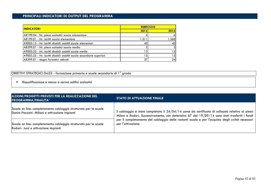| <b>INDICATORI</b>                                                      |       | <b>ESER CIZIO</b> |
|------------------------------------------------------------------------|-------|-------------------|
|                                                                        | 2013  | 2014              |
| A8199.04 - Nr. plessi scolastici scuola elementare                     | o     | $\vert 6 \vert$   |
| A8199.01 - Nr. iscritti scuola elementare                              | 1.311 | 1.368             |
| A9003.15 - Nr. iscritti disabili assistiti scuole elementari           | 40    | 40                |
| A8299.01 - Nr. plessi scolastici scuola media                          |       | $\mathcal{D}$     |
| A9003.22 - Nr. iscritti disabili assistiti scuole medie                | 3     | 13                |
| A9003.25 - Nr. iscritti disabili assistiti scuole secondarie superiori | 5     | 15                |
| A8399.01 - stages formativi attivati                                   | 37    | 24                |
|                                                                        |       |                   |

OBIETTIVI STRATEGICI 04.02 - formazione primaria e scuole secondarie di 1° grado

•Riqualificazione e messa a norma edifici scolastici

| AZIONI/PROGETTI PREVISTI PER LA REALIZZAZIONE DEL<br><b>PROGRAMMA/FINALITA'</b> | <b>STATO DI ATTUAZIONE FINALE</b>                                                                |
|---------------------------------------------------------------------------------|--------------------------------------------------------------------------------------------------|
| Scuole on line: completamento cablaggio strutturato per le scuole               | Il cablaggio è stato completato il $24/04/14$ come da certificato di collaudo relativo ai plessi |
| Donini-Pezzani- Millani e attivazione impianti                                  | Milani e Rodari. Successivamente, con determina 67 del 19/09/14 sono stati trasferiti i fondi    |
| Scuole on line: completamento cablaggio strutturato per le scuole               | per il completamento del cablaggio delle restanti scuole e per l'acquisto degli switch necessari |
| Rodari- Jussi e attivazione impianti                                            | per l'attivazione.                                                                               |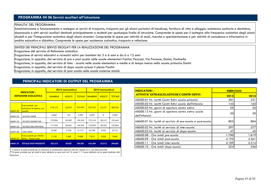# **PROGRAMMA 04 06 Servizi ausiliari all'istruzione**

### FINALITA' DEL PROGRAMMA

 Amministrazione e funzionamento e sostegno ai servizi di trasporto, trasporto per gli alunni portatori di handicap, fornitura di vitto e alloggio, assistenza sanitaria e dentistica, doposcuola e altri servizi ausiliari destinati principalmente a studenti per qualunque livello di istruzione. Comprende le spese per il sostegno alla frequenza scolastica degli alunni disabili e per l'integrazione scolastica degli alunni stranieri. Comprende le spese per attività di studi, ricerche e sperimentazione e per attività di consulenza e informativa in ambito educativo e didattico. Comprende le spese per assistenza scolastica, trasporto e refezione.

SINTESI DEI PRINCIPALI SERVIZI EROGATI PER LA REALIZZAZIONE DEL PROGRAMMA

Erogazione del servizio di Refezione scolastica

Erogazione di servizi educativi e ricreativi estivi per bambini da 3 a 6 anni e da 6 a 13 anni

Erogazione, in appalto, del servizio di pre e post scuola nelle scuole elementari Fantini, Pezzani, Via Fornace, Donini, Ponticella

Erogazione, in appalto, del servizio di inter - scuola nelle scuole elementari e medie e di tempo mensa nella scuola primaria Donini

Erogazione, in appalto, del servizio di dopo scuola presso il plesso Fantini

Erogazione, in appalto, del servizio di post scuola nelle scuole materne statali.

# **PRINCIPALI INDICATORI DI OUTPUT DEL PROGRAMMA**

| <b>INDICATORI-</b><br><b>REFEZIONE SCOLASTICA</b> |                                                                |                | 2013 (consuntivo) | 2014 (consuntivo) |                |               |               |
|---------------------------------------------------|----------------------------------------------------------------|----------------|-------------------|-------------------|----------------|---------------|---------------|
|                                                   |                                                                | <b>BAMBINI</b> | <b>ADULTI</b>     | <b>TOTALE</b>     | <b>BAMBINI</b> | <b>ADULTI</b> | <b>TOTALE</b> |
| A8401.02                                          | Pasti prodotti per<br>Refezione Scolastica, così<br>ripartiti: | 318.175        | 56.818            | 374.993           | 327.475        | 53.477        | 380.952       |
| A8401.05                                          | <b>SCUOLE MEDIE</b>                                            | 4.843          | 152               | 4.995             | 5.695          | $\Omega$      | 5.695         |
| A8401.04                                          | <b>SCUOLE ELEMENTARI</b>                                       | 172.026        | 20.309            | 192.335           | 175.143        | 20.319        | 195.462       |
| A8401.03                                          | <b>SCUOLE DELL'INFANZIA</b>                                    | 117.325        | 28.622            | 145.947           | 122.839        | 29.225        | 152.064       |
| A8401.06                                          | <b>ASILI NIDO</b>                                              | 23.981         | 7.736             | 31.717            | 23.798         | 3.933         | 27.731        |
| A8401.07                                          | Pasti prodotti per Attività<br>Estive / Campi solari           | 7.139          | 1.869             | 9.008             | 7.813          | 2.036         | 9.849         |
| A8401.01                                          | <b>TOTALE PASTI PRODOTTI</b>                                   | 325.315        | 58.687            | 384.001           | 335.289        | 55.512        | 390.801       |

\* il numero di pasti prodotti per la refezione è mediamente superiore del 6% rispetto al nr. dei pasti prenotati \*\*Al pasto prodotto per gli adulti è stato attribuito un peso pari ad 1,5, posto = 1 il peso attribuito ad un pasto destinato alla refezione

| <b>INDICATORI-</b>                                                    | <b>ESER CIZIO</b> |       |  |  |
|-----------------------------------------------------------------------|-------------------|-------|--|--|
| <b>ATTIVITA' EXTRASCOLASTICHE E CENTRI ESTIVI</b>                     | 2013              | 2014  |  |  |
| A8500.01 Nr. iscritti Centri Estivi scuola primaria                   | 201               | 221   |  |  |
| A8500.02 Nr. iscritti Centri Estivi scuole dell'infanzia              | 143               | 165   |  |  |
| A8500.03 Nr. giorni di apertura centro estivo                         | 55                | 55    |  |  |
| A8500.13 Nr. giorni di apertura centro estivo scuole<br>dell'infanzia | 30                | 30    |  |  |
| A8600.01 Nr. iscritti al servizio di pre-scuola e post-scuola         | 803               | 804   |  |  |
| A8600.02 Nr. iscritti al servizio di inter-scuola                     | 297               | 277   |  |  |
| A8600.03 Nr. iscritti al servizio di dopo-scuola                      | 47                | 45    |  |  |
| A8600.08 - Ore totali pre-scuola                                      | 1.700             | 1.819 |  |  |
| A8600.09 - Ore totali post-scuola                                     | 4.195             | 4.361 |  |  |
| A8600.11 - Ore totali inter-scuola                                    | 2.109             | 2.314 |  |  |
| A8600.10 - Ore totali dopo-scuola                                     | 254               | 256   |  |  |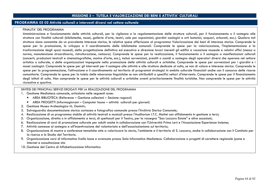# **MISSIONE 5 – TUTELA E VALORIZZAZIONE DEI BENI E ATTIVITA' CULTURALI**

# **PROGRAMMA 05 02 Attività culturali e interventi diversi nel settore culturale**

#### FINALITA' DEL PROGRAMMA

 Amministrazione e funzionamento delle attività culturali, per la vigilanza e la regolamentazione delle strutture culturali, per il funzionamento o il sostegno alle strutture con finalità culturali (biblioteche, musei, gallerie d'arte, teatri, sale per esposizioni, giardini zoologici e orti botanici, acquari, arboreti, ecc.). Qualora tali strutture siano connotate da un prevalente interesse storico, le relative spese afferiscono al programma Valorizzazione dei beni di interesse storico. Comprende le spese per la promozione, lo sviluppo e il coordinamento delle biblioteche comunali. Comprende le spese per la valorizzazione, l'implementazione e la trasformazione degli spazi museali, della progettazione definitiva ed esecutiva e direzione lavori inerenti gli edifici a vocazione museale e relativi uffici (messa a norma, manutenzione straordinaria, ristrutturazione, restauro). Comprende le spese per la realizzazione, il funzionamento o il sostegno a manifestazioni culturali (concerti, produzioni teatrali e cinematografiche, mostre d'arte, ecc.), inclusi sovvenzioni, prestiti o sussidi a sostegno degli operatori diversi che operano nel settore artistico o culturale, o delle organizzazioni impegnate nella promozione delle attività culturali e artistiche. Comprende le spese per sovvenzioni per i giardini e i musei zoologici. Comprende le spese per gli interventi per il sostegno alle attività e alle strutture dedicate al culto, se non di valore e interesse storico. Comprende le spese per la programmazione, l'attivazione e il coordinamento sul territorio di programmi strategici in ambito culturale finanziati anche con il concorso delle risorse comunitarie. Comprende le spese per la tutela delle minoranze linguistiche se non attribuibili a specifici settori d'intervento. Comprende le spese per il finanziamento degli istituti di culto. Non comprende le spese per le attività culturali e artistiche aventi prioritariamente finalità turistiche. Non comprende le spese per le attività ricreative e sportive.

### SINTESI DEI PRINCIPALI SERVIZI EROGATI PER LA REALIZZAZIONE DEL PROGRAMMA

- 1. Gestione Mediateca comunale, articolata nelle seguenti aree:
	- AREA BIBLIOTECA (Reference Gestione collezioni Sezione ragazzi)
	- AREA PROGETTI (Informagiovani Computer house attività culturali per giovani)
- 2. Gestione Museo Archeologico «L. Donini»;
- 3. Salvaguardia documentazione storica cartacea e fotografica comunale presso l'Archivio Storico Comunale;
- 4. Realizzazione di un programma stabile di attività teatrali e musicali presso l'Auditorium I.T.C. Mattei con affidamento in gestione a terzi;
- 5. Organizzazione, diretta o in affidamento a terzi, di spettacoli per il Teatro, per la rassegna "San Lazzaro Estate" e altre occasioni;
- 6. Realizzazione di corsi di promozione culturale per adulti anche in collaborazione con l'Università Primo Levi e l'Associazione Esperienze Insieme;
- 7. Attività connesse al sostegno e all'incentivazione del volontariato e dell'associazionismo sul territorio;
- 8. Organizzazione di mostre e conferenze tematiche atte a valorizzare la storia, l'ambiente e il territorio di S. Lazzaro, anche in collaborazione con il Comitato per la ricerca e lo Studio del Territorio.
- 9. Organizzazione corsi di informatica livello base e avanzato presso Sala Informatica Mediateca. Collaborazione a progetti di carattere regionale (pane e Internet e consultazione sito
- 10. Gestione del Centro di Alfabetizzazione Informatica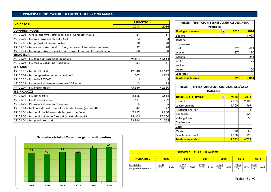|                                                                            | <b>ESER CIZIO</b> |         |  |  |
|----------------------------------------------------------------------------|-------------------|---------|--|--|
| <b>INDICATORI</b>                                                          | 2013              | 2014    |  |  |
| <b>COMPUTER HOUSE</b>                                                      |                   |         |  |  |
| A9102.01 - Ore di apertura settimanali della Computer House                | 51                | 51      |  |  |
| A9102.02 - Nr. corsi organizzati dalla C.H.                                | 3                 | $\vert$ |  |  |
| A9102.03 - Nr. postazioni Internet attive                                  | 20                | 20      |  |  |
| A9102.10 - Nr.annuo partecipanti corsi organizz.sala informatica mediateca | 22                | 28      |  |  |
| A9102.11 - Nr.complessivo ore corsi formaz.org.sala informatica mediateca  | 60                | 80      |  |  |
| <b>BIBLIOTECA</b>                                                          |                   |         |  |  |
| A9103.07 - Nr. totale di documenti posseduti                               | 49.194            | 51.614  |  |  |
| A9100.06 - Nr. medio volumi per residente                                  | 1,54              | 1,61    |  |  |
| <b>SEZ. ADULTI</b>                                                         |                   |         |  |  |
| A9100.10 - Nr. iscritti attivi                                             | 12.840            | 11.512  |  |  |
| A9100.09 - Nr. complessivo nuove acquisizioni                              | 1.502             | 1.702   |  |  |
| A9100.20 - Postazioni OPAC                                                 | 5                 | 5       |  |  |
| A9100.21 - Postazioni di ricerca reference 2^ livello                      | 13                | 3       |  |  |
| A9100.04 - Nr. prestiti adulti                                             | 45.539            | 42.560  |  |  |
| <b>SEZ. RAGAZZI</b>                                                        |                   |         |  |  |
| A9101.03 - Nr. Iscritti attivi                                             | 2.126             | 2.512   |  |  |
| A9101.16 - Nr. tot. acquisizioni                                           | 631               | 709     |  |  |
| A9101.22 - Postazioni di ricerca reference                                 | 5                 | 5       |  |  |
| A9103.01 - Nr.totale di postazioni attive in Mediateca (esclusi uffici)    | 47                | 47      |  |  |
| A9103.03 - Nr.utenti che friuscono delle postazioni/anno                   | 2.752             | 2.900   |  |  |
| A9103.06 - Nr.utenti abilitati all'uso dei servizi informatici             | 15.405            | 17.500  |  |  |
| A9101.04 - Nr. prestiti ragazzi                                            | 24.164            | 24.585  |  |  |

| <b>ESERCIZIO</b> |        | PRESENTI/SPETTATORI EVENTI CULTURALI DELL'AREA |           |       |
|------------------|--------|------------------------------------------------|-----------|-------|
| 2013             | 2014   | <b>PROGETTI</b>                                |           |       |
|                  |        | Tipologia di evento                            | 2013<br>▼ | 2014  |
| 51               | 51     | cineclub                                       |           | 1.997 |
| 3                |        | concerto                                       |           |       |
| 20               | 20     | Conferenza                                     |           |       |
| 22               | 28     | corsi                                          | 320       | 428   |
| 60               | 80     | evento                                         | 870       | 170   |
|                  |        | incontro                                       |           | 244   |
| 2.194            | 51.614 | mostra                                         |           | 125   |
| 1,54             | 1,61   | seminario                                      |           |       |
| 2.840            | 11.512 | teatro                                         |           | 100   |
| .502             | 1.702  | Laboratori                                     |           |       |
| 5                | 5      | <b>Totale complessivo</b>                      | 1.190     | 3.064 |
|                  |        |                                                |           |       |

| PRESENTI / SPETTATORI EVENTI CULTURALI DELL'AREA<br><b>RAGAZZI</b> |  |       |       |  |  |  |  |  |  |
|--------------------------------------------------------------------|--|-------|-------|--|--|--|--|--|--|
| <b>TIPOLOGIA ATTIVITA'</b>                                         |  | 2013  | 2014  |  |  |  |  |  |  |
| Laboratori                                                         |  | 2.165 | 2.387 |  |  |  |  |  |  |
| Letture animate                                                    |  | 1.160 | 967   |  |  |  |  |  |  |
| Presentazione libri                                                |  |       | 143   |  |  |  |  |  |  |
| Spettacoli                                                         |  |       | 600   |  |  |  |  |  |  |
| Visite guidate                                                     |  |       | 35    |  |  |  |  |  |  |
| Conferenze                                                         |  |       |       |  |  |  |  |  |  |
| Corsi                                                              |  |       |       |  |  |  |  |  |  |
| Mostre                                                             |  | 50    | 60    |  |  |  |  |  |  |
| Eventi/promozioni                                                  |  | 1.188 | 520   |  |  |  |  |  |  |
| Totale complessivo                                                 |  | 4.563 | 4.712 |  |  |  |  |  |  |



| <b>SERVIZI CULTURALI: IL MUSEO</b>                        |                      |       |               |       |               |       |               |       |               |       |                 |       |
|-----------------------------------------------------------|----------------------|-------|---------------|-------|---------------|-------|---------------|-------|---------------|-------|-----------------|-------|
| <b>INDICATORE</b><br>2012<br>2013<br>2009<br>2010<br>2011 |                      |       |               |       |               |       | 2014          |       |               |       |                 |       |
| Nr. visitatori<br>Nr. giorni di apertura                  | <u>16.431</u><br>317 | 51,83 | 15.599<br>317 | 49,21 | 17.218<br>317 | 54,32 | 16.764<br>317 | 52,88 | 19.265<br>314 | 61,35 | 18.518<br>296** | 62,56 |

Pagina 45 di 92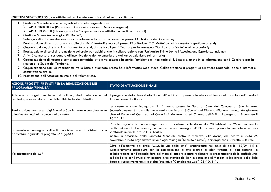### OBIETTIVI STRATEGICI 05.02 – attività culturali e interventi diversi nel settore culturale

- 1. Gestione Mediateca comunale, articolata nelle seguenti aree:
	- $\triangleright$  AREA BIBLIOTECA (Reference Gestione collezioni Sezione ragazzi)
	- $\triangleright$  AREA PROGETTI (Informagiovani Computer house attività culturali per giovani)<br>Costiana Musea Archaelaniae (Il. Derivin
- 2. Gestione Museo Archeologico «L. Donini»;
- 3. Salvaguardia documentazione storica cartacea e fotografica comunale presso l'Archivio Storico Comunale;
- 4. Realizzazione di un programma stabile di attività teatrali e musicali presso l'Auditorium I.T.C. Mattei con affidamento in gestione a terzi;
- 5. Organizzazione, diretta o in affidamento a terzi, di spettacoli per il Teatro, per la rassegna "San Lazzaro Estate" e altre occasioni;
- 6. Realizzazione di corsi di promozione culturale per adulti anche in collaborazione con l'Università Primo Levi e l'Associazione Esperienze Insieme;
- 7. Attività connesse al sostegno e all'incentivazione del volontariato e dell'associazionismo sul territorio;
- 8. Organizzazione di mostre e conferenze tematiche atte a valorizzare la storia, l'ambiente e il territorio di S. Lazzaro, anche in collaborazione con il Comitato per la ricerca e lo Studio del Territorio.
- 9. Organizzazione corsi di informatica livello base e avanzato presso Sala Informatica Mediateca. Collaborazione a progetti di carattere regionale (pane e Internet e consultazione sito In.
- 10. Promozione dell'Associazionismo e del volontariato.

| AZIONI/PROGETTI PREVISTI PER LA REALIZZAZIONE DEL<br>PROGRAMMA/FINALITA'                                                             | <b>STATO DI ATTUAZIONE FINALE</b>                                                                                                                                                                                                                                                                                                                                                                                                                                                                                                      |
|--------------------------------------------------------------------------------------------------------------------------------------|----------------------------------------------------------------------------------------------------------------------------------------------------------------------------------------------------------------------------------------------------------------------------------------------------------------------------------------------------------------------------------------------------------------------------------------------------------------------------------------------------------------------------------------|
| Adesione a progetto sul tema del bullismo, rivolto alle scuole del<br>territorio promosso dal tavolo delle biblioteche del distretto | Il progetto è stato denominato "I mutanti" ed è stato presentato alle classi terze della scuola media Rodari<br>Jussi nel mese di ottobre.                                                                                                                                                                                                                                                                                                                                                                                             |
| Realizzazione mostra su Luigi Fantini a San Lazzaro e coordinamento<br>allestimento negli altri comuni del distretto                 | La mostra è stata inaugurata il 1º marzo presso la Sala di Città del Comune di San Lazzaro.<br>Successivamente, è stata allestita e realizzata in altri 3 Comuni del Distretto (Pianoro, Loiano, Monghidoro)<br>oltre al Parco dei Gessi ed ai Comuni di Monterenzio ed Ozzano dell'Emilia. Il progetto si è concluso il<br>16/11/14                                                                                                                                                                                                   |
| Prosecuzione rassegne culturali condivise con il distretto con<br>particolare riguardo al progetto 365 gg.NO                         | E' stata organizzata una rassegna contro la violenza sulle donne dal 28 febbraio al 25 marzo, con la<br>realizzazione di due incontri, una mostra e una rassegna di film a tema presso la mediateca ed uno<br>spettacolo musicale presso l'ITC Teatro.<br>Inoltre, in occasione della Giornata Mondiale contro la violenza sulle donne, che ricorre in data 25<br>novembre, è stata organizzata un'analoga rassegna "Le scatole rosse", in sinergia con il Distretto Culturale.                                                        |
| <b>Nalorizzazione del MIP</b>                                                                                                        | Oltre all'iniziativa dal titolo "sulla via della seta", organizzata nel mese di aprile $(12/04/14)$ e<br>successivamente proseguita con la realizzazione di una mostra di abiti vintage di alta sartoria, in<br>collaborazione con l'azienda Jato, nel mese di ottobre è stata realizzata la presentazione dello scaffale Mip<br>in Sala Borsa con l'avvio di un prestito intersistemico dei libri in dotazione al Mip con la biblioteca della Sala<br>Borsa e, successivamente, si è svolta l'iniziativa "Compleanno Mip" (25/10/14). |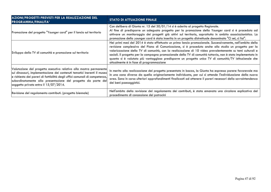| AZIONI/PROGETTI PREVISTI PER LA REALIZZAZIONE DEL<br><b>PROGRAMMA/FINALITA'</b>                                                                                                                                                                                                                                                          | STATO DI ATTUAZIONE FINALE                                                                                                                                                                                                                                                                                                                                                                                                                                                                                                                                                                             |
|------------------------------------------------------------------------------------------------------------------------------------------------------------------------------------------------------------------------------------------------------------------------------------------------------------------------------------------|--------------------------------------------------------------------------------------------------------------------------------------------------------------------------------------------------------------------------------------------------------------------------------------------------------------------------------------------------------------------------------------------------------------------------------------------------------------------------------------------------------------------------------------------------------------------------------------------------------|
| Promozione del progetto "Younger card" per il lancio sul territorio                                                                                                                                                                                                                                                                      | Con delibera di Giunta nr. 15 del 30/01/14 si è aderito al progetto Regionale.<br>Al fine di predisporre un adeguato progetto per la promozione della Younger card si è proceduto ad<br>attivare un monitoraggio dei progetti già attivi sul territorio, soprattutto in ambito associazionistico. La<br>promozione della younger card è stata inserita in un progetto distrettuale denominato "Ci sei, ci fai".                                                                                                                                                                                        |
| Sviluppo della TV di comunità e promozione sul territorio                                                                                                                                                                                                                                                                                | Nei primi mesi del 2014 è stato effettuato un primo lancio promozionale. Successivamente, nell'ambito della<br>revisione complessiva del Piano di Comunicazione, si è proceduto anche allo studio un progetto per la<br>valorizzazione della TV di comunità, con la realizzazione di 10 video prevalentemente su temi culturali e<br>sociali. Il progetto per la campagna promozionale della TV di comunità tuttavia, non è stato implementato in<br>quanto si è valutato più vantaggioso predisporre un progetto unico TV di comunità/TV istituzionale che<br>attualmente è in fase di programmazione |
| Valutazione del progetto esecutivo relativo alla mostra permanente<br>sui dinosauri, implementazione dei contenuti tematici inerenti il museo<br>e richiesta dei pareri di fattibilità degli uffici comunali di competenza,<br>subordinatamente alla presentazione del progetto da parte del<br>soggetto privato entro il $15/07/2014$ . | In merito alla realizzazione del progetto presentato in bozza, la Giunta ha espresso parere favorevole ma<br>in una zona diversa da quella originariamente individuata, per cui si attende l'individuazione della nuova<br>area. Sono in corso ulteriori approfondimenti finalizzati ad ottenere il pareri necessari della sovraintendenza<br>dei beni paesaggistici.                                                                                                                                                                                                                                  |
| Revisione del regolamento contributi. (progetto biennale)                                                                                                                                                                                                                                                                                | Nell'ambito della revisione del regolamento dei contributi, è stata emanata una circolare esplicativa del<br>procedimento di concessione dei patrocini                                                                                                                                                                                                                                                                                                                                                                                                                                                 |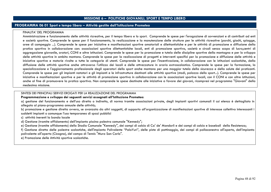## **MISSIONE 6 – POLITICHE GIOVANILI, SPORT E TEMPO LIBERO**

### **PROGRAMMA 06 01 Sport e tempo libero – Attività gestite dall'Istituzione Prometeo**

#### FINALITA' DEL PROGRAMMA

 Amministrazione e funzionamento delle attività ricreative, per il tempo libero e lo sport. Comprende le spese per l'erogazione di sovvenzioni e di contributi ad enti e società sportive. Comprende le spese per il funzionamento, la realizzazione e la manutenzione delle strutture per le attività ricreative (parchi, giochi, spiagge, aree di campeggio ...). Comprende le spese per iniziative e manifestazioni sportive amatoriali e dilettantistiche e per le attività di promozione e diffusione della pratica sportiva in collaborazione con: associazioni sportive dilettantistiche locali, enti di promozione sportiva, società e circoli senza scopo di lucro,centri di aggregazione giovanile, oratori, CONI e altre istituzioni. Comprende le spese per la promozione e tutela delle discipline sportive della montagna e per lo sviluppo delle attività sportive in ambito montano. Comprende le spese per la realizzazione di progetti e interventi specifici per la promozione e diffusione delle attività e iniziative sportive e motorie rivolte a tutte le categorie di utenti. Comprende le spese per l'incentivazione, in collaborazione con le istituzioni scolastiche, della diffusione delle attività sportive anche attraverso l'utilizzo dei locali e delle attrezzature in orario extrascolastico. Comprende le spese per la formazione, la specializzazione e l'aggiornamento professionale degli operatori dello sport anche montano per una maggior tutela della sicurezza e della salute dei praticanti. Comprende le spese per gli impianti natatori e gli impianti e le infrastrutture destinati alle attività sportive (stadi, palazzo dello sport...). Comprende le spese per iniziative e manifestazioni sportive e per le attività di promozione sportiva in collaborazione con le associazioni sportive locali, con il CONI e con altre istituzioni, anche al fine di promuovere la pratica sportiva. Non comprende le spese destinate alle iniziative a favore dei giovani, ricompresi nel programma "Giovani" della medesima missione.

### SINTESI DEI PRINCIPALI SERVIZI EROGATI PER LA REALIZZAZIONE DEL PROGRAMMA

#### **Programmazione e sviluppo dei seguenti servizi assegnati all'Istituzione Prometeo:**

 a) gestione del funzionamento e dell'uso diretto o indiretto, di norma tramite associazioni private, degli impianti sportivi comunali il cui elenco è dettagliato in allegato al piano-programma annuale delle attività;

 b) promozione e gestione diretta ovvero, se avanzata da altri soggetti, di supporto all'organizzazione di manifestazioni sportive di interesse collettivo interessanti i suddetti impianti o comunque l'uso temporaneo di spazi pubblici

c) attività inerenti la banda locale

d) Gestione (tramite affidamento) dell'impianto piscina palestra comunale "Kennedy";

e) Gestione (tramite affidamento) dello Stadio Comunale "Kennedy", dei campi di calcio di Ca' de' Mandorli e dei campi di calcio e baseball della Resistenza;

 f) Gestione diretta delle palestre scolastiche, dell'impianto Polivalente "PalaYuri", delle piste di pattinaggio, dei campi di pallacanestro all'aperto, dell'impianto polivalente all'aperto (Cicogna), del campo di Tennis "Mura San Carlo".

e) Promozione delle Attività sportive scolastiche.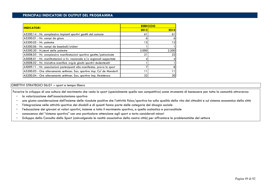| <b>INDICATORI</b>                                                         | <b>ESER CIZIO</b> |         |
|---------------------------------------------------------------------------|-------------------|---------|
|                                                                           | 2013              | 2014    |
| A5200.14 - Nr. complessivo impianti sportivi gestiti dal comune           | 61                | 61      |
| A5200.01 - Nr. campi da gioco                                             | ი                 | 6       |
| A5200.05 - Nr. palestre                                                   | 12                | 12      |
| A5200.06 - Nr. campi da baseball/cricket                                  |                   |         |
| A5200.20 - N.utenti delle palestre                                        | 3.000             | 2.500   |
| A5008.03 - Nr. complessivo manifestazioni sportive gestite/patrocinate    | 21                | 22      |
| $A5008.01$ - Nr. manifestazioni a liv. nazionale e/o regionali supportate |                   | $\vert$ |
| A5008.02 - Nr. iniziative-manifest. org.te giochi sportivi studenteschi   |                   |         |
| A5009.11 - Nr. associazioni partecipanti alla manifestaz. prova lo sport  |                   | 8       |
| A5200.03 - Ore allenamento settiman. Soc. sportive imp. Ca' de Mandorli   |                   | 11      |
| A5200.04 - Ore allenamento settiman. Soc. sportive imp. Resistenza        | 32                | 30      |

### OBIETTIVI STRATEGICI 06.01 – sport e tempo libero

Favorire lo sviluppo di una cultura del movimento che veda lo sport (specialmente quello non competitivo) come strumento di benessere per tutta la comunità attraverso:

- la valorizzazione dell'associazionismo sportivo
- una giusta considerazione dell'insieme delle ricadute positive che l'attività fisico/sportiva ha sulla qualità della vita dei cittadini e sul sistema economico della città
- l'integrazione nelle attività sportive dei disabili e di quanti fanno parte delle categorie del disagio sociale
- l'educazione dei giovani ai valori sportivi, insieme a tutto il movimento sportivo, a quello scolastico e parrocchiale
- conoscenza del "sistema sportivo" con una particolare attenzione agli sport a torto considerati minori
- -Sviluppo della Consulta dello Sport (coinvolgendo le realtà associative della nostra città) per affrontare le problematiche del settore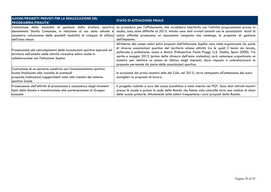| AZIONI/PROGETTI PREVISTI PER LA REALIZZAZIONE DEL<br><b>PROGRAMMA/FINALITA'</b>                                                                                                                              | <b>STATO DI ATTUAZIONE FINALE</b>                                                                                                                                                                                                                                                                                                                                                                                                                                                                                                                                        |
|--------------------------------------------------------------------------------------------------------------------------------------------------------------------------------------------------------------|--------------------------------------------------------------------------------------------------------------------------------------------------------------------------------------------------------------------------------------------------------------------------------------------------------------------------------------------------------------------------------------------------------------------------------------------------------------------------------------------------------------------------------------------------------------------------|
| Valutazione della modalità di gestione della struttura sportiva <br>denominata Stadio Comunale, in relazione al suo stato attuale e <br>ldell'area stessa                                                    | Le procedure per l'affidamento, che avrebbero interferito con l'attività programmata presso lo<br>stadio, sono state differite al 2015. Intanto sono stati avviati contatti con le associazioni locali di<br>successiva valutazione delle possibili modalità di sviluppo di utilizzo  calcio affinché producano un documento congiunto che contenga le proposte di gestione<br>dell'impianto.                                                                                                                                                                            |
| Prosecuzione del coinvolgimento delle associazioni sportive operanti sul<br>territorio nell'ambito delle attività ricreative estive anche in<br>collaborazione con l'Istituzione Sophia                      | All'interno dei campi solari estivi proposti dall'Istituzione Sophia sono state organizzate da parte<br>di diverse associazioni sportive del territorio alcune attività tra le quali il tennis da tavolo,<br>pallavolo e pallamano, nuoto e danza (Polisportiva Paolo Poggi, U.S. Zinella, Sport 2000). Tra<br>aprile e maggio 2015 (prima della chiusura dell'anno scolastico) sarà comunque organizzato un<br>incontro per definire un piano di utilizzo degli impianti, dare risposta e calendarizzare le<br>proposte pervenute da parte delle associazioni sportive. |
| Costruzione di un percorso condiviso con l'associazionismo sportivo<br>locale finalizzato alla raccolta di eventuali<br>proposte/indicazioni/suggerimenti volte alla crescita del sistema<br>sportivo locale | In occasione del primo incontro utile del CdA, nel 2015, verrà sottoposta all'attenzione dei nuovi<br>consiglieri la proposta di lavoro.                                                                                                                                                                                                                                                                                                                                                                                                                                 |
| Prosecuzione dell'attività di promozione e conoscenza degli strumenti<br>tipici della Banda e incentivazione alla partecipazione al Gruppo<br>musicale                                                       | Il progetto redatto a cura del corpo bandistico è stato inserito nel POT. Sono stati attivati incontri<br>presso le scuole e presso la sede della Banda che hanno visto coinvolte circa una ventina di classi<br>delle scuole primarie. Attualmente sette allievi frequentano i corsi proposti dalla Banda.                                                                                                                                                                                                                                                              |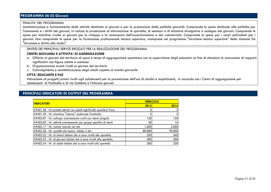# **PROGRAMMA 06 02 Giovani**

#### FINALITA' DEL PROGRAMMA

 Amministrazione e funzionamento delle attività destinate ai giovani e per la promozione delle politiche giovanili. Comprende le spese destinate alle politiche per l'autonomia e i diritti dei giovani, ivi inclusa la produzione di informazione di sportello, di seminari e di iniziative divulgative a sostegno dei giovani. Comprende le spese per iniziative rivolte ai giovani per lo sviluppo e la conoscenza dell'associazionismo e del volontariato. Comprende le spese per i centri polivalenti per i giovani. Non comprende le spese per la formazione professionale tecnica superiore, ricomprese nel programma "Istruzione tecnica superiore" della missione 04 "Istruzione e diritto allo studio".

### SINTESI DEI PRINCIPALI SERVIZI EROGATI PER LA REALIZZAZIONE DEL PROGRAMMA

### **CENTRI GIOVANILI E ATTIVITA' DI AGGREGAZIONE**

- a. Offerta ai giovani del territorio di spazi e tempi di aggregazione spontanea con la supervisione degli educatori al fine di stimolare la costruzione di rapporti significativi con figure adulte e coetanei
- b. Organizzazione eventi rivolti ai giovani del territorio
- c. Coinvolgimento e sensibilizzazione degli adulti rispetto al mondo giovanile

### **CITTA' EDUCANTE E PdZ**

 Attivazione di progetti/azioni rivolti agli adolescenti per la prevenzione dell'uso di alcolici e stupefacenti, in raccordo con i Centri di aggregazione per adolescenti di Ponticella e di via Galletta e l'Informa giovani

| <b>INDICATORI</b>                                                       | <b>ESERCIZIO</b> |        |
|-------------------------------------------------------------------------|------------------|--------|
|                                                                         | 2013             | 2014   |
| A9401.28 - Nr.contatti attivati con adulti signific.del quartiere Pont. |                  |        |
| A9401.29 - Nr. iniziative "interne" realizzate Ponticella               |                  |        |
| A9402.07 - Nr. colloqui orientamento svolti con utenti (singoli)        | 150              | 150    |
| A9402.09 - Nr. attività orientamento per gruppi specifici di utenti     | 20               | 16     |
| A9402.17 - Nr. notizie inserite nel sito                                | 1.600            | 2.000  |
| A9402.28 - Nr. contatti che hanno visitato il sito                      | 80.000           | 90.000 |
| A9402.32 - Nr. di minori italiani che si sono rivolti allo sportello    | 250              | 260    |
| A9402.33 - Nr. di giovani italiani che si sono rivolti allo sportello   | 300              | 200    |
| A9402.34 - Nr. di adulti italiani che si sono rivolti allo sportello    | 200              | 230    |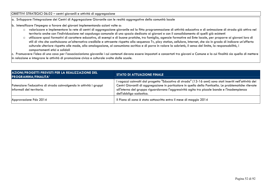OBIETTIVI STRATEGICI 06.02 – centri giovanili e attività di aggregazione

 $\vert$ a. Sviluppare l'integrazione dei Centri di Aggregazione Giovanile con le realtà aggregative della comunità locale

b. Intensificare l'impegno a favore dei giovani implementando azioni volte a:

- o valorizzare e implementare la rete di centri di aggregazione giovanile ed la fitta programmazione di attività educativa e di animazione di strada già attiva nel territorio anche con l'individuazione nel capoluogo comunale di uno spazio dedicato ai giovani e con il consolidamento di quelli già esistenti
- o utilizzare spazi formativi di carattere educativo, di esempi e di buone pratiche, tra famiglia, agenzie formative ed Ente locale, per proporre ai giovani loro di stili di vita che costituiscano un'alternativa credibile e attraente rispetto alla sequenza Tv, play station, cellulare, Internet, che sia in grado di indicare un'offerta culturale ulteriore rispetto alle mode, alla omologazione, al consumismo acritico e di porre in valore la sobrietà, il senso del limite, la responsabilità, i comportamenti etici e solidali

 c. Promuovere l'idea di una casa per l'associazionismo giovanile i cui contenuti devono essere impostati e concertati tra giovani e Comune e la cui finalità sia quella di mettere in relazione e integrare le attività di promozione civica e culturale svolte dalle scuole.

| AZIONI/PROGETTI PREVISTI PER LA REALIZZAZIONE DEL<br><b>PROGRAMMA/FINALITA'</b>                  | <b>STATO DI ATTUAZIONE FINALE</b>                                                                                                                                                                                                                                                                                                             |
|--------------------------------------------------------------------------------------------------|-----------------------------------------------------------------------------------------------------------------------------------------------------------------------------------------------------------------------------------------------------------------------------------------------------------------------------------------------|
| Potenziare l'educativa di strada coinvolgendo in attività i gruppi<br>linformali del territorio. | I ragazzi coinvolti dal progetto "Educativa di strada" (13-16 anni) sono stati inseriti nell'attività dei<br>Centri Giovanili di aggregazione in particolare in quello della Ponticella. Le problematiche rilevate<br>all'interno del gruppo riguardavano l'aggressività agita tra piccole bande e l'inadempienza<br>dell'obbligo scolastico. |
| Approvazione Pdz 2014                                                                            | Il Piano di zona è stato sottoscritto entro il mese di maggio 2014                                                                                                                                                                                                                                                                            |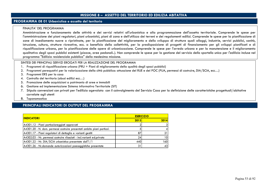### **MISSIONE 8 – ASSETTO DEL TERRITORIO ED EDILIZIA ABITATIVA**

### **PROGRAMMA 08 01 Urbanistica e assetto del territorio**

#### FINALITA' DEL PROGRAMMA

Amministrazione e funzionamento delle attività e dei servizi relativi all'urbanistica e alla programmazione dell'assetto territoriale. Comprende le spese per l'amministrazione dei piani regolatori, piani urbanistici, piani di zona e dell'utilizzo dei terreni e dei regolamenti edilizi. Comprende le spese per la pianificazione di zone di insediamento nuove o ripristinate, per la pianificazione del miglioramento e dello sviluppo di strutture quali alloggi, industrie, servizi pubblici, sanità, istruzione, cultura, strutture ricreative, ecc. a beneficio della collettività, per la predisposizione di progetti di finanziamento per gli sviluppi pianificati e di riqualificazione urbana, per la pianificazione delle opere di urbanizzazione. Comprende le spese per l'arredo urbano e per la manutenzione e il miglioramento qualitativo degli spazi pubblici esistenti (piazze, aree pedonali..). Non comprende le spese per la gestione del servizio dello sportello unico per l'edilizia incluse nel programma "Edilizia residenziale pubblica" della medesima missione.

SINTESI DEI PRINCIPALI SERVIZI EROGATI PER LA REALIZZAZIONE DEL PROGRAMMA

- 1. Programmi di riqualificazione urbana (PRU + Piani di miglioramento della qualità degli spazi pubblici)
- 2. Programmi perequativi per la valorizzazione della città pubblica: attuazione del RUE e del POC (PUA, permessi di costruire, DIA/SCIA, ecc…)
- 3. Programmi ERS per la casa
- 4. Controllo del territorio (abusi edilizi ecc…)
- 5. Promozione delle acquisizioni a patrimonio di aree e immobili
- 6. Gestione ed implementazione Sistema informativo Territoriale (SIT)
- 7. Stipula convenzioni con privati per l'edilizia agevolata con il coinvolgimento del Servizio Casa per la definizione delle caratteristiche progettuali/abitative correlate agli utenti
- 8. Toponomastica

| <b>ESER CIZIO</b> |      |
|-------------------|------|
| 2013              | 2014 |
|                   | 31   |
|                   |      |
| 87                |      |
| 24 <sub>l</sub>   | 10   |
| 440               | 160  |
| 31                | 43   |
|                   |      |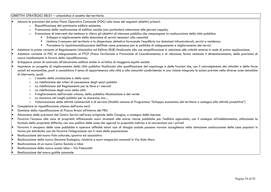### OBIETTIVI STRATEGICI 08.01 – urbanistica e assetto del territorio

- • Attuare le previsioni del primo Piano Operativo Comunale (POC) sulla base dei seguenti obiettivi primari:
	- o Riqualificazione del patrimonio edilizio esistente;
	- o Promozione della realizzazione di edilizia sociale (con particolare attenzione alle giovani coppie);
	- o Promozione di interventi che mettano in rilievo gli obiettivi di interesse pubblico che compongono la realizzazione della città pubblica:
		- Sviluppo e miglioramento della dotazione di servizi necessari alla comunità
		- Limitare il consumo del territorio e la dispersione abitativa favorendo l'equilibrio tra dotazioni infrastrutturali, servizi e residenza
		- Prevedere la ripatrimonializzazione dell'Ente come premessa per le politiche di adeguamento e miglioramento dei servizi
- •Adottare la prima variante al Regolamento Urbanistico ed Edilizio (RUE) finalizzata alla sua semplificazione in relazione alle criticità emerse in sede di prima applicazione;
- • Adottare variante al PSC di adeguamento al PTCP (Piano Territoriale e Provinciale di Coordinamento) e di riduzione, fermo restando il dimensionamento, delle previsioni di nuovo insediamento in favore della riqualificazione;
- •Sviluppare azioni di contrasto all'abusivismo edilizio anche in un'ottica di maggiore equità sociale
- • Impostare un progetto di miglioramento della città pubblica finalizzato alla qualificazione del capoluogo e delle frazioni che, con il coinvolgimento dei cittadini e delle forze sociali ed economiche, punti a consolidare il senso di appartenenza alla città e alla comunità condividendo in una visione integrata le azioni previste nella diverse aree tematiche di intervento, quali:
	- o L'assetto della circolazione e della sosta
	- o La ridefinizione dei criteri di concessione degli spazi pubblici
	- o La ridefinizione del Regolamento per le fiere e i mercati
	- o La ridefinizione degli orari della città
	- oIl miglioramento dell'arredo urbano, della pubblica illuminazione e del verde
	- o La sicurezza nei luoghi pubblici per la sicurezza, ecc…
	- o Valorizzazione delle attività commerciali e di servizio (finalità comune al Programma "Sviluppo economico del territorio e sostegno alle attività produttive")
- •Completare la riqualificazione urbana dell'area nord
- •Gestione della riqualificazione di Piazza Bracci all'interno del PRU
- •Attuazione delle previsioni del Centro Servizi nell'area artiginale della Cicogna, a sostegno delle imprese
- • Favorire l'accesso alla casa di proprietà affiancando nuovi strumenti alle scarse risorse pubbliche per l'edilizia agevolata, con il sostegno all'indebitamento, utilizzando la formula della proprietà differita, con una politica delle aree che agevoli la proprietà indivisa e le convenzioni con i privati
- • Favorire il recupero delle case pubbliche e operare affinché taluni casi di disagio sociale possano trovare accoglienza nella dotazione sanlazzarese delle case popolari in forma più distribuita così da favorire l'integrazione con il resto della popolazione
- •Realizzazione del nuovo Polo culturale, sportivo ed associativo
- •Realizzazione della nuova Stazione Ecologica, ricicleria e nuovi magazzini comunali in Via Aldo Moro
- •Realizzazione di un nuovo Centro Sociale a Idice
- •Realizzazione della nuova scuola Idice – Via Palazzetti
- •Realizzazione del nuovo gattile comunale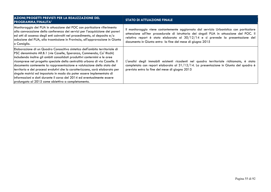| AZIONI/PROGETTI PREVISTI PER LA REALIZZAZIONE DEL<br><b>PROGRAMMA/FINALITA'</b>                                                                                                                                                                                                                                                                                                                                                                                                                                                                                                                                                                                                  | <b>STATO DI ATTUAZIONE FINALE</b>                                                                                                                                                                                                                                                                                                     |
|----------------------------------------------------------------------------------------------------------------------------------------------------------------------------------------------------------------------------------------------------------------------------------------------------------------------------------------------------------------------------------------------------------------------------------------------------------------------------------------------------------------------------------------------------------------------------------------------------------------------------------------------------------------------------------|---------------------------------------------------------------------------------------------------------------------------------------------------------------------------------------------------------------------------------------------------------------------------------------------------------------------------------------|
| Monitoraggio dei PUA in attuazione del POC con particolare riferimento<br>alla convocazione della conferenza dei servizi per l'acquisizione dei pareri<br>ed atti di assenso degli enti coinvolti nel procedimento, al deposito e/o<br>adozione del PUA, alla trasmissione in Provincia, all'approvazione in Giunta<br>o Consiglio.                                                                                                                                                                                                                                                                                                                                              | Il monitoraggio viene costantemente aggiornato dal servizio Urbanistica con particolare<br>attenzione all'iter procedurale di istruttoria dei singoli PUA in attuazione del POC. Il<br>relativo report è stato elaborato al $30/12/14$ e si prevede la presentazione del<br>documento in Giunta entro la fine del mese di giugno 2015 |
| Elaborazione di un Quadro Conoscitivo sintetico dell'ambito territoriale di<br>PSC denominato AR.B.1 (vie Caselle, Speranza, Commenda, Ca' Ricchi)<br>includendo inoltre gli ambiti consolidati produttivi contermini e le aree<br>ricomprese nel progetto speciale della centralità urbana di via Caselle. Il<br>documento contenente la rappresentazione e valutazione dello stato del<br>territorio e dei processi evolutivi che lo caratterizzano, sarà elaborato per<br>singole matrici ed impostato in modo da poter essere implementato di<br>informazioni e dati durante il corso del 2014 ed eventualmente essere<br>prolungato al 2015 come obiettivo a completamento. | L'analisi degli immobili esistenti ricadenti nel quadro territoriale richiamato, è stata<br>completata con report elaborato al 31/12/14. La presentazione in Giunta del quadro è<br>prevista entro la fine del mese di giugno 2015                                                                                                    |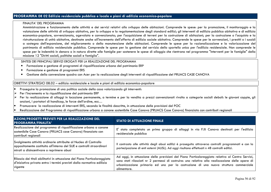# **PROGRAMMA 08 02 Edilizia residenziale pubblica e locale e piani di edilizia economico-popolare**

#### FINALITA' DEL PROGRAMMA

 Amministrazione e funzionamento delle attività e dei servizi relativi allo sviluppo delle abitazioni. Comprende le spese: per la promozione, il monitoraggio e la valutazione delle attività di sviluppo abitativo, per lo sviluppo e la regolamentazione degli standard edilizi; gli interventi di edilizia pubblica abitativa e di edilizia  $\vert$ economico-popolare, sovvenzionata, agevolata e convenzionata; per l'acquisizione di terreni per la costruzioni; per la costruzione o l'acquisto e la ristrutturazione di unità abitative, destinate anche all'incremento dell'offerta di edilizia sociale abitativa. Comprende le spese per le sovvenzioni, i prestiti o i sussidi a sostegno dell'espansione, del miglioramento o della manutenzione delle abitazioni. Comprende le spese per la razionalizzazione e la valorizzazione del patrimonio di edilizia residenziale pubblica. Comprende le spese per la gestione del servizio dello sportello unico per l'edilizia residenziale. Non comprende le spese per le indennità in denaro o in natura dirette alle famiglie per sostenere le spese di alloggio che rientrano nel programma "Interventi per le famiglie" della missione 12 "Diritti sociali, politiche sociali e famiglia".

# SINTESI DEI PRINCIPALI SERVIZI EROGATI PER LA REALIZZAZIONE DEL PROGRAMMA

- Formazione e gestione di programmi di riqualificazione urbana del patrimonio ERP •
- •Formazione e gestione di programmi ERS
- •Gestione della convenzione quadro con Acer per la realizzazione degli interventi di riqualificazione del PRUACS CASE CANOVA

OBIETTIVI STRATEGICI 08.02 – edilizia residenziale e locale e piani di edilizia economico-popolare

- •Proseguire la promozione di una politica sociale della casa valorizzando gli interventi:
- ➤ Per l'incremento e la riqualificazione del patrimonio ERP
- ➤ Per la realizzazione di alloggi in locazione permanente, a termine e per la vendita a prezzi convenzionati rivolto a categorie sociali deboli: le giovani coppie, gli anziani, i portatori di handicap, le forze dell'ordine, ecc…
- Promuovere la realizzazione di interventi ERS, secondo le finalità descritte, in attuazione delle previsioni del POC •
- •Realizzazione del Programma di riqualificazione urbana a canone sostenibile Case Canova (PRUACS Case Canova) finanziato con contributi regionali

| <b>AZIONI/PROGETTI PREVISTI PER LA REALIZZAZIONE DEL</b><br><b>PROGRAMMA/FINALITA'</b>                                                                                                 | <b>STATO DI ATTUAZIONE FINALE</b>                                                                                                                                                                                                                                                                          |
|----------------------------------------------------------------------------------------------------------------------------------------------------------------------------------------|------------------------------------------------------------------------------------------------------------------------------------------------------------------------------------------------------------------------------------------------------------------------------------------------------------|
| Realizzazione del programma di riqualificazione urbana a canone<br>sostenibile Case Canova (PRUACS case Canova) finanziato con<br>contributi regionali                                 | E' stato completato un primo gruppo di alloggi in via F.lli Canova destinati per l'edilizia<br>residenziale pubblica                                                                                                                                                                                       |
| Svolgimento attività ordinarie attribuite al Nucleo di Controllo<br>appositamente costituito all'interno del SUE e controlli straordinari<br>mirati a disincentivare o reprimere abusi | Il contrasto alle attività degli abusi edilizi è proseguito attraverso controlli programmati e con la<br>partecipazione di enti esterni (AUSL). Ad oggi risultano effettuati n 48 controlli edilizi.                                                                                                       |
| Rilascio dei titoli abilitativi in attuazione del Piano Particolareggiato<br>d'iniziativa privata entro i termini previsti dalla normativa edilizia<br>vigente                         | Ad oggi, in attuazione delle previsioni del Piano Particolareggiato relativo al Centro Servizi,<br>sono stati rilasciati nr 2 permessi di costruire: uno relativo alla realizzazione delle opere di<br>urbanizzazione primaria ed uno per la costruzione di una nuova struttura commerciale<br>alimentare. |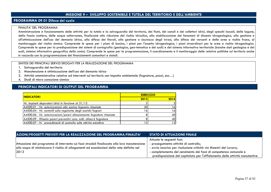## **MISSIONE 9 – SVILUPPO SOSTENIBILE E TUTELA DEL TERRITORIO E DELL'AMBIENTE**

### **PROGRAMMA 09 01 Difesa del suolo**

### FINALITA' DEL PROGRAMMA

 Amministrazione e funzionamento delle attività per la tutela e la salvaguardia del territorio, dei fiumi, dei canali e dei collettori idrici, degli specchi lacuali, delle lagune, della fascia costiera, delle acque sotterranee, finalizzate alla riduzione del rischio idraulico, alla stabilizzazione dei fenomeni di dissesto idrogeologico, alla gestione e all'ottimizzazione dell'uso del demanio idrico, alla difesa dei litorali, alla gestione e sicurezza degli invasi, alla difesa dei versanti e delle aree a rischio frana, al monitoraggio del rischio sismico. Comprende le spese per i piani di bacino, i piani per l'assetto idrogeologico, i piani straordinari per le aree a rischio idrogeologico. Comprende le spese per la predisposizione dei sistemi di cartografia (geologica, geo-tematica e dei suoli) e del sistema informativo territoriale (banche dati geologica e dei suoli, sistema informativo geografico della costa). Comprende le spese per la programmazione, il coordinamento e il monitoraggio delle relative politiche sul territorio anche in raccordo con la programmazione dei finanziamenti comunitari e statali.

### SINTESI DEI PRINCIPALI SERVIZI EROGATI PER LA REALIZZAZIONE DEL PROGRAMMA

- 1. Salvaguardia del territorio
- 2. Manutenzione e ottimizzazione dell'uso del demanio idrico
- 3. Attività amministrative relative ad interventi sul territorio con impatto ambientale (fognature, pozzi, ecc…)
- 4. Studi di micro zonazione sismica

| <b>INDICATORI</b>                                                       | <b>ESERCIZIO</b> |                |
|-------------------------------------------------------------------------|------------------|----------------|
|                                                                         | 2013             | 2014           |
| Nr. Impianti depuratori idrici in funzione al 31/12                     |                  | $\overline{2}$ |
| A4500.01 - Nr. autorizzazioni allo scarico fognario rilasciate          | 20               | 16             |
| A4500.04 - Nr. controlli sulla regolarita degli scarichi fognari        | 16 <sub>1</sub>  | 16             |
| A4500.06 - Nr. autorizzazioni/pareri allacciamento fognature rilasciate |                  | 40             |
| A4500.09 - Rilascio pareri preventivi conc. edil. allacc.ti fognature   |                  | 40             |
| A4500.07 - N. procedimenti di controllo sulle attivita estrattive       | $\sim$           | 121            |

| AZIONI/PROGETTI PREVISTI PER LA REALIZZAZIONE DEL PROGRAMMA/FINALITA'                        | <b>STATO DI ATTUAZIONE FINALE</b>                                           |
|----------------------------------------------------------------------------------------------|-----------------------------------------------------------------------------|
|                                                                                              | Attuate le seguenti fasi:                                                   |
| Attuazione del programma di intervento sui fossi stradali finalizzato alla loro manutenzione | - proseguimento attività di controllo;                                      |
| callo scopo di minimizzare il rischio di allagamenti ed esondazioni della rete definito nel  | - avvio incarico per risoluzione criticità via Maestri del Lavoro;          |
| 2013                                                                                         | - completamento del censimento dei fossi di competenza comunale e           |
|                                                                                              | predisposizione del capitolato per l'affidamento delle attività manutentive |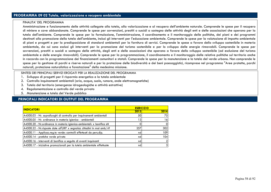## **PROGRAMMA 09 02 Tutela, valorizzazione e recupero ambientale**

#### FINALITA' DEL PROGRAMMA

 Amministrazione e funzionamento delle attività collegate alla tutela, alla valorizzazione e al recupero dell'ambiente naturale. Comprende le spese per il recupero di miniere e cave abbandonate. Comprende le spese per sovvenzioni, prestiti o sussidi a sostegno delle attività degli enti e delle associazioni che operano per la tutela dell'ambiente. Comprende le spese per la formulazione, l'amministrazione, il coordinamento e il monitoraggio delle politiche, dei piani e dei programmi destinati alla promozione della tutela dell'ambiente, inclusi gli interventi per l'educazione ambientale. Comprende le spese per la valutazione di impatto ambientale di piani e progetti e per la predisposizione di standard ambientali per la fornitura di servizi. Comprende le spese a favore dello sviluppo sostenibile in materia ambientale, da cui sono esclusi gli interventi per la promozione del turismo sostenibile e per lo sviluppo delle energie rinnovabili. Comprende le spese per sovvenzioni, prestiti o sussidi a sostegno delle attività, degli enti e delle associazioni che operano a favore dello sviluppo sostenibile (ad esclusione del turismo ambientale e delle energie rinnovabili). Comprende le spese per la programmazione, il coordinamento e il monitoraggio delle relative politiche sul territorio anche in raccordo con la programmazione dei finanziamenti comunitari e statali. Comprende le spese per la manutenzione e la tutela del verde urbano. Non comprende le spese per la gestione di parchi e riserve naturali e per la protezione delle biodiversità e dei beni paesaggistici, ricomprese nel programma "Aree protette, parchi naturali, protezione naturalistica e forestazione" della medesima missione.

#### SINTESI DEI PRINCIPALI SERVIZI EROGATI PER LA REALIZZAZIONE DEL PROGRAMMA

- 1. Sviluppo di progetti per il risparmio energetico e la tutela ambientale
- 2. Controllo inquinamenti ambientali (aria, acqua, suolo, rumore, onde elettromagnetiche)
- 3. Tutela del territorio (emergenze idrogeologiche e attività estrattive)
- 4. Regolamentazione e controllo del verde privato
- 5. Manutenzione e tutela del Verde pubblico

| <b>ESER CIZIO</b> |                |
|-------------------|----------------|
| 2013              | 2014           |
| 50                | 75             |
| 13 <sub>1</sub>   | 16             |
|                   | 01             |
| 257               | 302            |
| nd                | 109            |
| nd                | 104            |
| nd                | $\overline{2}$ |
| nd                | $\overline{3}$ |
|                   |                |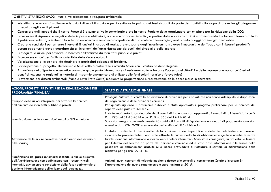### OBIETTIVI STRATEGICI 09.02 – tutela, valorizzazione e recupero ambientale

- • Intensificare le azioni di vigilanza e le azioni di sensibilizzazione per incentivare la pulizia dei fossi stradali da parte dei frontisti, allo scopo di prevenire gli allagamenti a seguito degli eventi piovosi
- •Concorrere agli impegni che il nostro Paese si è assunto a livello comunitario e che la nostra Regione deve raggiungere con un piano per la riduzione della CO2
- •Promuovere il risparmio energetico delle imprese e abitazioni, anche con opportuni incentivi, a partire dalle nuove costruzioni e promuovendo l'isolamento termico di tutto il patrimonio edilizio, orientando lo sviluppo economico in senso eco-compatibile di alto contenuto tecnologico, realizzando alloggi ad energia rinnovabile
- • Creare le condizioni per attrarre interventi finanziari in grado di realizzare una parte degli investimenti attraverso il meccanismo del "pago con i risparmi prodotti": questa opportunità deve riguardare sia gli interventi dell'amministrazione sia quelli dei cittadini e delle imprese
- •Proseguire le azioni per favorire la bonifica dell'amianto da manufatti pubblici e privati
- •Promuovere azioni per l'utilizzo sostenibile delle risorse naturali
- •Valorizzazione di aree verdi da destinare a particolari esigenze di fruizione.
- •Partecipazione al progetto intercomunale SIGE volto a costruire le Comunità Solari con il contributo della Regione
- • Attivazione dello Sportello energetico comunale quale punto informativo e di assistenza volto a favorire l'accesso dei cittadini e delle imprese alle opportunità ed ai benefici nazionali e regionali in materia di risparmio energetico e di utilizzo delle fonti solari (termico e fotovoltaico)
- •Prevenzione dei dissesti ambientali (frane e cava Prete Santo) mediante la progettazione e realizzazione delle opere messe in sicurezza

| AZIONI/PROGETTI PREVISTI PER LA REALIZZAZIONE DEL<br><b>PROGRAMMA/FINALITA'</b>                                                                                                                                                                       | <b>STATO DI ATTUAZIONE FINALE</b>                                                                                                                                                                                                                                                                                                                                                                                                                                                                                                                                                                         |
|-------------------------------------------------------------------------------------------------------------------------------------------------------------------------------------------------------------------------------------------------------|-----------------------------------------------------------------------------------------------------------------------------------------------------------------------------------------------------------------------------------------------------------------------------------------------------------------------------------------------------------------------------------------------------------------------------------------------------------------------------------------------------------------------------------------------------------------------------------------------------------|
| Sviluppo delle azioni intraprese per favorire la bonifica<br>dell'amianto da manufatti pubblici e privati                                                                                                                                             | Prosegue l'attività di controllo ed emissione di ordinanze per i privati che non hanno adempiuto le disposizioni<br>dei regolamenti e delle ordinanze comunali.<br>Per quanto riguarda il patrimonio pubblico è stato approvato il progetto preliminare per la bonifica del<br>coperto della palestra Kennedy.                                                                                                                                                                                                                                                                                            |
| Incentivazione per trasformazioni veicoli a GPL o metano                                                                                                                                                                                              | E' stata realizzata la graduatoria degli aventi diritto e sono stati approvati gli elenchi di tali beneficiari con D.<br>D. n. 790 del 31-10-2014 e con D. D. n. 853 del 19-11-2014.<br>Sono stati erogati complessivamente 20 contributi i cui atti di liquidazione e mandati di pagamento sono stati<br>emessi in data 09-12-2014 esaurendo così la disponibilità di bilancio.                                                                                                                                                                                                                          |
| Attivazione delle misure correttive per il rilancio del servizio di<br>bike sharing                                                                                                                                                                   | E' stata ripristinata la funzionalità della stazione di via Repubblica e delle bici elettriche che avevano<br>manifestato problematiche. Sono state attivate le nuove modalità di abbonamento gratuito nonché le nuove<br>tariffe, dandone informazione a mezzo web e totem informativi. Sono state consegnate, su richiesta, le tessere<br>per l'utilizzo del servizio da parte del personale comunale ed è stata data informazione alle scuole della<br>possibilità di abbonamenti gratuiti. Si è inoltre provveduto a riaffidare il servizio di manutenzione delle<br>biciclette per gli anni 2014-15. |
| Ridefinizione del parco automezzi secondo le nuove esigenze<br>dell'Amministrazione compatibilmente con i recenti vincoli<br>normativi, avviamento e conclusione della fase sperimentale di<br>gestione informatizzata dell'utilizzo degli automezzi. | Attivati i nuovi contratti di noleggio mediante ricorso alle centrali di committenza Consip e Intercent-Er.<br>L'approvazione del nuovo regolamento è stata rinviata al 2015.                                                                                                                                                                                                                                                                                                                                                                                                                             |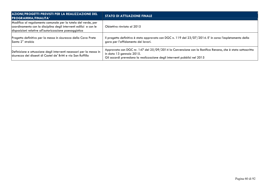| AZIONI/PROGETTI PREVISTI PER LA REALIZZAZIONE DEL<br><b>PROGRAMMA/FINALITA'</b>                                                                                                              | <b>STATO DI ATTUAZIONE FINALE</b>                                                                                                                                                                                 |  |  |  |  |  |
|----------------------------------------------------------------------------------------------------------------------------------------------------------------------------------------------|-------------------------------------------------------------------------------------------------------------------------------------------------------------------------------------------------------------------|--|--|--|--|--|
| Modifica al regolamento comunale per la tutela del verde, per<br>coordinamento con la disciplina degli interventi edilizi e con le<br>disposizioni relative all'autorizzazione paesaggistica | Obiettivo rinviato al 2015                                                                                                                                                                                        |  |  |  |  |  |
| Progetto definitivo per la messa in sicurezza della Cava Prete<br>Santo 2° stralcio                                                                                                          | Il progetto definitivo è stato approvato con DGC n. 119 del 23/07/2014. E' in corso l'espletamento della<br>gara per l'affidamento dei lavori.                                                                    |  |  |  |  |  |
| Definizione e attuazione degli interventi necessari per la messa in<br>sicurezza dei dissesti di Castel de' Britti e via San Ruffillo                                                        | Approvata con DGC nr. 147 del 25/09/2014 la Convenzione con la Bonifica Renana, che è stata sottoscritta<br>in data 13 gennaio 2015.<br>Gli accordi prevedono la realizzazione degli interventi pubblici nel 2015 |  |  |  |  |  |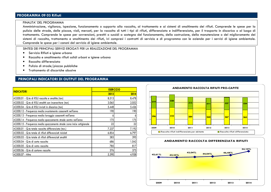# **PROGRAMMA 09 03 Rifiuti**

#### FINALITA' DEL PROGRAMMA

 Amministrazione, vigilanza, ispezione, funzionamento o supporto alla raccolta, al trattamento e ai sistemi di smaltimento dei rifiuti. Comprende le spese per la pulizia delle strade, delle piazze, viali, mercati, per la raccolta di tutti i tipi di rifiuti, differenziata e indifferenziata, per il trasporto in discarica o al luogo di trattamento. Comprende le spese per sovvenzioni, prestiti o sussidi a sostegno del funzionamento, della costruzione, della manutenzione o del miglioramento dei sistemi di raccolta, trattamento e smaltimento dei rifiuti, ivi compresi i contratti di servizio e di programma con le aziende per i servizi di igiene ambientale. Comprende le spese per i canoni del servizio di igiene ambientale.

SINTESI DEI PRINCIPALI SERVIZI EROGATI PER LA REALIZZAZIONE DEL PROGRAMMA

- •Servizio Rifiuti e igiene urbana
- •Raccolta e smaltimento rifiuti solidi urbani e igiene urbana
- •Raccolta differenziata
- •Pulizia di strade/piazze pubbliche
- •Trattamento di discariche abusive

## **PRINCIPALI INDICATORI DI OUTPUT DEL PROGRAMMA**

|                                                                      |       | <b>ESER CIZIO</b> |  |  |  |
|----------------------------------------------------------------------|-------|-------------------|--|--|--|
| <b>INDICATORI</b>                                                    | 2013  | 2014              |  |  |  |
| A3200.01 - Q.ta di RSU raccolta e smaltita (ton)                     | 8.513 | 8.478             |  |  |  |
| A3200.02 - Q.ta di RSU smaltiti con inceneritore (ton)               | 3.065 | 2.052             |  |  |  |
| A3200.04 - Q.ta di RSU inviati in discarica (ton)                    | 5.448 | 5.426             |  |  |  |
| A3200.12 - Frequenza media svuotamento cassonetti nell'anno          | 190   | 190               |  |  |  |
| A3200.13 - Frequenza media lavaggio cassonetti nell'anno             | 6     |                   |  |  |  |
| A3200.14 - Frequenza media spazzamento strade centro nell'anno       | 175   | 175               |  |  |  |
| A3200.15 - Frequenza media spazzamento strade zona ind.e artigianale | 22    | 22                |  |  |  |
| A3300.01 - Q.ta totale raccolta differenziata (ton.)                 | 7.237 | 7.192             |  |  |  |
| A3300.02 - Q.ta totale di rifiuti differenziati riciclati            | 6.854 | 6.797             |  |  |  |
| A3300.03 - Q.ta totale di rifiuti differenziati smaltiti             | 383   | 395               |  |  |  |
| A3300.04 - Q.ta di carta raccolta                                    | 686   | 1.042             |  |  |  |
| A3300.05 - Q.ta di vetro raccolta                                    | 785   | 817               |  |  |  |
| A3300.06 - Q.ta di cartone raccolto                                  | 376   | 375               |  |  |  |
| A3300.07 - Altro                                                     | 5.390 | 4.958             |  |  |  |



#### **ANDAMENTO RACCOLTA DIFFERENZIATA RIFIUTI**

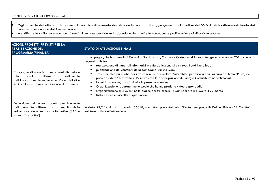- • Miglioramento dell'efficacia del sistema di raccolta differenziata dei rifiuti anche in vista del raggiungimento dell'obiettivo del 65% di rifiuti differenziati fissato dalla normativa nazionale e dall'Unione Europea
- Intensificare la vigilanza e le azioni di sensibilizzazione per ridurre l'abbandono dei rifiuti e la conseguente proliferazione di discariche abusive •

| <b>AZIONI/PROGETTI PREVISTI PER LA</b><br><b>REALIZZAZIONE DEL</b><br><b>PROGRAMMA/FINALITA'</b>                                                                                                         | <b>STATO DI ATTUAZIONE FINALE</b>                                                                                                                                                                                                                                                                                                                                                                                                                                                                                                                                                                                                                                                                                                                                                                                         |  |  |  |  |  |
|----------------------------------------------------------------------------------------------------------------------------------------------------------------------------------------------------------|---------------------------------------------------------------------------------------------------------------------------------------------------------------------------------------------------------------------------------------------------------------------------------------------------------------------------------------------------------------------------------------------------------------------------------------------------------------------------------------------------------------------------------------------------------------------------------------------------------------------------------------------------------------------------------------------------------------------------------------------------------------------------------------------------------------------------|--|--|--|--|--|
| Campagna di comunicazione e sensibilizzazione<br>differenziata<br>nell'ambito<br>raccolta<br>alla<br>dell'Associazione Intercomunale Valle dell'Idice<br>ed in collaborazione con il Comune di Castenaso | La campagna, che ha coinvolto i Comuni di San Lazzaro, Ozzano e Castenaso si è svolta tra gennaio e marzo 2014, con le<br>seguenti attività:<br>realizzazione di materiali informativi previa definizione di un visual, head line e logo<br>pubblicazione dei contenuti della campagna sul sito web;<br>Tre assemblee pubbliche per i tre comuni; in particolare l'assemblea pubblica a San Lazzaro dal titolo "Rusco, c'è<br>poco da ridere" si è svolta il 19 marzo con la partecipazione di Giorgio Comaschi come testimonial;<br>Incontri con scuole, associazioni e imprese commercio;<br>Organizzazione laboratori nelle scuole che hanno prodotto video e spot audio;<br>Organizzazione di 4 eventi nelle piazze dei tre comuni; a San Lazzaro si è svolta il 29 marzo<br>Distribuzione e raccolta di questionari. |  |  |  |  |  |
| Definizione del nuovo progetto per l'aumento<br>della raccolta differenziata a seguito della<br>valutazione delle soluzioni alternative (PAP o<br>sistema "a calotta")                                   | In data 22/12/14 con protocollo 56018, sono stati presentati alla Giunta due progetti: PAP e Sistema "A Calotta" da<br>valutare ai fini dell'attivazione.                                                                                                                                                                                                                                                                                                                                                                                                                                                                                                                                                                                                                                                                 |  |  |  |  |  |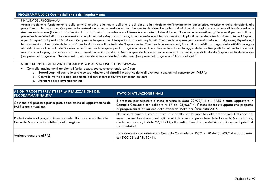## **PROGRAMMA 09.08 Qualità dell'aria e dell'inquinamento**

#### FINALITA' DEL PROGRAMMA

Amministrazione e funzionamento delle attività relative alla tutela dell'aria e del clima, alla riduzione dell'inquinamento atmosferico, acustico e delle vibrazioni, alla protezione dalle radiazioni. Comprende la costruzione, la manutenzione e il funzionamento dei sistemi e delle stazioni di monitoraggio; la costruzione di barriere ed altre strutture anti-rumore (incluso il rifacimento di tratti di autostrade urbane o di ferrovie con materiali che riducono l'inquinamento acustico); gli interventi per controllare o prevenire le emissioni di gas e delle sostanze inquinanti dell'aria; la costruzione, la manutenzione e il funzionamento di impianti per la decontaminazione di terreni inquinati e per il deposito di prodotti inquinanti. Comprende le spese per il trasporto di prodotti inquinanti. Comprende le spese per l'amministrazione, la vigilanza, l'ispezione, il funzionamento o il supporto delle attività per la riduzione e il controllo dell'inquinamento. Comprende le sovvenzioni, i prestiti o i sussidi a sostegno delle attività collegate alla riduzione e al controllo dell'inquinamento. Comprende le spese per la programmazione, il coordinamento e il monitoraggio delle relative politiche sul territorio anche in raccordo con la programmazione e i finanziamenti comunitari e statali. Non comprende le spese per le misure di risanamento e di tutela dall'inquinamento delle acque (comprese nel programma "Tutela e valorizzazione delle risorse idriche") e del suolo (comprese nel programma "Difesa del suolo").

#### SINTESI DEI PRINCIPALI SERVIZI EROGATI PER LA REALIZZAZIONE DEL PROGRAMMA

- Controllo inquinamenti ambientali (aria, acqua, suolo, rumore, onde e.m.) con:
	- a. Sopralluoghi di controllo anche su segnalazione di cittadini e applicazione di eventuali sanzioni (di concerto con l'ARPA)
	- b. Controllo, verifica e aggiornamento del censimento manufatti contenenti amianto
	- c. Monitoraggio elettromagnetismo

| AZIONI/PROGETTI PREVISTI PER LA REALIZZAZIONE DEL<br>PROGRAMMA/FINALITA'                                               | <b>STATO DI ATTUAZIONE FINALE</b>                                                                                                                                                                                                                                                                                                 |
|------------------------------------------------------------------------------------------------------------------------|-----------------------------------------------------------------------------------------------------------------------------------------------------------------------------------------------------------------------------------------------------------------------------------------------------------------------------------|
| Gestione del processo partecipativo finalizzato all'approvazione del<br>PAES e sua attuazione.                         | Il processo partecipativo è stato concluso in data 22/02/14 e il PAES è stato approvato in<br>Consiglio Comunale con delibera nr 17 del 25/03/14. E' stata inoltre sviluppata una proposta<br>di programma di attuazione delle azioni del PAES per l'annualità 2015.                                                              |
| Partecipazione al progetto intercomunale SIGE volto a costituire le<br>Comunità Solari con il contributo della Regione | Nel mese di marzo è stato attivato lo sportello per la raccolta delle preadesioni. Nel corso del<br>mese di novembre si sono svolti gli incontri del comitato promotore della Comunità Solare Locale,<br>che hanno portato, in data $27/11/14$ , alla costituzione ufficiale dell'Associazione, con i primi 14<br>soci fondatori. |
| Variante generale al PAE                                                                                               | La variante è stata adottata in Consiglio Comunale con DCC nr. 50 del 04/09/14 e approvata<br>con DCC 68 del 18/12/14.                                                                                                                                                                                                            |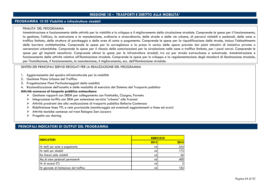## **MISSIONE 10 – TRASPORTI E DIRITTO ALLA MOBILITA'**

### **PROGRAMMA 10 05 Viabilità e infrastrutture stradali**

#### FINALITA' DEL PROGRAMMA

 Amministrazione e funzionamento delle attività per la viabilità e lo sviluppo e il miglioramento della circolazione stradale. Comprende le spese per il funzionamento, la gestione, l'utilizzo, la costruzione e la manutenzione, ordinaria e straordinaria, delle strade e delle vie urbane, di percorsi ciclabili e pedonali, delle zone a traffico limitato, delle strutture di parcheggio e delle aree di sosta a pagamento. Comprende le spese per la riqualificazione delle strade, incluso l'abbattimento delle barriere architettoniche. Comprende le spese per la sorveglianza e la presa in carico delle opere previste dai piani attuativi di iniziativa privata o convenzioni urbanistiche. Comprende le spese per il rilascio delle autorizzazioni per la circolazione nelle zone a traffico limitato, per i passi carrai. Comprende le spese per gli impianti semaforici. Comprende altresì le spese per le infrastrutture stradali, tra cui per strade extraurbane e autostrade. Amministrazione e funzionamento delle attività relative all'illuminazione stradale. Comprende le spese per lo sviluppo e la regolamentazione degli standard di illuminazione stradale, per l'installazione, il funzionamento, la manutenzione, il miglioramento, ecc. dell'illuminazione stradale.

### SINTESI DEI PRINCIPALI SERVIZI EROGATI PER LA REALIZZAZIONE DEL PROGRAMMA

- 1. Aggiornamento del quadro infrastrutturale per la mobilità
- 2. Gestione Piano Urbano del Traffico
- 3. Progettazione Piani Particolareggiati della mobilità
- 4. Razionalizzazione dell'assetto e delle modalità di esercizio del Sistema del Trasporto pubblico

### **Attività connesse al trasporto pubblico extraurbano**

- $\triangleright$  Gestione rapporti con SREM per collegamento con Ponticella, Cicogna, Farneto
- Integrazione tariffa con SRM per estensione servizio "urbano" alle frazioni<br>Nel Attistic predsenti de clima colineazione di trasperte pubblice Bellarin Cast
- $\triangleright$  Attività prodromi che alla realizzazione di trasporto pubblico Bellaria-Castenaso
- $\triangleright$  Ridefinizione linee TPL e rete provinciale (monitoraggio ed eventuali aggiustamenti a linee ed orari)<br>A thirith teatishe compasse ed tram Release San Luzzare
- $\triangleright$  Attività tecniche connesse col tram Bologna San Lazzaro
- $\triangleright$  Progetto car sharing

| <b>ESER CIZIO</b> |                  |  |  |  |
|-------------------|------------------|--|--|--|
| 2013              | 2014             |  |  |  |
| nd                | 244              |  |  |  |
| nd                | 173 <sub>1</sub> |  |  |  |
| nd                | 26               |  |  |  |
| nd                | 400              |  |  |  |
| nd                |                  |  |  |  |
| nd                | 182              |  |  |  |
|                   |                  |  |  |  |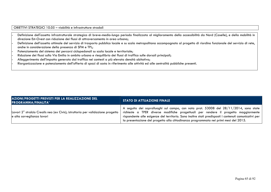| OBIETTIVI STRATEGICI 10.05 – viabilità e infrastrutture stradali<br>-<br>- Definizione dell'assetto infrastrutturale strategico di breve-medio-lungo periodo finalizzata al miglioramento della accessibilità da Nord (Caselle) direzione Est-Ovest con riduzione dei flussi di attraversamento in area urbana; -

 Definizione dell'assetto ottimale del servizio di trasporto pubblico locale e su scala metropolitana accompagnato al progetto di riordino funzionale del servizio di rete, anche in considerazione della presenza di SFM e TPL;

Potenziamento del sistema dei percorsi ciclopedonali su scala locale e territoriale;

Riduzione dei flussi sulla Via Emilia in ambito urbano e riequilibrio dei flussi di traffico sulle dorsali principali; -

Alleggerimento dell'impatto generato dal traffico nei contesti a più elevata densità abitativa; -

Riorganizzazione e potenziamento dell'offerta di spazi di sosta in riferimento alle attività ed alle centralità pubbliche presenti.

| AZIONI/PROGETTI PREVISTI PER LA REALIZZAZIONE DEL<br><b>PROGRAMMA/FINALITA'</b>                                           | <b>STATO DI ATTUAZIONE FINALE</b>                                                                                                                                                                                                                                                                                                                                             |
|---------------------------------------------------------------------------------------------------------------------------|-------------------------------------------------------------------------------------------------------------------------------------------------------------------------------------------------------------------------------------------------------------------------------------------------------------------------------------------------------------------------------|
| Lavori 2 <sup>°</sup> stralcio Crealis neo (ex Civis); istruttoria per validazione progetto<br>e alta sorveglianza lavori | A seguito dei sopralluoghi sul campo, con nota prot. 53008 del 28/11/2014, sono state<br>richieste a TPER diverse modifiche progettuali per rendere il progetto maggiormente<br>rispondente alle esigenze del territorio. Sono inoltre stati predisposti i contenuti comunicativi per<br>la presentazione del progetto alla cittadinanza programmata nei primi mesi del 2015. |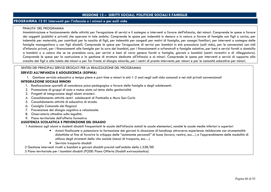# **MISSIONE 12 – DIRITTI SOCIALI, POLITICHE SOCIALI E FAMIGLIE**

# **PROGRAMMA 12 01 Interventi per l'infanzia e i minori e per asili nido**

#### FINALITA' DEL PROGRAMMA

Amministrazione e funzionamento delle attività per l'erogazione di servizi e il sostegno a interventi a favore dell'infanzia, dei minori. Comprende le spese a favore dei soggetti (pubblici e privati) che operano in tale ambito. Comprende le spese per indennità in denaro o in natura a favore di famiglie con figli a carico, per indennità per maternità, per contributi per la nascita di figli, per indennità per congedi per motivi di famiglia, per assegni familiari, per interventi a sostegno delle famiglie monogenitore o con figli disabili. Comprende le spese per l'erogazione di servizi per bambini in età prescolare (asili nido), per le convenzioni con nidi d'infanzia privati, per i finanziamenti alle famiglie per la cura dei bambini, per i finanziamenti a orfanotrofi e famiglie adottive, per beni e servizi forniti a domicilio a bambini o a coloro che se ne prendono cura, per servizi e beni di vario genere forniti a famiglie, giovani o bambini (centri ricreativi e di villeggiatura). Comprende le spese per la costruzione e la gestione di strutture dedicate all'infanzia e ai minori. Comprende le spese per interventi e servizi di supporto alla crescita dei figli e alla tutela dei minori e per far fronte al disagio minorile, per i centri di pronto intervento per minori e per le comunità educative per minori.

### SINTESI DEI PRINCIPALI SERVIZI EROGATI PER LA REALIZZAZIONE DEL PROGRAMMA

#### **SERVIZI ALL'INFANZIA E ADOLESCENZA (SOPHIA)**

1. Gestione servizio educativo a tempo pieno e part time a minori in età 1-2 anni negli asili nido comunali e nei nidi privati convenzionati

### **INTEGRAZIONE SOCIALE MINORI**

- 1. Realizzazione sportelli di consulenza psico-pedagogica a favore delle famiglie e degli adolescenti.
- 2. Promozione di gruppi di auto e mutuo aiuto sul tema della genitorialità
- 3. Progetti di integrazione degli alunni stranieri.
- 4. Consolidamento attività centri adolescenti di Ponticella e Mura San Carlo
- 5. Consolidamento attività di educativa di strada
- 6. Consiglio Comunale dei Ragazzi
- 7. Prevenzione del disagio cognitivo e relazionale.
- 8. Osservatorio cittadino sulla legalità.
- 9. Piano territoriale dell'offerta formativa

### **ASSISTENZA SCOLASTICA E PREVENZIONE DEL DISAGIO**

1 Assistenza agli alunni e studenti disabili frequentanti le scuole dell'infanzia statali le scuole elementari, nonché le scuole medie inferiori e superiori

- Azioni finalizzate a potenziare la formazione dei giovani in situazione di handicap attraverso esperienze rielaborate con strumentalità didattiche al fine di favorire lo sviluppo delle "autonomie personali" di base (lavarsi, vestirsi, ecc…) e l'apprendimento delle modalità di utilizzo degli strumenti della vita sociale (mezzi di trasporto, ecc…)
- Servizio trasporto disabili
- 2 Gestione interventi rivolti a bambini e giovani disabili previsti nell'ambito della L.328/00
- 3 Piano territoriale per i bambini disabili (PODE: Piano Offerta Disabili extrascolastica)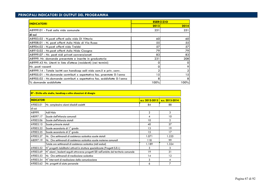|                                                                          | <b>ESER CIZIO</b> |      |  |  |
|--------------------------------------------------------------------------|-------------------|------|--|--|
| <b>INDICATORI</b>                                                        | 2013              | 2014 |  |  |
| A8999.01 - Posti asilo nido comunale                                     | 251               | 251  |  |  |
| ldi cui                                                                  |                   |      |  |  |
| A8903.02 - N.posti offerti asilo nido Di Vittorio                        | 60                | 60   |  |  |
| A8908.01 - N. posti offerti Asilo Nido di Via Russo                      | 55                | 55   |  |  |
| A8904.02 - N.posti offerti nido Trebbi                                   | 57                | 57   |  |  |
| A8910.02 - Nr.posti offerti Asilo Nido Cicogna                           | 79                | 79   |  |  |
| A8999.07 - Nr. posti nidi privati convenzionati                          | 83                | 83   |  |  |
| A8999. Nr. domande presentate e inserite in graduatoria                  | 231               | 208  |  |  |
| A8999.43 Nr. Utenti in lista d'attesa (residenti) (nei termini)          | o                 |      |  |  |
| Nr. posti vacanti                                                        | ი                 |      |  |  |
| A8999.14 - Totale iscritti con handicap asili nido com.li e priv. conv.  |                   |      |  |  |
| A8905.01 - Nr.domande contributi x aspettativa fac. prsentate 0-1 anno   | 15                | 15   |  |  |
| A8905.02 - Nr.domande contributi x aspettativa fac. soddisfatte 0-1 anno | 8                 |      |  |  |
| % domande soddisfatte                                                    | 100%              | 100% |  |  |

|                   | 87 - Diritto allo studio, handicap e altre situazioni di disagio                         |                    |                |  |
|-------------------|------------------------------------------------------------------------------------------|--------------------|----------------|--|
| <b>INDICATORI</b> |                                                                                          | $a.s. 2012 - 2013$ | a.s. 2013-2014 |  |
| A9003.01          | Nr. complessivo alunni disabili assistiti                                                | 84                 | 88             |  |
| di cui:           |                                                                                          |                    |                |  |
| A8999.            | Asili Nido                                                                               | $\overline{2}$     | 3              |  |
| A8097.17          | Scuole dell'infanzia comunali                                                            | 4                  | 10             |  |
| A9003.06          | Scuole dell'infanzia statali                                                             | 10                 | 2              |  |
| A9003.15          | Scuole primarie statali                                                                  | 40                 | 37             |  |
| A9003.22          | Scuole secondaria di 1° grado                                                            | 13                 | 19             |  |
| A9003.25          | Scuole secondaria di 2° grado                                                            | 15                 | 17             |  |
| A9003.27          | Nr. Ore settimanali di assistenza scolastica scuole statali                              | 1.071              | 1.225          |  |
| A8097.19          | Nr. Ore settimanali di assistenza scolastica scuole materne comunali                     | 118                | 99             |  |
|                   | Totale ore settimanali di assistenza scolastica (nidi esclusi)                           | 1.189              | 1.324          |  |
| A9003.52          | N° progetti riabilitativi attivati in strutture specializzate (Progetti S.E.I.)          | 3                  | 3              |  |
| A9003.69          | N° alunni / studenti seguiti attraverso progetti SEI nell'ambito del territorio comunale | 19                 | 31             |  |
| A9003.53          | Nr. Ore settimanali di mediazione scolastica                                             | 14                 | 12             |  |
| A9003.54          | N° interventi di mediazione della comunicazione                                          | 3                  | 4              |  |
| A9003.62          | Nr. progetti di aiuto personale                                                          | 6                  | 7              |  |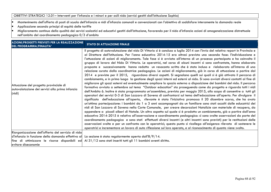OBIETTIVI STRATEGICI 12.01– Interventi per l'infanzia e i minori e per asili nido (servizi gestiti dall'Istituzione Sophia)

- •Mantenimento dell'offerta di posti di scuola dell'infanzia e nidi d'infanzia comunali e convenzionati con l'obiettivo di soddisfare interamente la domanda reale
- •Applicazione secondo principi di equità delle tariffe
- • Miglioramento continuo della qualità dei servizi scolastici ed educativi gestiti dall'Istituzione, favorendo per il nido d'infanzia azioni di omogeneizzazione distrettuale nell'ambito del coordinamento pedagogico 0/3 d'ambito

| <b>AZIONI/PROGETTI PREVISTI PER LA REALIZZAZIONE</b><br>DEL PROGRAMMA/FINALITA'                    | <b>STATO DI ATTUAZIONE FINALE</b>                                                                                                                                                                                                                                                                                                                                                                                                                                                                                                                                                                                                                                                                                                                                                                                                                                                                                                                                                                                                                                                                                                                                                                                                                                                                                                                                                                                                                                                                                                                                                                                                                                                                                                                                                                                                                                                                                                                                                                                                                                                                                                                                                                                                                                                                                                                                                                                                                                                                                                                   |
|----------------------------------------------------------------------------------------------------|-----------------------------------------------------------------------------------------------------------------------------------------------------------------------------------------------------------------------------------------------------------------------------------------------------------------------------------------------------------------------------------------------------------------------------------------------------------------------------------------------------------------------------------------------------------------------------------------------------------------------------------------------------------------------------------------------------------------------------------------------------------------------------------------------------------------------------------------------------------------------------------------------------------------------------------------------------------------------------------------------------------------------------------------------------------------------------------------------------------------------------------------------------------------------------------------------------------------------------------------------------------------------------------------------------------------------------------------------------------------------------------------------------------------------------------------------------------------------------------------------------------------------------------------------------------------------------------------------------------------------------------------------------------------------------------------------------------------------------------------------------------------------------------------------------------------------------------------------------------------------------------------------------------------------------------------------------------------------------------------------------------------------------------------------------------------------------------------------------------------------------------------------------------------------------------------------------------------------------------------------------------------------------------------------------------------------------------------------------------------------------------------------------------------------------------------------------------------------------------------------------------------------------------------------------|
| Attuazione del progetto provinciale di<br>autovalutazione dei servizi alla prima infanzia<br>(nid) | Il progetto di autovalutazione del nido Di Vittorio si è concluso a luglio 2014 con l'invio del relativo report in Provincia e<br>al Direttore dell'Istituzione. Per l'anno educativo 2014-15 era altresì prevista una seconda fase: l'individuazione e<br>l'attuazione di azioni di miglioramento. Tale fase si è avviata all'interno di un processo partecipato e ha coinvolto il<br>gruppo di lavoro del Nido Di Vittorio. Le operatrici, nel corso di alcuni incontri si sono confrontate, hanno elaborato<br>proposte e successivamente hanno redatto un resoconto scritto che è stato incluso e rielaborato all'interno di una<br>relazione curata dalla coordinatrice pedagogica. Le azioni di miglioramento, già in corso di attuazione a partire dal<br>2014 e previste per il 2015, riguardano diversi aspetti. Si segnalano quelli sui quali si è già attivato il percorso di<br>cambiamento, e in primo luogo la gestione degli spazi interni ed esterni al nido. Si sono avviati diversi contatti al fine di<br>migliorare gli spazi esterni ed eventualmente ampliare lo spazio esterno a disposizione dei bambini del nido. Il percorso<br>formativo avviato a settembre sul tema "Outdoor education" sta proseguendo come da progetto e riguarda tutti i nidi<br>dell'Ambito 6. Inoltre è stata programmata un'assemblea, prevista per maggio 2015, allo scopo di consentire a tutti gli<br>operatori dei servizi 0-3 di San Lazzaro di Savena di confrontarsi sul tema dell'educazione all'aperto. Per divulgare il<br>significato dell'educazione all'aperto, rilevante è stata l'iniziativa promossa il 20 dicembre scorso, che ha avuto<br>un'ottima partecipazione: i bambini da 1 a 3 anni accompagnati da un familiare sono stati accolti dalle educatrici dei<br>nidi di San Lazzaro di Savena nella Corte Comunale, per creare decorazioni Natalizie con materiale di recupero, da<br>appendere a piccoli alberi di Natale. Un altro aspetto sul quale si è prodotto un cambiamento, già a partire dall'anno<br>educativo 2014-2015 è relativo all'osservazione e coordinamento pedagogico: si sono svolte osservazioni da parte del<br>coordinamento pedagogico e sono stati effettuati diversi incontri (e altri incontri sono previsti) per le restituzioni delle<br>osservazioni svolte e per un confronto con le operatrici; questo punto si ricollega all'esigenza rilevata di sostenere le<br>operatrici e incrementare un lavoro di auto riflessione sul loro operato, e al riconoscimento di quanto viene svolto. |
| Riorganizzazione dell'offerta del servizio di nido                                                 |                                                                                                                                                                                                                                                                                                                                                                                                                                                                                                                                                                                                                                                                                                                                                                                                                                                                                                                                                                                                                                                                                                                                                                                                                                                                                                                                                                                                                                                                                                                                                                                                                                                                                                                                                                                                                                                                                                                                                                                                                                                                                                                                                                                                                                                                                                                                                                                                                                                                                                                                                     |
| d'infanzia in funzione della domanda effettiva al                                                  | La sezione è stata regolarmente aperta dall'8/9/14.                                                                                                                                                                                                                                                                                                                                                                                                                                                                                                                                                                                                                                                                                                                                                                                                                                                                                                                                                                                                                                                                                                                                                                                                                                                                                                                                                                                                                                                                                                                                                                                                                                                                                                                                                                                                                                                                                                                                                                                                                                                                                                                                                                                                                                                                                                                                                                                                                                                                                                 |
|                                                                                                    | fine di ottimizzare le risorse disponibili ed $\Delta$ l 31/12 sono stati inseriti tutti gli 11 bambini aventi diritto.                                                                                                                                                                                                                                                                                                                                                                                                                                                                                                                                                                                                                                                                                                                                                                                                                                                                                                                                                                                                                                                                                                                                                                                                                                                                                                                                                                                                                                                                                                                                                                                                                                                                                                                                                                                                                                                                                                                                                                                                                                                                                                                                                                                                                                                                                                                                                                                                                             |
| evitare diseconomie                                                                                |                                                                                                                                                                                                                                                                                                                                                                                                                                                                                                                                                                                                                                                                                                                                                                                                                                                                                                                                                                                                                                                                                                                                                                                                                                                                                                                                                                                                                                                                                                                                                                                                                                                                                                                                                                                                                                                                                                                                                                                                                                                                                                                                                                                                                                                                                                                                                                                                                                                                                                                                                     |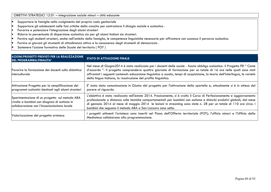### OBIETTIVI STRATEGICI 12.01 – integrazione sociale minori – città educante

- •Supportare le famiglie nello svolgimento del proprio ruolo genitoriale
- •Supportare gli adolescenti nelle fasi critiche della crescita per contrastare il disagio sociale e scolastico .
- •Favorire e potenziare l'integrazione degli alunni stranieri
- •Ridurre la percentuale di dispersione scolastica sia per gli alunni italiani sia stranieri.
- •Fornire agli studenti stranieri, anche nell'ambito della famiglia, le competenze linguistiche necessarie per affrontare con successo il percorso scolastico.
- •Fornire ai giovani gli strumenti di cittadinanza attiva e la conoscenza degli strumenti di democrazia .
- •Sostenere l'azione formativa delle Scuole del territorio ( POT )

| <b>AZIONI/PROGETTI PREVISTI PER LA REALIZZAZIONE</b><br>DEL PROGRAMMA/FINALITA'                                                              | <b>STATO DI ATTUAZIONE FINALE</b>                                                                                                                                                                                                                                                                                                                                                                                                                    |
|----------------------------------------------------------------------------------------------------------------------------------------------|------------------------------------------------------------------------------------------------------------------------------------------------------------------------------------------------------------------------------------------------------------------------------------------------------------------------------------------------------------------------------------------------------------------------------------------------------|
| Favorire la formazione dei docenti sulla didattica<br>linterculturale                                                                        | Nel mese di Giugno2014 è stato realizzato per i docenti delle scuole - fascia obbligo scolastico- il Progetto FEI "Come<br>d'accordo ". Il progetto comprendeva quattro giornate di formazione per un totale di 16 ore nelle quali sono stati<br>affrontati i seguenti contenuti: educazione linguistica a scuola, tempi di acquisizione, la teoria dell'interlingua, le varietà<br>della lingua italiana, la ricostruzione del profilo linguistico. |
| Attivazione Progetto per la semplificazione dei<br>programmi scolastici destinati agli alunni stranieri                                      | E' stata data comunicazione in Giunta del progetto per l'attivazione dello sportello e, attualmente si è in attesa del<br>parere al riguardo.                                                                                                                                                                                                                                                                                                        |
| Sperimentazione di un progetto sul metodo ABA<br>rivolto a bambini con diagnosi di autismo in<br>collaborazione con l'Associazionismo locale | L'obiettivo è stato realizzato nell'estate 2014. Precisamente, si è svolto il Corso di Perfezionamento e aggiornamento<br>professionale a distanza sulle tecniche comportamentali per bambini con autismo e disturbi evolutivi globali; dal mese<br>di gennaio 2014 al mese di maggio 2014 le lezioni in streaming sono state n. 28 per un totale di 110 ore circa. I<br>bambini che seguono il metodo ABA a San Lazzaro sono sette.                 |
| Valorizzazione del progetto ortoteca                                                                                                         | progetti attinenti l'ortoteca sono inseriti nel Piano dell'Offerta territoriale (POT); l'ufficio minori e l'Ufficio della<br>Mediateca collaborano alla programmazione.                                                                                                                                                                                                                                                                              |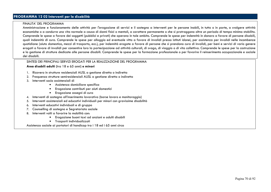# **PROGRAMMA 12 02 Interventi per la disabilità**

### FINALITA' DEL PROGRAMMA

 Amministrazione e funzionamento delle attività per l'erogazione di servizi e il sostegno a interventi per le persone inabili, in tutto o in parte, a svolgere attività economiche o a condurre una vita normale a causa di danni fisici o mentali, a carattere permanente o che si protraggono oltre un periodo di tempo minimo stabilito. Comprende le spese a favore dei soggetti (pubblici e privati) che operano in tale ambito. Comprende le spese per indennità in danaro a favore di persone disabili, quali indennità di cura. Comprende le spese per alloggio ed eventuale vitto a favore di invalidi presso istituti idonei, per assistenza per invalidi nelle incombenze quotidiane (aiuto domestico, mezzi di trasporto, ecc.), per indennità erogate a favore di persone che si prendono cura di invalidi, per beni e servizi di vario genere erogati a favore di invalidi per consentire loro la partecipazione ad attività culturali, di svago, di viaggio o di vita collettiva. Comprende le spese per la costruzione e la gestione di strutture dedicate alle persone disabili. Comprende le spese per la formazione professionale o per favorire il reinserimento occupazionale e sociale dei disabili.

### SINTESI DEI PRINCIPALI SERVIZI EROGATI PER LA REALIZZAZIONE DEL PROGRAMMA

#### **Area disabili adulti (**tra 18 e 65 anni) **e minori**

- 1. Ricovero in strutture residenziali AUSL a gestione diretta o indiretta
- 2. Frequenza strutture semiresidenziali AUSL a gestione diretta o indiretta
- 3. Interventi socio assistenziali di
	- Assistenza domiciliare specifica
	- •Erogazione contributi per aiuti domestici
	- Erogazione assegni di cura
- 4. Interventi di sostegno all'inserimento lavorativo (borse lavoro e monitoraggio)
- 5. Interventi assistenziali ed educativi individuali per minori con gravissime disabilità
- 6. Interventi educativi individuali e di gruppo
- 7. Counselling di sostegno e Segretariato sociale
- 8. Interventi volti a favorire la mobilità con:
	- Erogazione buoni taxi ad anziani e adulti disabili
	- Trasporti individualizzati

Assistenza sociale ai portatori di handicap tra i 18 ed i 65 anni circa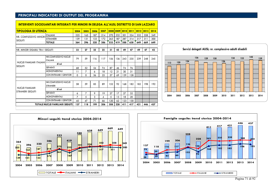| <b>TIPOLOGIA DI UTENZA</b>               |                                           | 2004 | 2005     | 2006 | 2007 |     | 2008 2009 2010 |     | 2011 | 2012 | $ 2013\rangle$ | 2014 |
|------------------------------------------|-------------------------------------------|------|----------|------|------|-----|----------------|-----|------|------|----------------|------|
|                                          | <b>ITALIANI</b>                           | 225  | 165      | 187  | 214  | 270 | 232            | 301 | 324  | 332  | 358            | 349  |
| NR. COMPLESSIVO MINORI<br><b>SEGUITI</b> | <b>STRANIERI</b>                          | 139  | 131      | 133  | 172  | 263 | 187            | 287 | 314  | 317  | 311            | 300  |
|                                          | <b>TOTALE</b>                             | 364  | 296      | 320  | 386  | 533 | 419            | 588 | 638  | 649  | 669            | 649  |
| NR. MINORI DISABILI TRA I SEGUITI        |                                           | 33   | 27       | 25   |      | 31  | 45             | 49  | 47   | 49   | 47             | 42   |
|                                          |                                           |      |          |      | 25   |     |                |     |      |      |                |      |
| NUCLEI FAMILIARI ITALIANI                | NR.COMPLESSIVO NUCLEI<br><b>ITALIANI</b>  | 79   | 59       | 116  | 117  | 156 | 136            | 243 | 235  | 239  | 248            | 245  |
|                                          | di cui                                    |      |          |      |      |     |                |     |      |      |                |      |
| <b>SEGUITI</b>                           | SEPARATI                                  | 68   | 52       | 54   | 74   | 87  | 46             | 74  | 76   |      |                |      |
|                                          | <b>MONOPARENTALI</b>                      | 11   | 7        | 6    | 18   | 12  | 21             | 30  | 31   |      |                |      |
|                                          | CON ENTRAMBI I GENITORI                   | 0    | $\Omega$ | 56   | 25   | 57  | 69             | 139 | 128  |      |                |      |
|                                          |                                           |      |          |      |      |     |                |     |      |      |                |      |
|                                          | NR.COMPLESSIVO NUCLEI<br><b>STRANIERI</b> | 58   | 59       | 83   | 89   | 152 | 92             | 168 | 182  | 182  | 198            | 192  |
| <b>NUCLEI FAMILIARI</b>                  | di cui                                    |      |          |      |      |     |                |     |      |      |                |      |
| <b>STRANIERI SEGUITI</b>                 | SEPARATI                                  | 6    | 7        | 9    | 19   | 27  | 17             | 27  | 32   |      |                |      |
|                                          | <b>MONOPARENTALI</b>                      | 7    | 5        | 3    | 4    | 5   | 13             | 18  | 20   |      |                |      |
|                                          | CON ENTRAMBI I GENITORI                   | 45   | 47       | 71   | 66   | 120 | 62             | 123 | 130  |      |                |      |
| <b>TOTALE NUCLEI FAMILIARI SEGUITI</b>   |                                           | 137  | 118      | 199  | 206  | 308 | 228            | 411 | 417  | 421  | 446            | 437  |

**INTERVENTI SOCIOSANITARI INTEGRATI PER MINORI IN DELEGA ALL'AUSL DISTRETTO DI SAN LAZZARO**

**Servizi delegati AUSL: nr. complessivo adulti disabili**







Pagina 71 di 92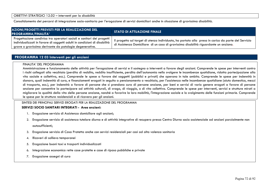Consolidamento dei percorsi di integrazione socio-sanitaria per l'erogazione di servizi domiciliari anche in situazione di gravissima disabilità.

| AZIONI/PROGETTI PREVISTI PER LA REALIZZAZIONE DEL<br>PROGRAMMA/FINALITA'                                                                                                                                      | <b>STATO DI ATTUAZIONE FINALE</b>                                                                                                                                                            |
|---------------------------------------------------------------------------------------------------------------------------------------------------------------------------------------------------------------|----------------------------------------------------------------------------------------------------------------------------------------------------------------------------------------------|
| Progettazione condivisa tra operatori sociali e sanitari dei progetti<br>individualizzati in favore di soggetti adulti in condizioni di disabilità<br>grave o gravissima derivante da patologie degenerative. | Il progetto sul target di utenza individuato, ha portato alla presa in carico da parte del Servizio<br>di Assistenza Domiciliare di un caso di gravissima disabilità riguardante un anziano. |

### **PROGRAMMA 12 03 Interventi per gli anziani**

#### FINALITA' DEL PROGRAMMA

Amministrazione e funzionamento delle attività per l'erogazione di servizi e il sostegno a interventi a favore degli anziani. Comprende le spese per interventi contro i rischi collegati alla vecchiaia (perdita di reddito, reddito insufficiente, perdita dell'autonomia nello svolgere le incombenze quotidiane, ridotta partecipazione alla vita sociale e collettiva, ecc.). Comprende le spese a favore dei soggetti (pubblici e privati) che operano in tale ambito. Comprende le spese per indennità in danaro, quali indennità di cura, e finanziamenti erogati in seguito a pensionamento o vecchiaia, per l'assistenza nelle incombenze quotidiane (aiuto domestico, mezzi di trasporto, ecc.), per indennità a favore di persone che si prendono cura di persone anziane, per beni e servizi di vario genere erogati a favore di persone anziane per consentire la partecipare ad attività culturali, di svago, di viaggio, o di vita collettiva. Comprende le spese per interventi, servizi e strutture mirati a migliorare la qualità della vita delle persone anziane, nonché a favorire la loro mobilità, l'integrazione sociale e lo svolgimento delle funzioni primarie. Comprende le spese per le strutture residenziali e di ricovero per gli anziani.

#### SINTESI DEI PRINCIPALI SERVIZI EROGATI PER LA REALIZZAZIONE DEL PROGRAMMA

### **SERVIZI SOCIO SANITARI INTEGRATI - Area anziani:**

- 1. Erogazione servizio di Assistenza domiciliare agli anziani;
- 2. Erogazione servizio di assistenza tutelare diurna e di attività integrative di recupero presso Centro Diurno socio assistenziale ad anziani parzialmente non autosufficienti;
- 3. Erogazione servizio di Casa Protetta anche con servizi residenziali per casi ad alta valenza sanitaria
- 4.Ricoveri di sollievo temporanei
- 5. Erogazione buoni taxi e trasporti individualizzati
- 6.Integrazione economica rette case protette e case di riposo pubbliche e private
- 7. Erogazione assegni di cura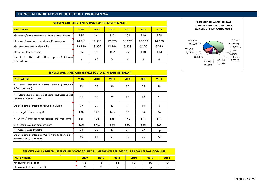| <b>SERVIZI AGLI ANZIANI: SERVIZI SOCIOASSISTENZIALI</b>                    |             |        |        |        |        |        |  |  |
|----------------------------------------------------------------------------|-------------|--------|--------|--------|--------|--------|--|--|
| <b>INDICATORE</b>                                                          | 2009        | 2010   | 2011   | 2012   | 2013   | 2014   |  |  |
| Nr. utenti/anno assistenza domiciliare diretta                             | 185         | 144    | 113    | 131    | 119    | 128    |  |  |
| Nr. ore di assistenza a domicilio erogate                                  | 18.761      | 17.586 | 12.073 | 13.257 | 15.158 | 14.630 |  |  |
| Nr. pasti erogati a domicilio                                              | 12.720      | 13.202 | 13.764 | 9.218  | 6.220  | 6.274  |  |  |
| Nr. utenti telesoccorso                                                    | 65          | 90     | 102    | 99     | 110    | 113    |  |  |
| Utenti<br>in<br>lista<br>di<br>Assistenzal<br>attesa<br>per<br>Domiciliare | $\mathbf 0$ | 24     | 0      | 0      | 5      | 5      |  |  |



| SERVIZI AGLI ANZIANI: SERVIZI SOCIO-SANITARI INTEGRATI                              |      |      |      |      |      |      |  |  |
|-------------------------------------------------------------------------------------|------|------|------|------|------|------|--|--|
| <b>INDICATORE</b>                                                                   | 2009 | 2010 | 2011 | 2012 | 2013 | 2014 |  |  |
| Nr. posti disponibili centro diurno (Comunale<br>+Convenzionati)                    | 32   | 32   | 30   | 30   | 29   | 29   |  |  |
| Nr. Utenti che nel corso dell'anno usufruiscono dell<br>servizio di Centro Diurno   | 44   | 44   | 49   | 64   | 58   | 51   |  |  |
| Utenti in lista di attesa per il Centro Diurno                                      | 27   | 22   | 43   | 8    | 13   | 6    |  |  |
| Nr. assegni di cura erogati                                                         | 180  | 175  | 166  | 77   | 84   | 84   |  |  |
| Nr. Utenti / anno assistenza domiciliare integrativa                                | 128  | 108  | 156  | 142  | 113  | 111  |  |  |
| % di utenti SAD non autosufficienti                                                 | 96%  | 96%  | 95%  | 89%  | 95%  | 96%  |  |  |
| Nr. Accessi Case Protette                                                           | 34   | 38   | 47   | 31   | 27   | np   |  |  |
| Utenti in lista di attesa per Casa Protetta (Servizio<br>integrato SAA) - residenti | 60   | 66   | 61   | 82   | 90   | 75   |  |  |

| <u>SERVIZI AGLI ADULTI: INTERVENTI SOCIOSANITARI INTEGRATI PER DISABILI EROGATI DAL COMUNE</u> |      |      |      |      |      |      |  |  |  |
|------------------------------------------------------------------------------------------------|------|------|------|------|------|------|--|--|--|
| <b>IINDICATORE</b>                                                                             | 2009 | 2010 | 2011 | 2012 | 2013 | 2014 |  |  |  |
| Nr. buoni taxi erogati                                                                         | 15   | 15   | 16   | 12   | 10   | 10   |  |  |  |
| Nr. assegni di cura disabili                                                                   |      |      |      | n.p  | np   | np   |  |  |  |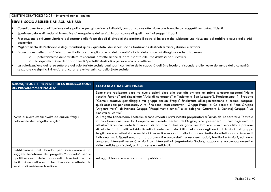### OBIETTIVI STRATEGICI 12.03 – interventi per gli anziani

### **SERVIZI SOCIO ASSISTENZIALI AGLI ANZIANI:**

- •Consolidamento e qualificazione delle politiche per gli anziani e i disabili, con particolare attenzione alle famiglie con soggetti non autosufficienti
- •Sperimentazione di modalità innovative di erogazione dei servizi, in particolare di quelli rivolti ai soggetti fragili
- • Prosecuzione e sviluppo ulteriore del sostegno alle fasce deboli di cittadini che perdono il posto di lavoro o che subiscono una riduzione del reddito a causa della crisi economica
- Miglioramento dell'efficacia e degli standard quali qualitativi dei servizi sociali tradizionali destinati a minori, disabili e anziani •
- • Prosecuzione delle attività integrative finalizzate al miglioramento della qualità di vita delle fasce più disagiate anche attraverso:
	- o Il potenziamento delle strutture residenziali protette al fine di dare risposta alle liste d'attesa per i ricoveri
	- o La riqualificazione di appartamenti "protetti" destinati a persone non autosufficienti
- • La valorizzazione del terzo settore e del volontariato sociale quali parti costitutive della capacità dell'Ente locale di rispondere alle nuove domande della comunità, senza che ciò significhi rinunciare al carattere universalistico dello Stato sociale

| <b>STATO DI ATTUAZIONE FINALE</b>                                                                                                                                                                                                                                                                                                                                                                                                                                                                                                                                                                                                                                                                                                                                                                                                                                                                                                                                                                                                                                                                                                                                                                                                                                                                                                                                                                                                                                              |
|--------------------------------------------------------------------------------------------------------------------------------------------------------------------------------------------------------------------------------------------------------------------------------------------------------------------------------------------------------------------------------------------------------------------------------------------------------------------------------------------------------------------------------------------------------------------------------------------------------------------------------------------------------------------------------------------------------------------------------------------------------------------------------------------------------------------------------------------------------------------------------------------------------------------------------------------------------------------------------------------------------------------------------------------------------------------------------------------------------------------------------------------------------------------------------------------------------------------------------------------------------------------------------------------------------------------------------------------------------------------------------------------------------------------------------------------------------------------------------|
| Sono state realizzate altre tre nuove azioni oltre alle due già avviate nel primo semestre (progetti "Nella<br>vecchia fattoria" poi rinominato "Aria di campagna" e "Insieme a San Lazzaro"). Precisamente: 1. Progetto<br>"Gemelli creativi: gemellaggio tra gruppi anziani Fragili" finalizzato all'organizzazione di scambi reciproci<br>quali occasioni per conoscersi. A tal fine sono stati contattati i Gruppi Fragili di Calderara di Reno Gruppo<br>"Argento Vivo"; di Pianoro Gruppo "Fragil-mente curiosi" e di Bologna (Quartiere S. Donato) Gruppo " La<br>Finestra sul cortile"<br>2. Progetto Laboratorio Teatrale: si sono avviati i primi incontri preparatori all'avvio del Laboratorio Teatrale<br>in collaborazione con la Cooperativa Sociale Teatro dell'Argine, che prevederà il coinvolgimento in<br>attività/animazioni teatrali a misura di anziano al fine di garantire loro una nuova modalità espressiva<br>stimolante. 3. Progetti Individualizzati di sostegno a domicilio: nel corso degli anni gli Anziani del gruppo<br>fragili hanno manifestato necessità di interventi a supporto della loro domiciliarità da effettuarsi con interventi<br>individualizzati. Questi sono stati programmati e concordati tra Assistenti sociali, familiari e Anziani, ed hanno<br>compreso interventi verso 6 anziani con interventi di Segretariato Sociale, supporto e accompagnamenti a<br>visite mediche particolari, a ritiro ricette e medicinali. |
| Ad oggi il bando non è ancora stato pubblicato.                                                                                                                                                                                                                                                                                                                                                                                                                                                                                                                                                                                                                                                                                                                                                                                                                                                                                                                                                                                                                                                                                                                                                                                                                                                                                                                                                                                                                                |
|                                                                                                                                                                                                                                                                                                                                                                                                                                                                                                                                                                                                                                                                                                                                                                                                                                                                                                                                                                                                                                                                                                                                                                                                                                                                                                                                                                                                                                                                                |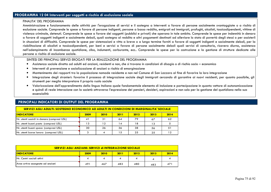## **PROGRAMMA 12 04 Interventi per soggetti a rischio di esclusione sociale**

#### FINALITA' DEL PROGRAMMA

 Amministrazione e funzionamento delle attività per l'erogazione di servizi e il sostegno a interventi a favore di persone socialmente svantaggiate o a rischio di esclusione sociale. Comprende le spese a favore di persone indigenti, persone a basso reddito, emigrati ed immigrati, profughi, alcolisti, tossicodipendenti, vittime di violenza criminale, detenuti. Comprende le spese a favore dei soggetti (pubblici e privati) che operano in tale ambito. Comprende le spese per indennità in denaro a favore di soggetti indigenti e socialmente deboli, quali sostegno al reddito e altri pagamenti destinati ad alleviare lo stato di povertà degli stessi o per assisterli in situazioni di difficoltà. Comprende le spese per sistemazioni e vitto a breve o a lungo termine forniti a favore di soggetti indigenti e socialmente deboli, per la riabilitazione di alcolisti e tossicodipendenti, per beni e servizi a favore di persone socialmente deboli quali servizi di consultorio, ricovero diurno, assistenza nell'adempimento di incombenze quotidiane, cibo, indumenti, carburante, ecc.. Comprende le spese per la costruzione e la gestione di strutture dedicate alle persone a rischio di esclusione sociale.

#### SINTESI DEI PRINCIPALI SERVIZI EROGATI PER LA REALIZZAZIONE DEL PROGRAMMA

- •Assistenza sociale diretta ad adulti ed anziani, residenti e non, che si trovano in condizioni di disagio o di rischio socio – economico
- •Interventi di prevenzione e socializzazione di anziani a rischio di emarginazione
- $\bullet$ Mantenimento dei rapporti tra la popolazione nomade residente e non nel Comune di San Lazzaro al fine di favorire la loro integrazione
- • Integrazione degli stranieri: favorire il processo di integrazione sociale degli immigrati cercando di garantire ai nuovi residenti, per quanto possibile, gli strumenti per meglio interpretare il proprio ruolo sociale
- Valorizzazione dell'apprendimento della lingua italiana quale fondamentale elemento di inclusione e partecipazione in quanto vettore di autonomizzazione e quindi di reale interazione con la società attraverso l'espressione dei pensieri, desideri, aspirazioni e non solo per la gestione del quotidiano nella sua essenzialità

## **PRINCIPALI INDICATORI DI OUTPUT DEL PROGRAMMA**

### **SERVIZI AGLI ADULTI: SOSTEGNO ECONOMICO AD ADULTI IN CONDIZIONI DI MARGINALITA' SOCIALE**

| <b>INDICATORE</b>                           | 2009 | 2010 | 2011 | 2012 | 2013 | 2014 |
|---------------------------------------------|------|------|------|------|------|------|
| Nr. utenti sussidi in denaro (compresi USL) |      | 31   | 64   | 79   | 67   | 62   |
| Nr. utenti buoni pasto (compresi USL)       | 3 ا  | 12   | 14   | 18   | 13   |      |
| Nr. utenti buoni spesa (compresi USL)       | 30   | 26   | 36   | 38   | 56   |      |
| Nr. utenti borse lavoro (compresi USL)      |      |      |      | 25   | 25   | 12   |

| SERVIZI AGLI ANZIANI: SERVIZI di INTEGRAZIONE SOCIALE |      |      |      |      |      |                 |  |  |
|-------------------------------------------------------|------|------|------|------|------|-----------------|--|--|
| <b>INDICATORE</b>                                     | 2009 | 2010 | 2011 | 2012 | 2013 | 2014            |  |  |
| INr. Centri sociali attivi                            |      |      |      |      |      |                 |  |  |
| Aree ortive assegnate ad anziani                      | 491  | 467  | 483  | 480  | 483  | 47 <sup>1</sup> |  |  |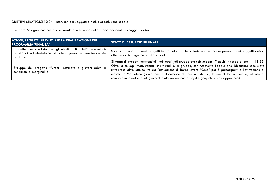## OBIETTIVI STRATEGICI 12.04 - interventi per soggetti a rischio di esclusione sociale

Favorire l'integrazione nel tessuto sociale e lo sviluppo delle risorse personali dei soggetti deboli

| AZIONI/PROGETTI PREVISTI PER LA REALIZZAZIONE DEL<br><b>PROGRAMMA/FINALITA'</b>                                                                       | <b>STATO DI ATTUAZIONE FINALE</b>                                                                                                                                                                                                                                                                                                                                                                                                                                                                                                                             |
|-------------------------------------------------------------------------------------------------------------------------------------------------------|---------------------------------------------------------------------------------------------------------------------------------------------------------------------------------------------------------------------------------------------------------------------------------------------------------------------------------------------------------------------------------------------------------------------------------------------------------------------------------------------------------------------------------------------------------------|
| Progettazione condivisa con gli utenti ai fini dell'inserimento in<br>attività di volontariato individuale o presso le associazioni del<br>territorio | Sono stati avviati diversi progetti individualizzati che valorizzano le risorse personali dei soggetti deboli<br>attraverso l'impegno in attività solidali.                                                                                                                                                                                                                                                                                                                                                                                                   |
| Sviluppo del progetto "Aironi" destinato a giovani adulti in<br>condizioni di marginalità                                                             | Si tratta di progetti assistenziali individuali /di gruppo che coinvolgono 7 adulti in fascia di età<br>18-35.<br>Oltre ai colloqui motivazionali individuali e di gruppo, con Assistente Sociale e/o Educatrice sono state<br>intraprese altre attività tra cui l'attivazione di borse lavoro "Orsa" per 5 partecipanti e l'attivazione di<br>incontri in Mediateca (proiezione e discussione di spezzoni di film, lettura di brani tematici, attività di<br>comprensione del sè quali giochi di ruolo, narrazione di sè, disegno, intervista doppia, ecc.). |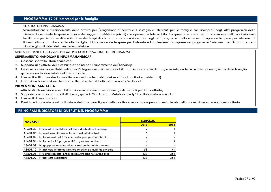# **PROGRAMMA 12 05 Interventi per le famiglie**

#### FINALITA' DEL PROGRAMMA

 Amministrazione e funzionamento delle attività per l'erogazione di servizi e il sostegno a interventi per le famiglie non ricompresi negli altri programmi della missione. Comprende le spese a favore dei soggetti (pubblici e privati) che operano in tale ambito. Comprende le spese per la promozione dell'associazionismo familiare e per iniziative di conciliazione dei tempi di vita e di lavoro non ricompresi negli altri programmi della missione. Comprende le spese per interventi di finanza etica e di microcredito alle famiglie. Non comprende le spese per l'infanzia e l'adolescenza ricomprese nel programma "Interventi per l'infanzia e per i minori e gli asili nido" della medesima missione.

SINTESI DEI PRINCIPALI SERVIZI EROGATI PER LA REALIZZAZIONE DEL PROGRAMMA

### **SUPERAMENTO HANDICAP E INFORMAHANDICAP:**

- 1. Gestione sportello Informahandicap;
- Supporto alle attività della consulta cittadina per il superamento dell'handicap 2.
- 3. Gestione spazio risorse Habilandia, per l'integrazione dei minori disabili, stranieri e a rischio di disagio sociale, anche in un'ottica di accoglienza della famiglia quale nucleo fondamentale della erte sociale
- . Interventi volti a favorire la mobilità con: (vedi anche ambito dei servizi sociosanitari e assistenziali) 4.
- 5.Erogazione buoni taxi e/o trasporti collettivi ed individualizzati di minori e/o disabili

### **PREVENZIONE SANITARIA:**

- 1.Attività di informazione e sensibilizzazione su problemi sanitari emergenti rilevanti per la collettività;
- Supporto operativo a progetti di ricerca, quale il "San Lazzaro Metabolic Study" in collaborazione con l'Asl 2.
- 3.Interventi di zoo profilassi
- Presidio e informazione sulla diffusione della zanzara tigre e delle relative complicanze e promozione culturale della prevenzione ed educazione sanitaria 4.

| <b>ESERCIZIO</b> |      |
|------------------|------|
| 2013             | 2014 |
|                  |      |
|                  |      |
|                  |      |
|                  |      |
|                  |      |
| 58I              | 44   |
| 433              | 351  |
| 433              | 351  |
|                  |      |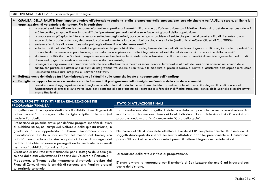# OBIETTIVI STRATEGICI 12.05 – interventi per le famiglie

| QUALITA' DELLA SALUTE: Dare impulso ulteriore all'educazione sanitaria e alla promozione della prevenzione, creando sinergie tra l'AUSL, le scuole, gli Enti e le<br>organizzazioni di volontariato del settore. Più in particolare: |                                |                                                                                                                                                                                                                                                                                                                                                                                                                                                                                                                                                                                                                                                                                                                                                                                                                                                                                                                                                                                                                                                                                                                                                                                                                                                                                                                                                                                                                                                                                                                                                                                                                                                          |  |  |  |  |
|--------------------------------------------------------------------------------------------------------------------------------------------------------------------------------------------------------------------------------------|--------------------------------|----------------------------------------------------------------------------------------------------------------------------------------------------------------------------------------------------------------------------------------------------------------------------------------------------------------------------------------------------------------------------------------------------------------------------------------------------------------------------------------------------------------------------------------------------------------------------------------------------------------------------------------------------------------------------------------------------------------------------------------------------------------------------------------------------------------------------------------------------------------------------------------------------------------------------------------------------------------------------------------------------------------------------------------------------------------------------------------------------------------------------------------------------------------------------------------------------------------------------------------------------------------------------------------------------------------------------------------------------------------------------------------------------------------------------------------------------------------------------------------------------------------------------------------------------------------------------------------------------------------------------------------------------------|--|--|--|--|
|                                                                                                                                                                                                                                      | $\Omega$<br>$\circ$<br>$\circ$ | proseguire ed intensificare le campagne informative, a partire dai corretti stili di vita e dall'alimentazione con iniziative mirate sul target delle persone adulte in<br>età lavorativa, sul quale finora è stato difficile "penetrare" per vari motivi, e sulle fasce più giovani della popolazione;<br>promuovere un più spiccato interesse verso la solitudine degli anziani, pur con non gravi problemi di salute che per motivi caratteriali o di riservatezza non<br>escono dalle proprie abitazioni, deprimendo così ulteriormente le loro condizioni psicologiche e di vita (vedi attività e-Care, Oldest di Cup 2000);<br>sostenere iniziative di prevenzione sulle patologie afferenti alle "demenze senili"<br>valorizzare il ruolo dei Medici di medicina generale e dei pediatri di libera scelta, favorendo i modelli di medicina di gruppo volti a migliorare le opportunità e<br>la qualità di assistenza alla popolazione, lavorando per una piena e corretta integrazione nell'ambito del sistema sanitario e sociale della comunità;<br>studiare la fattibilità di un'ipotesi di organizzazione ambulatoriale territoriale volta a favorire la collaborazione fra medici di medicina generale, pediatri di<br>libera scelta, guardia medica e servizio di continuità assistenziale;<br>proseguire e migliorare le informazioni destinate alla cittadinanza in merito ai servizi sanitari territoriali e al ruolo dei vari attori operanti nel campo della<br>sanità, con particolare attenzione ai punti di integrazione fra sociale e sanitario, alle modalità di presa in carico, ai servizi di assistenza post-ospedaliera, come |  |  |  |  |
|                                                                                                                                                                                                                                      |                                | l'assistenza domiciliare integrata e i servizi riabilitativi.<br>Rafforzamento del dialogo tra l'Amministrazione e i cittadini sulle tematiche legate al superamento dell'handicap                                                                                                                                                                                                                                                                                                                                                                                                                                                                                                                                                                                                                                                                                                                                                                                                                                                                                                                                                                                                                                                                                                                                                                                                                                                                                                                                                                                                                                                                       |  |  |  |  |
|                                                                                                                                                                                                                                      |                                | Famiglie: sviluppare benessere e coesione sociale favorendo il protagonismo della famiglia nell'ambito della vita della comunità<br>Favorire forme di aggregazione delle famiglie come laboratorio di socialità, perno di sussidiarietà orizzontale anche attraverso il sostegno alla costituzione e al<br>funzionamento di gruppi di auto-mutuo aiuto per il sostegno alla genitorialità ed il sostegno alle famiglie in difficoltà attraverso i servizi dello Sportello d'ascolto attivati<br>presso Habilandia                                                                                                                                                                                                                                                                                                                                                                                                                                                                                                                                                                                                                                                                                                                                                                                                                                                                                                                                                                                                                                                                                                                                        |  |  |  |  |

| AZIONI/PROGETTI PREVISTI PER LA REALIZZAZIONE DEL<br><b>PROGRAMMA/FINALITA'</b>                                                                                                                                                                                                                                                                                                                                                                                                    | <b>STATO DI ATTUAZIONE FINALE</b>                                                                                                                                                                                                                                                        |
|------------------------------------------------------------------------------------------------------------------------------------------------------------------------------------------------------------------------------------------------------------------------------------------------------------------------------------------------------------------------------------------------------------------------------------------------------------------------------------|------------------------------------------------------------------------------------------------------------------------------------------------------------------------------------------------------------------------------------------------------------------------------------------|
| Progettazione di uno spazio destinato alla distribuzione di generi di<br>prima necessità a sostegno delle famiglie colpite dalla crisi (sul<br>modello Portobello)                                                                                                                                                                                                                                                                                                                 | La presentazione del progetto è stata annullata in quanto la nuova amministrazione ha<br>modificato la destinazione d'uso dei locali individuati "Casa delle Associazioni" in cui si sta<br>programmando una attività denominata "Casa della gioia".                                     |
| Promozione di politiche attive per definire progetti specifici di lavori<br>di pubblica utilità, nei campi del welfare e della qualità urbana, in<br>grado di offrire opportunità di lavoro temporaneo rivolto a<br>lavoratori/trici espulsi o mai entrati nel mondo del lavoro, con<br>priorità verso coloro che risultino privi di forme di sostegno del<br>reddito. Tali obiettivi saranno perseguiti anche mediante investimenti<br>per lavori pubblici diffusi sul territorio | Nel corso del 2014 sono state effettuate tramite il CIP, complessivamente 10 assunzioni di<br>soggetti disoccupati da inserire nei servizi affidati in appalto; precisamente n. 1 assunzione<br>presso l'Ufficio Cultura e n.9 assunzioni presso il Settore Integrazione Sociale minori. |
| Creazione di una rete interistituzionale per il sostegno delle famiglie<br>colpite dalla crisi valorizzando l'apporto dei Volontari all'iniziativa                                                                                                                                                                                                                                                                                                                                 | La creazione della rete è in fase di progettazione.                                                                                                                                                                                                                                      |
| Mappatura, all'interno della mappatura distrettuale prevista dal<br>Piano di Zona, di tutte le attività di sostegno alla fragilità presenti<br>sul territorio comunale                                                                                                                                                                                                                                                                                                             | E' stata avviata la mappatura per il territorio di San Lazzaro che andrà ad integrarsi con<br>quelle del distretto.                                                                                                                                                                      |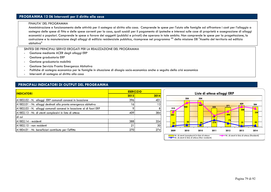# **PROGRAMMA 12 06 Interventi per il diritto alla casa**

#### FINALITA' DEL PROGRAMMA

 Amministrazione e funzionamento delle attività per il sostegno al diritto alla casa. Comprende le spese per l'aiuto alle famiglie ad affrontare i costi per l'alloggio a sostegno delle spese di fitto e delle spese correnti per la casa, quali sussidi per il pagamento di ipoteche e interessi sulle case di proprietà e assegnazione di alloggi economici o popolari. Comprende le spese a favore dei soggetti (pubblici e privati) che operano in tale ambito. Non comprende le spese per la progettazione, la costruzione e la manutenzione degli alloggi di edilizia residenziale pubblica, ricomprese nel programma "" della missione 08 "Assetto del territorio ed edilizia abitativa"

#### SINTESI DEI PRINCIPALI SERVIZI EROGATI PER LA REALIZZAZIONE DEL PROGRAMMA -

- Gestione mediante ACER degli alloggi ERP
- Gestione graduatoria ERP
- Gestione graduatoria mobilità
- Gestione Servizio Pronta Emergenza Abitativa -
- Politiche di sostegno economico per le famiglie in situazione di disagio socio-economico anche a seguito della crisi economica -
- Interventi di sostegno al diritto alla casa

| <b>ESERCIZIO</b> |      |  |
|------------------|------|--|
| 2013             | 2014 |  |
| 396              | 401  |  |
| 16               | 13   |  |
|                  | 8    |  |
| 409              | 384  |  |
|                  |      |  |
| 388              | 354  |  |
| 21               | 30   |  |
| 270              | 274  |  |
|                  |      |  |

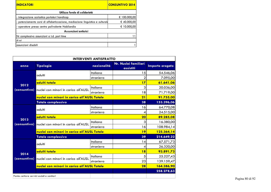| <b>INDICATORI</b>                                                             | <b>CONSUNTIVO 2014</b> |
|-------------------------------------------------------------------------------|------------------------|
| Utilizzo fondo di solidarietà                                                 |                        |
| - integrazione scolastica portatori handicap                                  | € 100.000,00           |
| - potenziamento corsi di alfabetizzazione, mediazione linguistica e culturale | € 40.000,00            |
| - operatore presso centro polivalente Habilandia                              | € 10.000,00            |
| Assunzioni anticrisi                                                          |                        |
| Nr complessivo assunzioni a t.d. part time                                    |                        |
| di cui                                                                        |                        |
| assunzioni disabili                                                           |                        |

| <b>INTERVENTI ANTISFRATTO</b>             |                                             |             |                                   |                 |  |
|-------------------------------------------|---------------------------------------------|-------------|-----------------------------------|-----------------|--|
| anno                                      | Tipologia                                   | nazionalità | Nr. Nuclei familiari<br>assistiti | Importo erogato |  |
|                                           | adulti                                      | italiana    | 15                                | 54.546,06       |  |
|                                           |                                             | straniera   | 2                                 | 7.095,00        |  |
| 2012                                      | adulti totale                               |             | 17                                | 61.641,06       |  |
| (consuntivo)                              | nuclei con minori in carico all'AUSL        | italiana    | 3                                 | 20.036,00       |  |
|                                           |                                             | straniera   | 18                                | 71.719,00       |  |
|                                           | nuclei con minori in carico all'AUSL Totale |             | 21                                | 91.755,00       |  |
|                                           | <b>Totale complessivo</b>                   |             | 38                                | 153.396,06      |  |
|                                           | adulti                                      | italiana    | 16                                | 64.770,08       |  |
|                                           |                                             | straniera   | 4                                 | 24.515,00       |  |
| 2013                                      | adulti totale                               |             | 20                                | 89.285,08       |  |
| (consuntivo)                              | nuclei con minori in carico all'AUSL        | italiana    | 3                                 | 16.380,00       |  |
|                                           |                                             | straniera   | 16                                | 108.984,14      |  |
|                                           | nuclei con minori in carico all'AUSL Totale |             | 19                                | 125.364,14      |  |
|                                           | <b>Totale complessivo</b>                   |             | 39                                | 214.649,22      |  |
|                                           | adulti                                      | italiana    | 14                                | 67.571,73       |  |
|                                           |                                             | straniera   | 4                                 | 26.320,00       |  |
| 2014                                      | adulti totale                               |             | 18                                | 93.891,73       |  |
| (consuntivo)                              | nuclei con minori in carico all'AUSL        | italiana    | 5                                 | 25.227,43       |  |
|                                           |                                             | straniera   | 23                                | 139.159,47      |  |
|                                           | nuclei con minori in carico all'AUSL Totale |             | 28                                | 164.386,90      |  |
|                                           |                                             |             |                                   | 258.278,63      |  |
| Fonte: settore servizi sociali e sanitari |                                             |             |                                   |                 |  |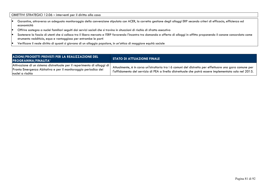OBIETTIVI STRATEGICI 12.06 – interventi per il diritto alla casa

- • Garantire, attraverso un adeguato monitoraggio della convenzione stipulata con ACER, la corretta gestione degli alloggi ERP secondo criteri di efficacia, efficienza ed economicità
- •Offrire sostegno a nuclei familiari seguiti dai servizi sociali che si trovino in situazioni di rischio di sfratto esecutivo
- • Sostenere la fascia di utenti che si colloca tra il libero mercato e l'ERP favorendo l'incontro tra domanda e offerta di alloggi in affitto proponendo il canone concordato come strumento redditizio, equo e vantaggioso per entrambe le parti
- •Verificare il reale diritto di quanti si giovano di un alloggio popolare, in un'ottica di maggiore equità sociale

| AZIONI/PROGETTI PREVISTI PER LA REALIZZAZIONE DEL<br><b>PROGRAMMA/FINALITA'</b>                                                                                  | <b>STATO DI ATTUAZIONE FINALE</b>                                                                                                                                                                               |
|------------------------------------------------------------------------------------------------------------------------------------------------------------------|-----------------------------------------------------------------------------------------------------------------------------------------------------------------------------------------------------------------|
| Attivazione di un sistema distrettuale per il reperimento di alloggi di  <br>Pronta Emergenza Abitativa e per il monitoraggio periodico dei<br>Inuclei a rischio | Attualmente, è in corso un'istruttoria tra i 6 comuni del distretto per effettuare una gara comune per<br>l'affidamento del servizio di PEA a livello distrettuale che potrà essere implementata solo nel 2015. |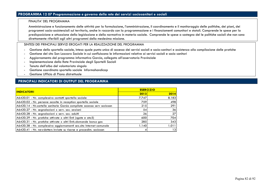## **PROGRAMMA 12 07 Programmazione e governo della rete dei servizi sociosanitari e sociali**

#### FINALITA' DEL PROGRAMMA

Amministrazione e funzionamento delle attività per la formulazione, l'amministrazione, il coordinamento e il monitoraggio delle politiche, dei piani, deiprogrammi socio-assistenziali sul territorio, anche in raccordo con la programmazione e i finanziamenti comunitari e statali. Comprende le spese per la predisposizione e attuazione della legislazione e della normativa in materia sociale. Comprende le spese a sostegno del le politiche sociali che non sono direttamente riferibili agli altri programmi della medesima missione.

#### SINTESI DEI PRINCIPALI SERVIZI EROGATI PER LA REALIZZAZIONE DEL PROGRAMMA

- -Gestione dello sportello sociale, inteso quale punto unico di accesso dei servizi sociali e socio-sanitari e assistenza alla compilazione delle pratiche
- -Gestione del sito San Lazzaro Sociale in cui confluiscono le informazioni relative ai servizi sociali e socio sanitari
- -Aggiornamento del programma informativo Garcia, collegato all'osservatorio Provinciale
- Implementazione della Rete Provinciale degli Sportelli Sociali
- Tenuta dell'albo del volontariato singolo
- Gestione coordinata sportello sociale Informahandicap
- Gestione Ufficio di Piano distrettuale

| <b>INDICATORI</b>                                                        | <b>ESER CIZIO</b> |       |  |
|--------------------------------------------------------------------------|-------------------|-------|--|
|                                                                          | 2013              | 2014  |  |
| A6420.01 - Nr. complessivo contatti sportello sociale                    | 7.747             | 8.183 |  |
| A6420.02 - Nr. persone accolte in reception sportello sociale            | 759               | 498   |  |
| A6420.14 - Nr. cartelle sanitarie Garsia compilate accesso serv sociosan | 215               | 291   |  |
| A6420.27 - Nr. segnalazioni x serv. soc. anziani                         | 54                | 36    |  |
| A6420.28 - Nr. segnalazioni x serv. soc. adulti                          | 26                | 27    |  |
| A6420.29 - Nr. pratiche attivate x altri Enti (sgate e ato5)             | 600               | 704   |  |
| A6420.31 - Nr. pratiche attivate x altri Enti:: domande bonus gas        | 285               | 343   |  |
| A6420.38 - Nr. complessivo aggiornamenti sez.sito Internet comunale      | 1.140             | 1.011 |  |
| A6420.41 - Nr. newsletters invigte su risorse e procedim. sociosan       |                   | 13    |  |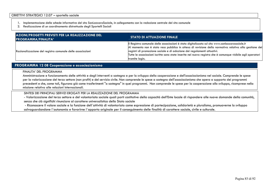- 1. Implementazione delle schede informative del sito SanLazzaroSociale, in collegamento con la redazione centrale del sito comunale
- 2. Realizzazione di un coordinamento distrettuale degli Sportelli Sociali

| AZIONI/PROGETTI PREVISTI PER LA REALIZZAZIONE DEL<br><b>PROGRAMMA/FINALITA'</b> | <b>STATO DI ATTUAZIONE FINALE</b>                                                                                                                                                                                                                                                                                                                                                                                      |
|---------------------------------------------------------------------------------|------------------------------------------------------------------------------------------------------------------------------------------------------------------------------------------------------------------------------------------------------------------------------------------------------------------------------------------------------------------------------------------------------------------------|
| Razionalizzazione del registro comunale delle associazioni                      | Il Registro comunale delle associazioni è stato digitalizzato sul sito www.sanlazzarosociale.it<br>Al momento non è stato reso pubblico in attesa di revisione della normativa relativa alla gestione dei<br>registri di promozione sociale e di adozione dei regolamenti attuativi.<br>Tutte le associazioni iscritte sono state inserite nel nuovo registro che è comunque visibile agli operatori<br>tramite login. |

### **PROGRAMMA 12 08 Cooperazione e associazionismo**

### FINALITA' DEL PROGRAMMA

 Amministrazione e funzionamento delle attività e degli interventi a sostegno e per lo sviluppo della cooperazione e dell'associazionismo nel sociale. Comprende le spese per la valorizzazione del terzo settore (non profit) e del servizio civile. Non comprende le spese a sostegno dell'associazionismo che opera a supporto dei programmi precedenti e che, come tali, figurano già come trasferimenti "a sostegno" in quei programmi. Non comprende le spese per la cooperazione allo sviluppo, ricomprese nella missione relativa alle relazioni internazionali.

### SINTESI DEI PRINCIPALI SERVIZI EROGATI PER LA REALIZZAZIONE DEL PROGRAMMA

- Valorizzazione del terzo settore e del volontariato sociale quali parti costitutive della capacità dell'Ente locale di rispondere alle nuove domande della comunità, senza che ciò significhi rinunciare al carattere universalistico dello Stato sociale

 - Riconoscere il valore sociale e la funzione dell´attività di volontariato come espressione di partecipazione, solidarietà e pluralismo, promuoverne lo sviluppo salvaguardandone l´autonomia e favorirne l´apporto originale per il conseguimento delle finalità di carattere sociale, civile e culturale.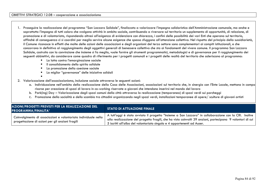-

- 1. Proseguire la realizzazione del programma "San Lazzaro Solidale", finalizzato a valorizzare l'impegno solidaristico dell'Amministrazione comunale, ma anche e soprattutto l'impegno di tutti coloro che svolgono attività in ambito sociale, contribuendo a riversare sul territorio un supplemento di opportunità, di relazione, di promozione e di volontariato, rispondendo altresì all'esigenza di evidenziare con chiarezza, i confini delle possibilità dei vari Enti che operano sul territorio, affinché di conseguenza ci si coordini per meglio servire alcune esigenze che spesso sfuggono all'attenzione collettiva. Nel rispetto del principio della sussidiarietà, il Comune riconosce in effetti che molte delle azioni delle associazioni e degli organismi del terzo settore sono complementari ai compiti istituzionali, e che concorrono in definitiva al raggiungimento degli oggettivi generali di benessere collettivo che sta ai fondamenti del vivere comune. Il programma San Lazzaro Solidale, costruito con la convinzione che insieme si fa meglio, vuole fornire gli strumenti programmatici, metodologici e di governance per il raggiungimento dei seguenti obbiettivi, da considerare come quadro di riferimento per i progetti comunali e i progetti delle realtà del territorio che aderiscono al programma:
	- La lotta contro l'emarginazione sociale
	- Il consolidamento dello spirito solidale
	- -La promozione della coesione sociale
	- La miglior "governance" delle iniziative solidali
- 2. Valorizzazione dell'associazionismo, inclusione sociale attraverso le seguenti azioni:
	- a. Individuazione nell'ambito della realizzazione della Casa delle Associazioni, associazioni sul territorio che, in sinergia con l'Ente Locale, mettano in campo $\vert$ risorse per creazione di spazi di lavoro in co-working riservate a giovani che intendono inserirsi nel mondo del lavoro
	- b. Park(ing) Day Valorizzazione degli spazi comuni della città attraverso la realizzazione (temporanea) di spazi verdi sui parcheggi
	- c. Promozione della socialità e dello scambio tra cittadini organizzando negli spazi verdi, installazioni temporanee di opere/ sculture di giovani artisti

| AZIONI/PROGETTI PREVISTI PER LA REALIZZAZIONE DEL<br>PROGRAMMA/FINALITA'                                           | <b>STATO DI ATTUAZIONE FINALE</b>                                                                                                                                                                                                                                                              |
|--------------------------------------------------------------------------------------------------------------------|------------------------------------------------------------------------------------------------------------------------------------------------------------------------------------------------------------------------------------------------------------------------------------------------|
| Coinvolgimento di associazioni e volontariato individuale nella<br>progettazione di azioni per gli anziani fragili | A tutt'oggi è stato avviato il progetto "Insieme a San Lazzaro" in collaborazione con la CRI. Inoltre<br>alla realizzazione del progetto fragili, che ha visto coinvolti 39 anziani, partecipano 9 volontari di cui<br>5 iscritti all'albo del volontariato singolo e 4 appartenenti ad Auser. |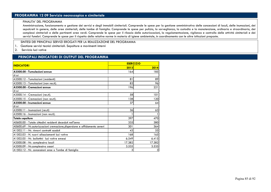# **PROGRAMMA 12 09 Servizio necroscopico e cimiteriale**

#### FINALITA' DEL PROGRAMMA

 Amministrazione, funzionamento e gestione dei servizi e degli immobili cimiteriali. Comprende le spese per la gestione amministrativa delle concessioni di loculi, delle inumazioni, dei sepolcreti in genere, delle aree cimiteriali, delle tombe di famiglia. Comprende le spese per pulizia, la sorveglianza, la custodia e la manutenzione, ordinaria e straordinaria, dei complessi cimiteriali e delle pertinenti aree verdi. Comprende le spese per il rilascio delle autorizzazioni, la regolamentazione, vigilanza e controllo delle attività cimiteriali e dei servizi funebri. Comprende le spese per il rispetto delle relative norme in materia di igiene ambientale, in coordinamento con le altre istituzioni preposte.

SINTESI DEI PRINCIPALI SERVIZI EROGATI PER LA REALIZZAZIONE DEL PROGRAMMA

- 1. Gestione servizi tecnici cimiteriali. Sepolture e movimenti interni
- 2. Servizio luci votive

| <b>INDICATORI</b>                                                          | <b>ESER CIZIO</b> |        |  |
|----------------------------------------------------------------------------|-------------------|--------|--|
|                                                                            | 2013              | 2014   |  |
| A3500.00 - Tumulazioni annue                                               | 164               | 185    |  |
| di cui                                                                     |                   |        |  |
| A3500.12 - Tumulazioni (residenti)                                         | 81                | 89     |  |
| A3500.13 - Tumulazioni (non res.ti).                                       | 83                | 96     |  |
| A3500.00 - Cremazioni annue                                                | 196               | 221    |  |
| di cui                                                                     |                   |        |  |
| A3500.14 - Cremazioni (res.ti).                                            | 58                | 101    |  |
| A3500.15 - Cremazioni (non res.ti).                                        | 138               | 120    |  |
| A3500.00 - Inumazioni annue                                                | 37                | 64     |  |
| di cui                                                                     |                   |        |  |
| A3500.11 - Inumazioni (res.ti)                                             | 36                | 63     |  |
| A3500.16 - Inumazioni (non res.ti).                                        |                   |        |  |
| <b>Totale sepolture</b>                                                    | 397               | 470    |  |
| A0600.00 - Totale cittadini residenti deceduti nell'anno                   | 335               | 380    |  |
| A0600.69 - Nr. autorizzazioni cremazione, dispersione e affidamento ceneri | 301               | 364    |  |
| A1502.11 - Nr. rinnovi contratti scaduti                                   | 43                | 55     |  |
| A1502.03 - N. nuovi allacciamenti luci votive                              | 168               | 165    |  |
| A1502.05 - Nr. bollettini luci votive emessi                               | 6.549             | 6.415  |  |
| A3500.08 - Nr. complessivo loculi                                          | 17.382            | 17.382 |  |
| A3500.09 - Nr.complessivo ossari                                           | 3.535             | 3.535  |  |
| A1502.12 - Nr. concessioni aree o Tombe di famiglia                        | 3                 | 3      |  |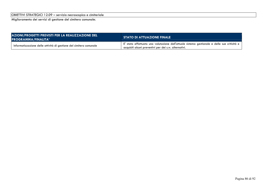OBIETTIVI STRATEGICI 12.09 – servizio necroscopico e cimiteriale

Miglioramento dei servizi di gestione del cimitero comunale;

| AZIONI/PROGETTI PREVISTI PER LA REALIZZAZIONE DEL<br><b>PROGRAMMA/FINALITA'</b> | <b>STATO DI ATTUAZIONE FINALE</b>                                                                                                                                       |  |  |
|---------------------------------------------------------------------------------|-------------------------------------------------------------------------------------------------------------------------------------------------------------------------|--|--|
| Informatizzazione delle attività di gestione del cimitero comunale              | $^{\prime}$ E' stata effettuata una valutazione dell'attuale sistema gestionale e delle sue criticità e $\,$ l<br>acquisiti alcuni preventivi per dei s.w. alternativi. |  |  |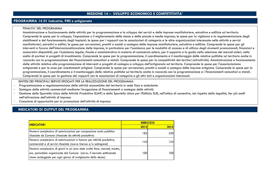## **MISSIONE 14 – SVILUPPO ECONOMICO E COMPETITIVITA'**

### **PROGRAMMA 14 01 Industria, PMI e artigianato**

#### FINALITA' DEL PROGRAMMA

 Amministrazione e funzionamento delle attività per la programmazione e lo sviluppo dei servizi e delle imprese manifatturiere, estrattive e edilizie sul territorio. Comprende le spese per lo sviluppo, l'espansione o il miglioramento delle stesse e delle piccole e medie imprese; le spese per la vigilanza e la regolamentazione degli stabilimenti e del funzionamento degli impianti; le spese per i rapporti con le associazioni di categoria e le altre organizzazioni interessate nelle attività e servizi manifatturieri, estrattivi e edilizi; le spese per sovvenzioni, prestiti o sussidi a sostegno delle imprese manifatturiere, estrattive e edilizie. Comprende le spese per gli interventi a favore dell'internazionalizzazione delle imprese, in particolare per l'assistenza per le modalità di accesso e di utilizzo degli strumenti promozionali, finanziari e assicurativi disponibili, per l'assistenza legale, fiscale e amministrativa in materia di commercio estero, per il supporto e la guida nella selezione dei mercati esteri, nella scelta di partner in progetti di investimento. Comprende le spese per la programmazione, il coordinamento e il monitoraggio delle relative politiche sul territorio anche in raccordo con la programmazione dei finanziamenti comunitari e statali. Comprende le spese per la competitività dei territori (attrattività). Amministrazione e funzionamento delle attività relative alla programmazione di interventi e progetti di sostegno e sviluppo dell'artigianato sul territorio. Comprende le spese per l'associazionismo artigianale e per le aree per insediamenti artigiani. Comprende le spese per sovvenzioni, prestiti o sussidi a sostegno delle imprese artigiane. Comprende le spese per la programmazione, il coordinamento e il monitoraggio delle relative politiche sul territorio anche in raccordo con la programmazione e i finanziamenti comunitari e statali. Comprende le spese per la gestione dei rapporti con le associazioni di categoria e gli altri enti e organizzazioni interessati.

#### SINTESI DEI PRINCIPALI SERVIZI EROGATI PER LA REALIZZAZIONE DEL PROGRAMMA

- -Programmazione e regolamentazione delle attività economiche del territorio in sede fissa e ambulante
- -Sostegno delle attività commerciali mediante l'erogazione di finanziamenti a sostegno delle attività
- $\overline{\phantom{0}}$ Gestione dello Sportello Unico delle Attività Produttive SUAP) e dello Sportello Unico per l'Edilizia SUE, nell'ottica di consentire, nel rispetto della legalità, iter più snelli nell'attivazione dell'attività di impresa
- -Creazione di opportunità per la promozione dell'attività di impresa

## **INDICATORI DI OUTPUT DEL PROGRAMMA**

| <b>INDICATORI</b>                                                                                                                                                                                                         | <b>ESER CIZIO</b> |      |  |
|---------------------------------------------------------------------------------------------------------------------------------------------------------------------------------------------------------------------------|-------------------|------|--|
|                                                                                                                                                                                                                           | 2013              | 2014 |  |
| Numero complessivo di autorizzazioni per occupazione suolo pubblico<br>rilasciate da Comune (rilasciate da attività produttive)                                                                                           | 1831              | 320  |  |
| Numero complessivo di autorizzazioni e licenze per attività produttive,<br>commerciali e di servizi rilasciate (nuove licenze e/o subingressi)                                                                            | 143               | 124  |  |
| Numero complessivo di giorni in cui sono state svolte fiere, mercati, mostre,<br>ecc. periodiche organizzate dal Comune (ad es. il mercato settimanale<br>viene conteggiato per ogni giorno di svolgimento dello stesso). | 100               | 100  |  |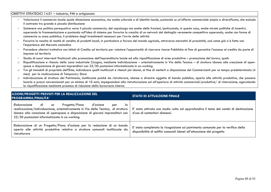#### OBIETTIVI STRATEGICI 14.01 – industria, PMI e artigianato

- Valorizzare il commercio locale quale dimensione economica, ma anche culturale e di identità locale, puntando su un'offerta commerciale ampia e diversificata, che escluda il contrasto tra grande e piccola distribuzione
- Sostenere una politica perequativa verso il piccolo commercio, del capoluogo ma anche delle frazioni, ipotizzando, in questo caso, anche mirate politiche di incentivi, superando la frammentazione e puntando sull'idea di sistema per favorire la crescita di un network del dettaglio veramente competitivo superando, anche con forme di commercio su area pubblica, il problema degli investimenti necessari per l'avvio delle attività
- Favorire la nascita di realtà di vendita di prodotti locali, in particolare a favore del mondo agricolo, attraverso mercatini di prossimità, così come già si è fatto con l'esperienza del Mercato contadino
- Prevedere ulteriori trattative con Istituti di Credito sul territorio per valutare l'opportunità di riservare risorse Pubbliche al fine di garantire l'accesso al credito da parte di imprese sul territorio
- -Studio di nuovi interventi finalizzati alla promozione dell'imprenditoria locale ed alla riqualificazione di aree produttive – promozione del lavoro, quali:
- o Riqualificazione e rilancio della zona industriale Cicogna, mediante individuazione – orientativamente in Via della Tecnica – di struttura idonea alla creazione di openspace a disposizione di giovani imprenditori con 25/30 postazioni informatizzate in co-working
- o Tra gli immobili di proprietà dell'Ente, individuare quelli inutilizzati e ritenuti più idonei, al fine di metterli a disposizione dei Commercianti per un tempo predeterminato (4 mesi) per la realizzazione di Temporary Store
- o Individuazione di strutture del Patrimonio, inutilizzate poiché da ristrutturare, idonee a divenire oggetto di bando pubblico, aperto alle attività produttive, che possono locarlo a prezzi convenzionati per un minimo di 10 anni, impegnandosi alla ristrutturazione ed all'apertura di attività commerciali/produttive/ di ristorazione, agevolando la riqualificazione mediante processo di riduzione della burocrazia interna

| AZIONI/PROGETTI PREVISTI PER LA REALIZZAZIONE DEL<br><b>PROGRAMMA/FINALITA'</b>                                                                                                                                                                                                      | <b>STATO DI ATTUAZIONE FINALE</b>                                                                                                                         |  |
|--------------------------------------------------------------------------------------------------------------------------------------------------------------------------------------------------------------------------------------------------------------------------------------|-----------------------------------------------------------------------------------------------------------------------------------------------------------|--|
| Progetto/Piano<br>Elaborazione di un<br>d'azione<br>la<br>per<br>realizzazione/individuazione, orientativamente in Via della Tecnica, di struttura<br>idonea alla creazione di openspace a disposizione di giovani imprenditori con<br>25/30 postazioni informatizzate in co-working | E' stato attivato uno studio volto ad approfondire il tema dei cambi di destinazione<br>d'uso di contenitori dismessi.                                    |  |
| Elaborazione di un Progetto/Piano d'azione per la redazione di un bando<br>aperto alle attività produttive relativo a strutture comunali inutilizzate da<br>ristrutturare                                                                                                            | E' stata completata la ricognizione sul patrimonio comunale per la verifica della<br>disponibilità di edifici comunali idonei all'attuazione del progetto |  |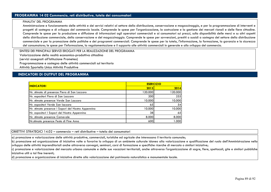## **PROGRAMMA 14 02 Commercio, reti distributive, tutela dei consumatori**

#### FINALITA' DEL PROGRAMMA

 Amministrazione e funzionamento delle attività e dei servizi relativi al settore della distribuzione, conservazione e magazzinaggio, e per la programmazione di interventi e progetti di sostegno e di sviluppo del commercio locale. Comprende le spese per l'organizzazione, la costruzione e la gestione dei mercati rionali e delle fiere cittadine. Comprende le spese per la produzione e diffusione di informazioni agli operatori commerciali e ai consumatori sui prezzi, sulla disponibilità delle merci e su altri aspetti della distribuzione commerciale, della conservazione e del magazzinaggio. Comprende le spese per sovvenzioni, prestiti o sussidi a sostegno del settore della distribuzione commerciale e per la promozione delle politiche e dei programmi commerciali. Comprende le spese per la tutela, l'informazione, la formazione, la garanzia e la sicurezza del consumatore; le spese per l'informazione, la regolamentazione e il supporto alle attività commerciali in generale e allo sviluppo del commercio.

SINTESI DEI PRINCIPALI SERVIZI EROGATI PER LA REALIZZAZIONE DEL PROGRAMMA

Valorizzazione della realtà economico-produttiva cittadina

(servizi assegnati all'Istituzione Prometeo)

Programmazione e sostegno delle attività commerciali sul territorio

Attività Sportello Unico Attività Produttive

### **INDICATORI DI OUTPUT DEL PROGRAMMA**

| <b>ESERCIZIO</b> |         |  |
|------------------|---------|--|
| 2013             | 2014    |  |
| 120.000          | 120.000 |  |
| 200              | 255     |  |
| 10.000           | 10.000  |  |
| 65               | 54      |  |
| 10.000           | 10.000  |  |
| 38               | 65      |  |
| 8.000            | 8.000   |  |
| 600              | 1.000   |  |
|                  |         |  |

OBIETTIVI STRATEGICI 14.02 – commercio – reti distributive – tutela dei consumatori

a) promozione e valorizzazione delle attività produttive, commerciali, turistiche ed agricole che interessano il territorio comunale;

 b) promozione ed organizzazione di iniziative volte a favorire lo sviluppo di un ambiente culturale idoneo alla valorizzazione e qualificazione del ruolo dell'Amministrazione nello sviluppo delle attività imprenditoriali anche attraverso convegni, seminari, corsi di formazione e specifiche ricerche di mercato o similari iniziative;

 c) promozione e valorizzazione del mercato urbano comunale e delle sue vocazioni territoriali, anche attraverso l'organizzazione di sagre, fiere, spettacoli, gite e similari pubbliche iniziative utili a tal fine inerenti;

d) promozione e organizzazione di iniziative dirette alla valorizzazione del patrimonio naturalistico e monumentale locale.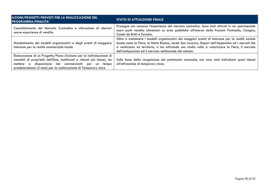| AZIONI/PROGETTI PREVISTI PER LA REALIZZAZIONE DEL<br><b>PROGRAMMA/FINALITA'</b>                                                                                                                                                                                           | <b>STATO DI ATTUAZIONE FINALE</b>                                                                                                                                                                                                                                                                                                                                     |
|---------------------------------------------------------------------------------------------------------------------------------------------------------------------------------------------------------------------------------------------------------------------------|-----------------------------------------------------------------------------------------------------------------------------------------------------------------------------------------------------------------------------------------------------------------------------------------------------------------------------------------------------------------------|
| Consolidamento del Mercato Contadino e attivazione di ulteriori<br>nuove esperienze di vendita                                                                                                                                                                            | Prosegue con successo l'esperienza del mercato contadino. Sono stati attivati in via sperimentale<br>nuovi punti vendita alimentari su aree pubbliche all'interno delle frazioni Ponticella, Cicogna,<br>Castel de Britti e Farneto.                                                                                                                                  |
| Mantenimento dei modelli organizzativi e degli eventi di maggiore<br>interesse per la realtà commerciale locale                                                                                                                                                           | Oltre a mantenere i modelli organizzativi dei maggiori eventi di interesse per la realtà sociale<br>locale come la Fiera, la Notte Bianca, verde San Lazzaro, Sapori dell'Appennino ed i mercati che<br>si realizzano sul territorio, si sta attivando uno studio volto a valorizzare la Fiera, il mercato<br>dell'antiquariato ed il mercato settimanale del sabato. |
| Elaborazione di un Progetto/Piano d'azione per la individuazione di<br>immobili di proprietà dell'Ente, inutilizzati e ritenuti più idonei, da<br>mettere a disposizione dei commercianti per un tempo<br>predeterminato (4 mesi) per la realizzazione di Temporary store | Sulla base della ricognizione del patrimonio comunale, non sono stati individuati spazi idonei<br>all'attivazione di temporary store.                                                                                                                                                                                                                                 |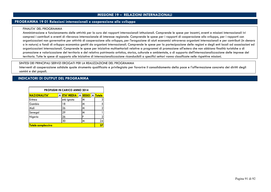## **MISSIONE 19 – RELAZIONI INTERNAZIONALI**

### **PROGRAMMA 19 01 Relazioni internazionali e cooperazione allo sviluppo**

#### FINALITA' DEL PROGRAMMA

 Amministrazione e funzionamento delle attività per la cura dei rapporti internazionali istituzionali. Comprende le spese per incontri, eventi e missioni internazionali ivi compresi i contributi a eventi di rilevanza internazionale di interesse regionale. Comprende le spese per i rapporti di cooperazione allo sviluppo, per i rapporti con organizzazioni non governative per attività di cooperazione allo sviluppo, per l'erogazione di aiuti economici attraverso organismi internazionali e per contributi (in denaro o in natura) a fondi di sviluppo economico gestiti da organismi internazionali. Comprende le spese per la partecipazione delle regioni e degli enti locali ad associazioni ed organizzazioni internazionali. Comprende le spese per iniziative multisettoriali relative a programmi di promozione all'estero che non abbiano finalità turistiche o di promozione e valorizzazione del territorio e del relativo patrimonio artistico, storico, culturale e ambientale, o di supporto dell'internazionalizzazione delle imprese del territorio. Tutte le spese di supporto alle iniziative di internazionalizzazione riconducibili a specifici settori vanno classificate nelle rispettive missioni.

### SINTESI DEI PRINCIPALI SERVIZI EROGATI PER LA REALIZZAZIONE DEL PROGRAMMA

 Interventi di cooperazione solidale quale strumento qualificato e privilegiato per favorire il consolidamento della pace e l'affermazione concreta dei diritti degli uomini e dei popoli.

### **INDICATORI DI OUTPUT DEL PROGRAMMA**

| <b>PROFUGHI IN CARICO ANNO 2014</b> |  |                   |                    |               |
|-------------------------------------|--|-------------------|--------------------|---------------|
| NAZIONALITA'                        |  | <b>ETA' MEDIA</b> | <b>SESSO</b><br>▏▼ | <b>Totale</b> |
| Eritrea                             |  | età ignota        | M                  |               |
| Gambia                              |  | 18                | M                  |               |
| Mali                                |  | 26                | м                  |               |
| Senegal                             |  | 29                | м                  |               |
| Nigeria                             |  | 26                | F                  |               |
|                                     |  | 30                | M                  | 24            |
| <b>Totale complessivo</b>           |  |                   |                    | 37            |